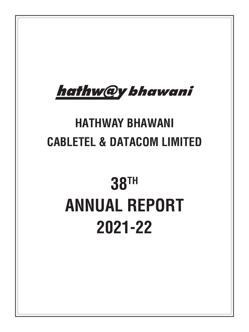

# **38TH ANNUAL REPORT 2021-22**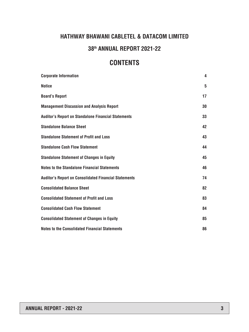## **HATHWAY BHAWANI CABLETEL & DATACOM LIMITED 38th ANNUAL REPORT 2021-22**

## **CONTENTS**

| <b>Corporate Information</b>                                 | 4  |
|--------------------------------------------------------------|----|
| <b>Notice</b>                                                | 5  |
| <b>Board's Report</b>                                        | 17 |
| <b>Management Discussion and Analysis Report</b>             | 30 |
| <b>Auditor's Report on Standalone Financial Statements</b>   | 33 |
| <b>Standalone Balance Sheet</b>                              | 42 |
| <b>Standalone Statement of Profit and Loss</b>               | 43 |
| <b>Standalone Cash Flow Statement</b>                        | 44 |
| <b>Standalone Statement of Changes in Equity</b>             | 45 |
| <b>Notes to the Standalone Financial Statements</b>          | 46 |
| <b>Auditor's Report on Consolidated Financial Statements</b> | 74 |
| <b>Consolidated Balance Sheet</b>                            | 82 |
| <b>Consolidated Statement of Profit and Loss</b>             | 83 |
| <b>Consolidated Cash Flow Statement</b>                      | 84 |
| <b>Consolidated Statement of Changes in Equity</b>           | 85 |
| <b>Notes to the Consolidated Financial Statements</b>        | 86 |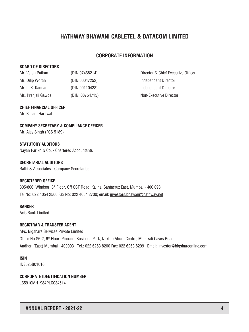#### **CORPORATE INFORMATION**

#### **BOARD OF DIRECTORS**

| Mr. Vatan Pathan   | (DIN:07468214)  |
|--------------------|-----------------|
| Mr. Dilip Worah    | (DIN:00047252)  |
| Mr. L. K. Kannan   | (DIN:00110428)  |
| Ms. Pranjali Gawde | (DIN: 08754715) |

Director & Chief Executive Officer Independent Director Independent Director Non-Executive Director

#### **CHIEF FINANCIAL OFFICER**

Mr. Basant Haritwal

**COMPANY SECRETARY & COMPLIANCE OFFICER**

Mr. Ajay Singh (FCS 5189)

**STATUTORY AUDITORS** Nayan Parikh & Co. - Chartered Accountants

#### **SECRETARIAL AUDITORS**

Rathi & Associates - Company Secretaries

#### **REGISTERED OFFICE**

805/806, Windsor, 8th Floor, Off CST Road, Kalina, Santacruz East, Mumbai - 400 098. Tel No: 022 4054 2500 Fax No: 022 4054 2700; email: investors.bhawani@hathway.net

#### **BANKER**

Axis Bank Limited

#### **REGISTRAR & TRANSFER AGENT**

M/s. Bigshare Services Private Limited Office No S6-2, 6<sup>th</sup> Floor, Pinnacle Business Park, Next to Ahura Centre, Mahakali Caves Road, Andheri (East) Mumbai - 400093 Tel.: 022 6263 8200 Fax: 022 6263 8299 Email: investor@bigshareonline.com

## **ISIN**

INE525B01016

#### **CORPORATE IDENTIFICATION NUMBER**

L65910MH1984PLC034514

**ANNUAL REPORT - 2021-22 4**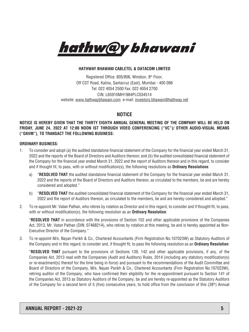

Registered Office: 805/806, Windsor, 8th Floor, Off CST Road, Kalina, Santacruz (East), Mumbai - 400 098 Tel: 022 4054 2500 Fax: 022 4054 2700 CIN: L65910MH1984PLC034514 website: www.hathwaybhawani.com e-mail: investors.bhawani@hathway.net

#### **NOTICE**

**NOTICE IS HEREBY GIVEN THAT THE THIRTY EIGHTH ANNUAL GENERAL MEETING OF THE COMPANY WILL BE HELD ON FRIDAY, JUNE 24, 2022 AT 12:00 NOON IST THROUGH VIDEO CONFERENCING ("VC")/ OTHER AUDIO-VISUAL MEANS ("OAVM"), TO TRANSACT THE FOLLOWING BUSINESS:**

#### **ORDINARY BUSINESS:**

- 1. To consider and adopt (a) the audited standalone financial statement of the Company for the financial year ended March 31, 2022 and the reports of the Board of Directors and Auditors thereon; and (b) the audited consolidated financial statement of the Company for the financial year ended March 31, 2022 and the report of Auditors thereon and in this regard, to consider and if thought fit, to pass, with or without modification(s), the following resolutions as **Ordinary Resolutions**:
	- a) "**RESOLVED THAT** the audited standalone financial statement of the Company for the financial year ended March 31, 2022 and the reports of the Board of Directors and Auditors thereon, as circulated to the members, be and are hereby considered and adopted."
	- b) "**RESOLVED THAT** the audited consolidated financial statement of the Company for the financial year ended March 31, 2022 and the report of Auditors thereon, as circulated to the members, be and are hereby considered and adopted."
- 2. To re-appoint Mr. Vatan Pathan, who retires by rotation as Director and in this regard, to consider and if thought fit, to pass, with or without modification(s), the following resolution as an **Ordinary Resolution**:

 "**RESOLVED THAT** in accordance with the provisions of Section 152 and other applicable provisions of the Companies Act, 2013, Mr. Vatan Pathan (DIN: 07468214), who retires by rotation at this meeting, be and is hereby appointed as Non-Executive Director of the Company."

3. To re-appoint M/s. Nayan Parikh & Co., Chartered Accountants (Firm Registration No.107023W) as Statutory Auditors of the Company and in this regard, to consider and, if thought fit, to pass the following resolution as an **Ordinary Resolution**:

 "**RESOLVED THAT** pursuant to the provisions of Sections 139, 142 and other applicable provisions, if any, of the Companies Act, 2013 read with the Companies (Audit and Auditors) Rules, 2014 (including any statutory modification(s) or re-enactment(s) thereof for the time being in force) and pursuant to the recommendations of the Audit Committee and Board of Directors of the Company, M/s. Nayan Parikh & Co., Chartered Accountants (Firm Registration No.107023W), retiring auditor of the Company, who have confirmed their eligibility for the re-appointment pursuant to Section 141 of the Companies Act, 2013 as Statutory Auditors of the Company, be and are hereby re-appointed as the Statutory Auditors of the Company for a second term of 5 (five) consecutive years, to hold office from the conclusion of this  $(38<sup>th</sup>)$  Annual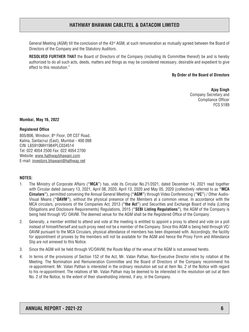General Meeting (AGM) till the conclusion of the 43<sup>rd</sup> AGM, at such remuneration as mutually agreed between the Board of Directors of the Company and the Statutory Auditors.

 **RESOLVED FURTHER THAT** the Board of Directors of the Company (including its Committee thereof) be and is hereby authorized to do all such acts, deeds, matters and things as may be considered necessary, desirable and expedient to give effect to this resolution."

#### **By Order of the Board of Directors**

**Ajay Singh**  Company Secretary and Compliance Officer FCS 5189

#### **Mumbai, May 16, 2022**

#### **Registered Office**

805/806, Windsor, 8<sup>th</sup> Floor, Off CST Road, Kalina, Santacruz (East), Mumbai - 400 098 CIN: L65910MH1984PLC034514 Tel: 022 4054 2500 Fax: 022 4054 2700 Website: www.hathwaybhawani.com E-mail: investors.bhawani@hathway.net

#### **NOTES:**

- 1. The Ministry of Corporate Affairs (**"MCA"**) has, vide its Circular No.21/2021, dated December 14, 2021 read together with Circular dated January 13, 2021, April 08, 2020, April 13, 2020 and May 05, 2020 (collectively referred to as **"MCA Circulars"**), permitted convening the Annual General Meeting (**"AGM"**) through Video Conferencing (**"VC"**) / Other Audio-Visual Means (**"OAVM"**), without the physical presence of the Members at a common venue. In accordance with the MCA circulars, provisions of the Companies Act, 2013 (**"the Act"**) and Securities and Exchange Board of India (Listing Obligations and Disclosure Requirements) Regulations, 2015 (**"SEBI Listing Regulations"**), the AGM of the Company is being held through VC/ OAVM. The deemed venue for the AGM shall be the Registered Office of the Company.
- 2. Generally, a member entitled to attend and vote at the meeting is entitled to appoint a proxy to attend and vote on a poll instead of himself/herself and such proxy need not be a member of the Company. Since this AGM is being held through VC/ OAVM pursuant to the MCA Circulars, physical attendance of members has been dispensed with. Accordingly, the facility for appointment of proxies by the members will not be available for the AGM and hence the Proxy Form and Attendance Slip are not annexed to this Notice.
- 3. Since the AGM will be held through VC/OAVM, the Route Map of the venue of the AGM is not annexed hereto.
- 4. In terms of the provisions of Section 152 of the Act, Mr. Vatan Pathan, Non-Executive Director retire by rotation at the Meeting. The Nomination and Remuneration Committee and the Board of Directors of the Company recommend his re-appointment. Mr. Vatan Pathan is interested in the ordinary resolution set out at Item No. 2 of the Notice with regard to his re-appointment. The relatives of Mr. Vatan Pathan may be deemed to be interested in the resolution set out at Item No. 2 of the Notice, to the extent of their shareholding interest, if any, in the Company.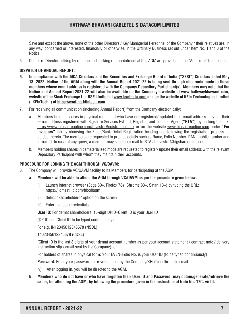Save and except the above, none of the other Directors / Key Managerial Personnel of the Company / their relatives are, in any way, concerned or interested, financially or otherwise, in the Ordinary Business set out under Item No. 1 and 3 of the Notice.

5. Details of Director retiring by rotation and seeking re-appointment at this AGM are provided in the "Annexure" to the notice.

#### **DISPATCH OF ANNUAL REPORT:**

- **6. In compliance with the MCA Circulars and the Securities and Exchange Board of India ("SEBI") Circulars dated May 13, 2022, Notice of the AGM along with the Annual Report 2021-22 is being sent through electronic mode to those members whose email address is registered with the Company/ Depository Participant(s). Members may note that the Notice and Annual Report 2021-22 will also be available on the Company's website at www.hathwaybhawani.com, website of the Stock Exchange i.e. BSE Limited at www.bseindia.com and on the website of KFin Technologies Limited ("KFinTech") at https://evoting.kfintech.com.**
- 7. For receiving all communication (including Annual Report) from the Company electronically:
	- a. Members holding shares in physical mode and who have not registered/ updated their email address may get their e-mail address registered with Bigshare Services Pvt Ltd, Registrar and Transfer Agent (**"RTA"**), by clicking the link: https://www.bigshareonline.com/InvestorRegistration.aspx or on the website www.bigshareonline.com under **"For Investors"** tab by choosing the Email/Bank Detail Registration heading and following the registration process as guided therein. The members are requested to provide details such as Name, Folio Number, PAN, mobile number and e-mail id. In case of any query, a member may send an e-mail to RTA at investor@bigshareonline.com.
	- b. Members holding shares in dematerialised mode are requested to register/ update their email address with the relevant Depository Participant with whom they maintain their accounts.

#### **PROCEDURE FOR JOINING THE AGM THROUGH VC/OAVM:**

- 8. The Company will provide VC/OAVM facility to its Members for participating at the AGM.
	- **a. Members will be able to attend the AGM through VC/OAVM as per the procedure given below:**
		- i) Launch internet browser (Edge 80+, Firefox 78+, Chrome 83+, Safari 13+) by typing the URL: https://jiomeet.jio.com/hbcdlagm
		- ii) Select "Shareholders" option on the screen
		- iii) Enter the login credentials

**User ID:** For demat shareholders: 16-digit DPID+Client ID is your User ID

(DP ID and Client ID to be typed continuously)

For e.g. IN12345612345678 (NSDL)

1402345612345678 (CDSL)

 (Client ID is the last 8 digits of your demat account number as per your account statement / contract note / delivery instruction slip / email sent by the Company); or

For holders of shares in physical form: Your EVEN+Folio No. is your User ID (to be typed continuously)

**Password:** Enter your password for e-voting sent by the Company/KFinTech through e-mail.

- iv) After logging in, you will be directed to the AGM.
- **b. Members who do not have or who have forgotten their User ID and Password, may obtain/generate/retrieve the same, for attending the AGM, by following the procedure given in the instruction at Note No. 17C. vii III.**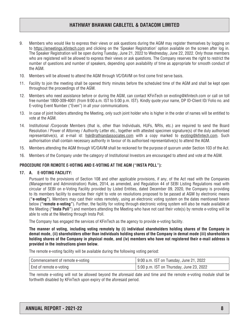- 9. Members who would like to express their views or ask questions during the AGM may register themselves by logging on to https://emeetings.kfintech.com and clicking on the 'Speaker Registration' option available on the screen after log in. The Speaker Registration will be open during Tuesday, June 21, 2022 to Wednesday, June 22, 2022. Only those members who are registered will be allowed to express their views or ask questions. The Company reserves the right to restrict the number of questions and number of speakers, depending upon availability of time as appropriate for smooth conduct of the AGM.
- 10. Members will be allowed to attend the AGM through VC/OAVM on first come first serve basis.
- 11. Facility to join the meeting shall be opened thirty minutes before the scheduled time of the AGM and shall be kept open throughout the proceedings of the AGM.
- 12. Members who need assistance before or during the AGM, can contact KFinTech on evoting@kfintech.com or call on toll free number 1800-309-4001 (from 9:00 a.m. IST to 5:00 p.m. IST). Kindly quote your name, DP ID-Client ID/ Folio no. and E-voting Event Number ("Even") in all your communications.
- 13. In case of joint holders attending the Meeting, only such joint holder who is higher in the order of names will be entitled to vote at the AGM.
- 14. Institutional /Corporate Members (that is, other than Individuals, HUFs, NRIs, etc.) are required to send the Board Resolution / Power of Attorney / Authority Letter etc., together with attested specimen signature(s) of the duly authorised representative(s), at e-mail id: hsk@rathiandassociates.com with a copy marked to evoting@kfintech.com. Such authorisation shall contain necessary authority in favour of its authorised representative(s) to attend the AGM.
- 15. Members attending the AGM through VC/OAVM shall be reckoned for the purpose of quorum under Section 103 of the Act.
- 16. Members of the Company under the category of Institutional Investors are encouraged to attend and vote at the AGM.

#### **PROCEDURE FOR REMOTE E-VOTING AND E-VOTING AT THE AGM ("INSTA POLL"):**

#### **17. A. E-VOTING FACILITY:**

 Pursuant to the provisions of Section 108 and other applicable provisions, if any, of the Act read with the Companies (Management and Administration) Rules, 2014, as amended, and Regulation 44 of SEBI Listing Regulations read with circular of SEBI on e-Voting Facility provided by Listed Entities, dated December 09, 2020, the Company is providing to its members facility to exercise their right to vote on resolutions proposed to be passed at AGM by electronic means (**"e-voting"**). Members may cast their votes remotely, using an electronic voting system on the dates mentioned herein below (**"remote e-voting"**). Further, the facility for voting through electronic voting system will also be made available at the Meeting (**"Insta Poll"**) and members attending the Meeting who have not cast their vote(s) by remote e-voting will be able to vote at the Meeting through Insta Poll.

The Company has engaged the services of KFinTech as the agency to provide e-voting facility.

 **The manner of voting, including voting remotely by (i) individual shareholders holding shares of the Company in demat mode, (ii) shareholders other than individuals holding shares of the Company in demat mode (iii) shareholders holding shares of the Company in physical mode, and (iv) members who have not registered their e-mail address is provided in the instructions given below.**

The remote e-voting facility will be available during the following voting period:

| Commencement of remote e-voting | 9:00 a.m. IST on Tuesday, June 21, 2022  |  |  |
|---------------------------------|------------------------------------------|--|--|
| End of remote e-voting          | 5:00 p.m. IST on Thursday, June 23, 2022 |  |  |

 The remote e-voting will not be allowed beyond the aforesaid date and time and the remote e-voting module shall be forthwith disabled by KFinTech upon expiry of the aforesaid period.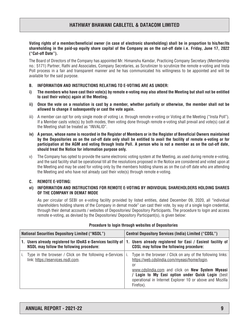#### **Voting rights of a member/beneficial owner (in case of electronic shareholding) shall be in proportion to his/her/its shareholding in the paid-up equity share capital of the Company as on the cut-off date i.e. Friday, June 17, 2022 ("Cut-off Date").**

 The Board of Directors of the Company has appointed Mr. Himanshu Kamdar, Practicing Company Secretary (Membership no.: 5171) Partner, Rathi and Associates, Company Secretaries, as Scrutinizer to scrutinize the remote e-voting and Insta Poll process in a fair and transparent manner and he has communicated his willingness to be appointed and will be available for the said purpose.

#### **B. INFORMATION AND INSTRUCTIONS RELATING TO E-VOTING ARE AS UNDER:**

- **i) The members who have cast their vote(s) by remote e-voting may also attend the Meeting but shall not be entitled to cast their vote(s) again at the Meeting.**
- **ii) Once the vote on a resolution is cast by a member, whether partially or otherwise, the member shall not be allowed to change it subsequently or cast the vote again.**
- iii) A member can opt for only single mode of voting i.e. through remote e-voting or Voting at the Meeting ("Insta Poll"). If a Member casts vote(s) by both modes, then voting done through remote e-voting shall prevail and vote(s) cast at the Meeting shall be treated as "INVALID".
- **iv) A person, whose name is recorded in the Register of Members or in the Register of Beneficial Owners maintained by the Depositories as on the cut-off date only shall be entitled to avail the facility of remote e-voting or for participation at the AGM and voting through Insta Poll. A person who is not a member as on the cut-off date, should treat the Notice for information purpose only.**
- v) The Company has opted to provide the same electronic voting system at the Meeting, as used during remote e-voting, and the said facility shall be operational till all the resolutions proposed in the Notice are considered and voted upon at the Meeting and may be used for voting only by the members holding shares as on the cut-off date who are attending the Meeting and who have not already cast their vote(s) through remote e-voting.

#### **C. REMOTE E-VOTING:**

#### **vi) INFORMATION AND INSTRUCTIONS FOR REMOTE E-VOTING BY INDIVIDUAL SHAREHOLDERS HOLDING SHARES OF THE COMPANY IN DEMAT MODE**

 As per circular of SEBI on e-voting facility provided by listed entities, dated December 09, 2020, all "individual shareholders holding shares of the Company in demat mode" can cast their vote, by way of a single login credential, through their demat accounts / websites of Depositories/ Depository Participants. The procedure to login and access remote e-voting, as devised by the Depositories/ Depository Participant(s), is given below:

| <b>National Securities Depository Limited ("NSDL")</b>                                                   | <b>Central Depository Services (India) Limited ("CDSL")</b> |                                                                                                                                                                                                                                                                                                    |  |
|----------------------------------------------------------------------------------------------------------|-------------------------------------------------------------|----------------------------------------------------------------------------------------------------------------------------------------------------------------------------------------------------------------------------------------------------------------------------------------------------|--|
| 1. Users already registered for IDeAS e-Services facility of<br>NSDL may follow the following procedure: |                                                             | 1. Users already registered for Easi / Easiest facility of<br><b>CDSL</b> may follow the following procedure:                                                                                                                                                                                      |  |
| Type in the browser / Click on the following e-Services<br>link: https://eservices.nsdl.com.             |                                                             | Type in the browser / Click on any of the following links:<br>https://web.cdslindia.com/myeasi/home/login.<br>or<br>www.cdslindia.com and click on New System Myeasi<br>/ Login to My Easi option under Quick Login (best<br>operational in Internet Explorer 10 or above and Mozilla<br>Firefox). |  |

#### **Procedure to login through websites of Depositories**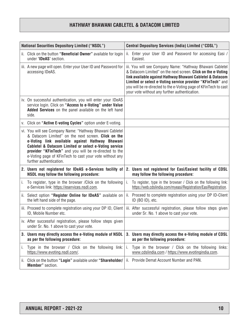|    | <b>National Securities Depository Limited ("NSDL")</b>                                                                                                                                                                                                                                                                                                                      |    | <b>Central Depository Services (India) Limited ("CDSL")</b>                                                                                                                                                                                                                                                                                                               |
|----|-----------------------------------------------------------------------------------------------------------------------------------------------------------------------------------------------------------------------------------------------------------------------------------------------------------------------------------------------------------------------------|----|---------------------------------------------------------------------------------------------------------------------------------------------------------------------------------------------------------------------------------------------------------------------------------------------------------------------------------------------------------------------------|
|    | ii. Click on the button "Beneficial Owner" available for login<br>under 'IDeAS' section.                                                                                                                                                                                                                                                                                    |    | ii. Enter your User ID and Password for accessing Easi /<br>Easiest.                                                                                                                                                                                                                                                                                                      |
|    | iii. A new page will open. Enter your User ID and Password for<br>accessing IDeAS.                                                                                                                                                                                                                                                                                          |    | iii. You will see Company Name: "Hathway Bhawani Cabletel<br>& Datacom Limited" on the next screen. Click on the e-Voting<br>link available against Hathway Bhawani Cabletel & Datacom<br>Limited or select e-Voting service provider "KFinTech" and<br>you will be re-directed to the e-Voting page of KFinTech to cast<br>your vote without any further authentication. |
|    | iv. On successful authentication, you will enter your IDeAS<br>service login. Click on "Access to e-Voting" under Value<br>Added Services on the panel available on the left hand<br>side.                                                                                                                                                                                  |    |                                                                                                                                                                                                                                                                                                                                                                           |
|    | v. Click on "Active E-voting Cycles" option under E-voting.                                                                                                                                                                                                                                                                                                                 |    |                                                                                                                                                                                                                                                                                                                                                                           |
|    | vi. You will see Company Name: "Hathway Bhawani Cabletel<br>& Datacom Limited" on the next screen. Click on the<br>e-Voting link available against Hathway Bhawani<br>Cabletel & Datacom Limited or select e-Voting service<br>provider "KFinTech" and you will be re-directed to the<br>e-Voting page of KFinTech to cast your vote without any<br>further authentication. |    |                                                                                                                                                                                                                                                                                                                                                                           |
|    | 2. Users not registered for IDeAS e-Services facility of<br>NSDL may follow the following procedure:                                                                                                                                                                                                                                                                        |    | 2. Users not registered for Easi/Easiest facility of CDSL<br>may follow the following procedure:                                                                                                                                                                                                                                                                          |
| i. | To register, type in the browser / Click on the following<br>e-Services link: https://eservices.nsdl.com.                                                                                                                                                                                                                                                                   | İ. | To register, type in the browser / Click on the following link:<br>https://web.cdslindia.com/myeasi/Registration/EasiRegistration.                                                                                                                                                                                                                                        |
|    | ii. Select option "Register Online for IDeAS" available on<br>the left hand side of the page.                                                                                                                                                                                                                                                                               |    | ii. Proceed to complete registration using your DP ID-Client<br>ID (BO ID), etc.                                                                                                                                                                                                                                                                                          |
|    | iii. Proceed to complete registration using your DP ID, Client<br>ID, Mobile Number etc.                                                                                                                                                                                                                                                                                    |    | iii. After successful registration, please follow steps given<br>under Sr. No. 1 above to cast your vote.                                                                                                                                                                                                                                                                 |
|    | iv. After successful registration, please follow steps given<br>under Sr. No. 1 above to cast your vote.                                                                                                                                                                                                                                                                    |    |                                                                                                                                                                                                                                                                                                                                                                           |
|    | 3. Users may directly access the e-Voting module of NSDL<br>as per the following procedure:                                                                                                                                                                                                                                                                                 |    | 3. Users may directly access the e-Voting module of CDSL<br>as per the following procedure:                                                                                                                                                                                                                                                                               |
| İ. | Type in the browser / Click on the following link:<br>https://www.evoting.nsdl.com/.                                                                                                                                                                                                                                                                                        | İ. | Type in the browser / Click on the following links:<br>www.cdslindia.com / https://www.evotingindia.com.                                                                                                                                                                                                                                                                  |
|    | ii. Click on the button "Login" available under "Shareholder/<br>Member" section.                                                                                                                                                                                                                                                                                           |    | ii. Provide Demat Account Number and PAN.                                                                                                                                                                                                                                                                                                                                 |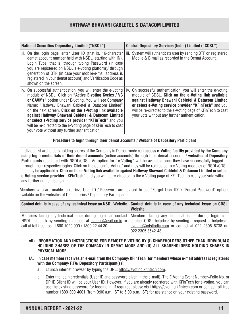| <b>National Securities Depository Limited ("NSDL")</b>                                                                                                                                                                                                                                                                                                                                                                                                                                                                             | <b>Central Depository Services (India) Limited ("CDSL")</b>                                                                                                                                                                                                                                                                                            |  |  |  |  |
|------------------------------------------------------------------------------------------------------------------------------------------------------------------------------------------------------------------------------------------------------------------------------------------------------------------------------------------------------------------------------------------------------------------------------------------------------------------------------------------------------------------------------------|--------------------------------------------------------------------------------------------------------------------------------------------------------------------------------------------------------------------------------------------------------------------------------------------------------------------------------------------------------|--|--|--|--|
| iii. On the login page, enter User ID (that is, 16-character<br>demat account number held with NSDL, starting with IN),<br>Login Type, that is, through typing Password (in case<br>you are registered on NSDL's e-voting platform)/ through<br>generation of OTP (in case your mobile/e-mail address is<br>registered in your demat account) and Verification Code as<br>shown on the screen.                                                                                                                                     | System will authenticate user by sending OTP on registered<br>iii.<br>Mobile & E-mail as recorded in the Demat Account.                                                                                                                                                                                                                                |  |  |  |  |
| iv. On successful authentication, you will enter the e-voting<br>module of NSDL. Click on "Active E-voting Cycles / VC<br>or OAVMs" option under E-voting. You will see Company<br>Name: "Hathway Bhawani Cabletel & Datacom Limited"<br>on the next screen. Click on the e-Voting link available<br>against Hathway Bhawani Cabletel & Datacom Limited<br>or select e-Voting service provider "KFinTech" and you<br>will be re-directed to the e-Voting page of KFinTech to cast<br>your vote without any further authentication. | iv. On successful authentication, you will enter the e-voting<br>module of CDSL. Click on the e-Voting link available<br>against Hathway Bhawani Cabletel & Datacom Limited<br>or select e-Voting service provider "KFinTech" and you<br>will be re-directed to the e-Voting page of KFinTech to cast<br>your vote without any further authentication. |  |  |  |  |

#### **Procedure to login through their demat accounts / Website of Depository Participant**

Individual shareholders holding shares of the Company in Demat mode can **access e-Voting facility provided by the Company using login credentials of their demat accounts** (online accounts) through their demat accounts / **websites of Depository Participants** registered with NSDL/CDSL. An option for **"e-Voting"** will be available once they have successfully logged-in through their respective logins. Click on the option "e-Voting" and they will be redirected to e-Voting modules of NSDL/CDSL (as may be applicable). **Click on the e-Voting link available against Hathway Bhawani Cabletel & Datacom Limited or select e-Voting service provider "KFinTech"** and you will be re-directed to the e-Voting page of KFinTech to cast your vote without any further authentication.

Members who are unable to retrieve User ID / Password are advised to use "Forgot User ID" / "Forgot Password" options available on the websites of Depositories / Depository Participants.

| Contact details in case of any technical issue on NSDL Website   Contact details in case of any technical issue on CDSL                                                                                                                                                                          | Website                                                                   |
|--------------------------------------------------------------------------------------------------------------------------------------------------------------------------------------------------------------------------------------------------------------------------------------------------|---------------------------------------------------------------------------|
| Members facing any technical issue during login can contact Members facing any technical issue during login can<br>NSDL helpdesk by sending a request at evoting@nsdl.co.in or contact CDSL helpdesk by sending a request at helpdesk.<br>call at toll free nos.: 1800 1020 990 / 1800 22 44 30. | evoting@cdslindia.com or contact at 022 2305 8738 or<br>022 2305 8542-43. |

#### **vii) INFORMATION AND INSTRUCTIONS FOR REMOTE E-VOTING BY (I) SHAREHOLDERS OTHER THAN INDIVIDUALS HOLDING SHARES OF THE COMPANY IN DEMAT MODE AND (II) ALL SHAREHOLDERS HOLDING SHARES IN PHYSICAL MODE**

- **IA. In case member receives an e-mail from the Company/ KFinTech [for members whose e-mail address is registered with the Company/ RTA/ Depository Participant(s)]:**
	- a. Launch internet browser by typing the URL: https://evoting.kfintech.com.
	- b. Enter the login credentials (User ID and password given in the e-mail). The E-Voting Event Number+Folio No. or DP ID Client ID will be your User ID. However, if you are already registered with KFinTech for e-voting, you can use the existing password for logging in. If required, please visit https://evoting.kfintech.com or contact toll-free number 1800-309-4001 (from 9:00 a.m. IST to 5:00 p.m. IST) for assistance on your existing password.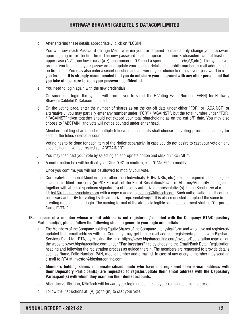- c. After entering these details appropriately, click on "LOGIN".
- d. You will now reach Password Change Menu wherein you are required to mandatorily change your password upon logging in for the first time. The new password shall comprise minimum 8 characters with at least one upper case  $(A-Z)$ , one lower case  $(a-z)$ , one numeric  $(0-9)$  and a special character  $(\mathcal{Q},\#,\$,\text{etc.})$ . The system will prompt you to change your password and update your contact details like mobile number, e-mail address, etc. on first login. You may also enter a secret question and answer of your choice to retrieve your password in case you forget it. **It is strongly recommended that you do not share your password with any other person and that you take utmost care to keep your password confidential.**
- e. You need to login again with the new credentials.
- f. On successful login, the system will prompt you to select the E-Voting Event Number (EVEN) for Hathway Bhawani Cabletel & Datacom Limited.
- g. On the voting page, enter the number of shares as on the cut-off date under either "FOR" or "AGAINST" or alternatively, you may partially enter any number under "FOR" / "AGAINST", but the total number under "FOR" / "AGAINST" taken together should not exceed your total shareholding as on the cut-off" date. You may also choose to "ABSTAIN" and vote will not be counted under either head.
- h. Members holding shares under multiple folios/demat accounts shall choose the voting process separately for each of the folios / demat accounts.
- i. Voting has to be done for each item of the Notice separately. In case you do not desire to cast your vote on any specific item, it will be treated as "ABSTAINED".
- j. You may then cast your vote by selecting an appropriate option and click on "SUBMIT".
- k. A confirmation box will be displayed. Click "OK" to confirm, else "CANCEL" to modify.
- l. Once you confirm, you will not be allowed to modify your vote.
- m. Corporate/Institutional Members (i.e., other than Individuals, HUFs, NRIs, etc.) are also required to send legible scanned certified true copy (in PDF Format) of the Board Resolution/Power of Attorney/Authority Letter, etc., together with attested specimen signature(s) of the duly authorized representative(s), to the Scrutinizer at e-mail id: hsk@rathiandassociates.com with a copy marked to evoting@kfintech.com. Such authorization shall contain necessary authority for voting by its authorized representative(s). It is also requested to upload the same in the e-voting module in their login. The naming format of the aforesaid legible scanned document shall be "Corporate Name EVEN."

#### **IB. In case of a member whose e-mail address is not registered / updated with the Company/ RTA/Depository Participant(s), please follow the following steps to generate your login credentials:**

- a. The Members of the Company holding Equity Shares of the Company in physical form and who have not registered/ updated their email address with the Company, may get their e-mail address registered/updated with Bigshare Services Pvt. Ltd., RTA, by clicking the link: https://www.bigshareonline.com/InvestorRegistration.aspx or on the website www.bigshareonline.com under **"For Investors"** tab by choosing the Email/Bank Detail Registration heading and following the registration process as guided therein. The members are requested to provide details such as Name, Folio Number, PAN, mobile number and e-mail id. In case of any query, a member may send an e-mail to RTA at investor@bigshareonline.com.
- **b. Members holding shares in dematerialised mode who have not registered their e-mail address with their Depository Participant(s) are requested to register/update their email address with the Depository Participant(s) with whom they maintain their demat accounts.**
- c. After due verification, KFinTech will forward your login credentials to your registered email address.
- d. Follow the instructions at  $I(A)$  (a) to (m) to cast your vote.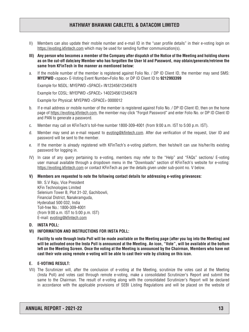- II) Members can also update their mobile number and e-mail ID in the "user profile details" in their e-voting login on https://evoting.kfintech.com which may be used for sending further communication(s).
- **III) Any person who becomes a member of the Company after dispatch of the Notice of the Meeting and holding shares as on the cut-off date/any Member who has forgotten the User Id and Password, may obtain/generate/retrieve the same from KFinTech in the manner as mentioned below:**
- a. If the mobile number of the member is registered against Folio No. / DP ID Client ID, the member may send SMS: **MYEPWD** <space> E-Voting Event Number+Folio No. or DP ID Client ID to **9212993399**

Example for NSDL: MYEPWD <SPACE> IN12345612345678

Example for CDSL: MYEPWD <SPACE> 1402345612345678

Example for Physical: MYEPWD <SPACE> 0000012

- b. If e-mail address or mobile number of the member is registered against Folio No. / DP ID Client ID, then on the home page of https://evoting.kfintech.com, the member may click "Forgot Password" and enter Folio No. or DP ID Client ID and PAN to generate a password.
- c. Member may call on KFinTech's toll-free number 1800-309-4001 (from 9:00 a.m. IST to 5:00 p.m. IST).
- d. Member may send an e-mail request to evoting@kfintech.com. After due verification of the request, User ID and password will be sent to the member.
- e. If the member is already registered with KFinTech's e-voting platform, then he/she/it can use his/her/its existing password for logging in.
- IV) In case of any query pertaining to e-voting, members may refer to the "Help" and "FAQs" sections/ E-voting user manual available through a dropdown menu in the "Downloads" section of KFinTech's website for e-voting: https://evoting.kfintech.com or contact KFinTech as per the details given under sub-point no. V below.
- **V) Members are requested to note the following contact details for addressing e-voting grievances:**

Mr. S.V Raju, Vice President KFin Technologies Limited Selenium Tower B, Plot 31-32, Gachibowli, Financial District, Nanakramguda, Hyderabad 500 032, India Toll-free No.: 1800-309-4001 (from 9:00 a.m. IST to 5:00 p.m. IST) E-mail: evoting@kfintech.com

#### **D. INSTA POLL:**

#### **VI) INFORMATION AND INSTRUCTIONS FOR INSTA POLL:**

 **Facility to vote through Insta Poll will be made available on the Meeting page (after you log into the Meeting) and will be activated once the Insta Poll is announced at the Meeting. An icon, "Vote", will be available at the bottom left on the Meeting Screen. Once the voting at the Meeting is announced by the Chairman, Members who have not cast their vote using remote e-voting will be able to cast their vote by clicking on this icon.**

#### **E. E-VOTING RESULT:**

VII) The Scrutinizer will, after the conclusion of e-voting at the Meeting, scrutinize the votes cast at the Meeting (Insta Poll) and votes cast through remote e-voting, make a consolidated Scrutinizer's Report and submit the same to the Chairman. The result of e-voting along with the consolidated Scrutinizer's Report will be declared in accordance with the applicable provisions of SEBI Listing Regulations and will be placed on the website of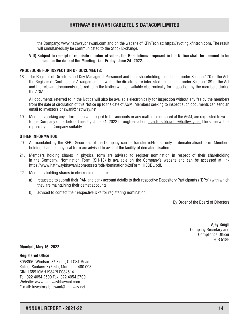the Company: www.hathwaybhawani.com and on the website of KFinTech at: https://evoting.kfintech.com. The result will simultaneously be communicated to the Stock Exchange.

**VIII) Subject to receipt of requisite number of votes, the Resolutions proposed in the Notice shall be deemed to be passed on the date of the Meeting, i.e. Friday, June 24, 2022.**

#### **PROCEDURE FOR INSPECTION OF DOCUMENTS:**

18. The Register of Directors and Key Managerial Personnel and their shareholding maintained under Section 170 of the Act, the Register of Contracts or Arrangements in which the directors are interested, maintained under Section 189 of the Act and the relevant documents referred to in the Notice will be available electronically for inspection by the members during the AGM.

 All documents referred to in the Notice will also be available electronically for inspection without any fee by the members from the date of circulation of this Notice up to the date of AGM. Members seeking to inspect such documents can send an email to investors.bhawani@hathway.net.

19. Members seeking any information with regard to the accounts or any matter to be placed at the AGM, are requested to write to the Company on or before Tuesday, June 21, 2022 through email on investors.bhawani@hathway.net.The same will be replied by the Company suitably.

#### **OTHER INFORMATION**

- 20. As mandated by the SEBI, Securities of the Company can be transferred/traded only in dematerialised form. Members holding shares in physical form are advised to avail of the facility of dematerialisation.
- 21. Members holding shares in physical form are advised to register nomination in respect of their shareholding in the Company. Nomination Form (SH-13) is available on the Company's website and can be accessed at link https://www.hathwaybhawani.com/assets/pdf/Nomination%20Form\_HBCDL.pdf.
- 22. Members holding shares in electronic mode are:
	- a) requested to submit their PAN and bank account details to their respective Depository Participants ("DPs") with which they are maintaining their demat accounts.
	- b) advised to contact their respective DPs for registering nomination.

By Order of the Board of Directors

 **Ajay Singh**  Company Secretary and Compliance Officer FCS 5189

#### **Mumbai, May 16, 2022**

#### **Registered Office**

805/806, Windsor, 8th Floor, Off CST Road, Kalina, Santacruz (East), Mumbai - 400 098 CIN: L65910MH1984PLC034514 Tel: 022 4054 2500 Fax: 022 4054 2700 Website: www.hathwaybhawani.com E-mail: investors.bhawani@hathway.net

**ANNUAL REPORT - 2021-22 14**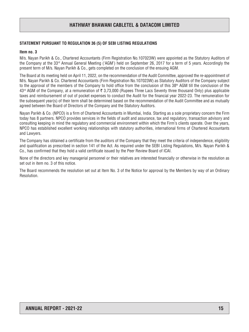#### **STATEMENT PURSUANT TO REGULATION 36 (5) OF SEBI LISTING REGULATIONS**

#### **Item no. 3**

M/s. Nayan Parikh & Co., Chartered Accountants (Firm Registration No.107023W) were appointed as the Statutory Auditors of the Company at the 33<sup>rd</sup> Annual General Meeting ('AGM') held on September 26, 2017 for a term of 5 years. Accordingly the present term of M/s. Nayan Parikh & Co., gets completed on the conclusion of the ensuing AGM.

The Board at its meeting held on April 11, 2022, on the recommendation of the Audit Committee, approved the re-appointment of M/s. Nayan Parikh & Co. Chartered Accountants (Firm Registration No.107023W) as Statutory Auditors of the Company subject to the approval of the members of the Company to hold office from the conclusion of this 38<sup>th</sup> AGM till the conclusion of the  $43<sup>rd</sup>$  AGM of the Company, at a remuneration of  $\overline{5}$  3.73,000 (Rupees Three Lacs Seventy three thousand Only) plus applicable taxes and reimbursement of out of pocket expenses to conduct the Audit for the financial year 2022-23. The remuneration for the subsequent year(s) of their term shall be determined based on the recommendation of the Audit Committee and as mutually agreed between the Board of Directors of the Company and the Statutory Auditors.

Nayan Parikh & Co. (NPCO) is a firm of Chartered Accountants in Mumbai, India. Starting as a sole proprietary concern the Firm today has 8 partners. NPCO provides services in the fields of audit and assurance, tax and regulatory, transaction advisory and consulting keeping in mind the regulatory and commercial environment within which the Firm's clients operate. Over the years, NPCO has established excellent working relationships with statutory authorities, international firms of Chartered Accountants and Lawyers.

The Company has obtained a certificate from the auditors of the Company that they meet the criteria of independence, eligibility and qualification as prescribed in section 141 of the Act. As required under the SEBI Listing Regulations, M/s. Nayan Parikh & Co., has confirmed that they hold a valid certificate issued by the Peer Review Board of ICAI.

None of the directors and key managerial personnel or their relatives are interested financially or otherwise in the resolution as set out in item no. 3 of this notice.

The Board recommends the resolution set out at Item No. 3 of the Notice for approval by the Members by way of an Ordinary Resolution.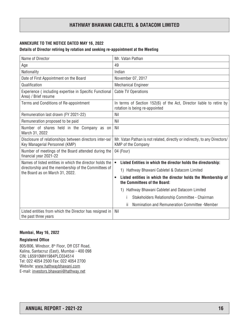#### **ANNEXURE TO THE NOTICE DATED MAY 16, 2022**

#### **Details of Director retiring by rotation and seeking re-appointment at the Meeting**

| Name of Director                                                                          | Mr. Vatan Pathan                                                                                           |
|-------------------------------------------------------------------------------------------|------------------------------------------------------------------------------------------------------------|
| Age                                                                                       | 49                                                                                                         |
| Nationality                                                                               | Indian                                                                                                     |
| Date of First Appointment on the Board                                                    | November 07, 2017                                                                                          |
| Qualification                                                                             | <b>Mechanical Engineer</b>                                                                                 |
| Experience (including expertise in Specific Functional<br>Area) / Brief resume            | <b>Cable TV Operations</b>                                                                                 |
| Terms and Conditions of Re-appointment                                                    | In terms of Section 152(6) of the Act, Director liable to retire by<br>rotation is being re-appointed      |
| Remuneration last drawn (FY 2021-22)                                                      | Nil                                                                                                        |
| Remuneration proposed to be paid                                                          | Nil                                                                                                        |
| Number of shares held in the Company as on<br>March 31, 2022                              | Nil                                                                                                        |
| Disclosure of relationships between directors inter-se/<br>Key Managerial Personnel (KMP) | Mr. Vatan Pathan is not related, directly or indirectly, to any Directors/<br><b>KMP</b> of the Company    |
| Number of meetings of the Board attended during the<br>financial year 2021-22             | 04 (Four)                                                                                                  |
| Names of listed entities in which the director holds the                                  | Listed Entities in which the director holds the directorship:<br>$\bullet$                                 |
| directorship and the membership of the Committees of<br>the Board as on March 31, 2022.   | 1) Hathway Bhawani Cabletel & Datacom Limited                                                              |
|                                                                                           | Listed entities in which the director holds the Membership of<br>$\bullet$<br>the Committees of the Board: |
|                                                                                           | 1) Hathway Bhawani Cabletel and Datacom Limited                                                            |
|                                                                                           | Stakeholders Relationship Committee - Chairman                                                             |
|                                                                                           | Nomination and Remuneration Committee -Member<br>ii.                                                       |
| Listed entities from which the Director has resigned in<br>the past three years           | Nil                                                                                                        |

#### **Mumbai, May 16, 2022**

#### **Registered Office**

805/806, Windsor, 8th Floor, Off CST Road, Kalina, Santacruz (East), Mumbai - 400 098 CIN: L65910MH1984PLC034514 Tel: 022 4054 2500 Fax: 022 4054 2700 Website: www.hathwaybhawani.com E-mail: investors.bhawani@hathway.net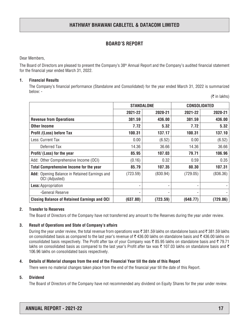#### **BOARD'S REPORT**

Dear Members,

The Board of Directors are pleased to present the Company's  $38<sup>th</sup>$  Annual Report and the Company's audited financial statement for the financial year ended March 31, 2022.

#### **1. Financial Results**

 The Company's financial performance (Standalone and Consolidated) for the year ended March 31, 2022 is summarized below: -

|                                                                 | <b>STANDALONE</b> |          |          | <b>CONSOLIDATED</b> |  |  |
|-----------------------------------------------------------------|-------------------|----------|----------|---------------------|--|--|
|                                                                 | 2021-22           | 2020-21  | 2021-22  | 2020-21             |  |  |
| <b>Revenue from Operations</b>                                  | 381.59            | 436.00   | 381.59   | 436.00              |  |  |
| <b>Other Income</b>                                             | 7.72              | 5.32     | 7.72     | 5.32                |  |  |
| <b>Profit /(Loss) before Tax</b>                                | 100.31            | 137.17   | 100.31   | 137.10              |  |  |
| Less: Current Tax                                               | 0.00              | (6.52)   | 0.00     | (6.52)              |  |  |
| Deferred Tax                                                    | 14.36             | 36.66    | 14.36    | 36.66               |  |  |
| Profit/ (Loss) for the year                                     | 85.95             | 107.03   | 79.71    | 106.96              |  |  |
| Add: Other Comprehensive Income (OCI)                           | (0.16)            | 0.32     | 0.59     | 0.35                |  |  |
| <b>Total Comprehensive Income for the year</b>                  | 85.79             | 107.35   | 80.30    | 107.31              |  |  |
| Add: Opening Balance in Retained Earnings and<br>OCI (Adjusted) | (723.59)          | (830.94) | (729.05) | (836.36)            |  |  |
| Less: Appropriation                                             | ۰                 |          |          |                     |  |  |
| -General Reserve                                                |                   |          |          |                     |  |  |
| <b>Closing Balance of Retained Earnings and OCI</b>             | (637.80)          | (723.59) | (648.77) | (729.06)            |  |  |

#### **2. Transfer to Reserves**

The Board of Directors of the Company have not transferred any amount to the Reserves during the year under review.

#### **3. Result of Operations and State of Company's affairs**

During the year under review, the total revenue from operations was  $\bar{\tau}$  381.59 lakhs on standalone basis and  $\bar{\tau}$  381.59 lakhs on consolidated basis as compared to the last year's revenue of  $\bar{\tau}$  436.00 lakhs on standalone basis and  $\bar{\tau}$  436.00 lakhs on consolidated basis respectively. The Profit after tax of your Company was  $\bar{\tau}$  85.95 lakhs on standalone basis and  $\bar{\tau}$  79.71 lakhs on consolidated basis as compared to the last year's Profit after tax was  $\bar{\tau}$  107.03 lakhs on standalone basis and  $\bar{\tau}$ 106.96 lakhs on consolidated basis respectively.

#### **4. Details of Material changes from the end of the Financial Year till the date of this Report**

There were no material changes taken place from the end of the financial year till the date of this Report.

#### **5. Dividend**

The Board of Directors of the Company have not recommended any dividend on Equity Shares for the year under review.

 $(\bar{\bar{\tau}}$  in lakhs)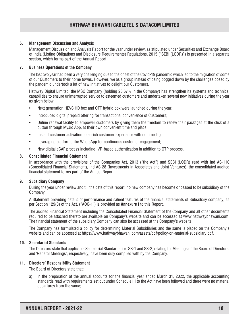#### **6. Management Discussion and Analysis**

 Management Discussion and Analysis Report for the year under review, as stipulated under Securities and Exchange Board of India (Listing Obligations and Disclosure Requirements) Regulations, 2015 ("SEBI (LODR)") is presented in a separate section, which forms part of the Annual Report.

#### **7. Business Operations of the Company**

The last two year had been a very challenging due to the onset of the Covid-19 pandemic which led to the migration of some of our Customers to their home towns. However, we as a group instead of being bogged down by the challenges posed by the pandemic undertook a lot of new initiatives to delight our Customers.

 Hathway Digital Limited, the MSO Company (holding 26.67% in the Company) has strengthen its systems and technical capabilities to ensure uninterrupted service to esteemed customers and undertaken several new initiatives during the year as given below:

- ∙ Next generation HEVC HD box and OTT hybrid box were launched during the year;
- ∙ Introduced digital prepaid offering for transactional convenience of Customers;
- ∙ Online renewal facility to empower customers by giving them the freedom to renew their packages at the click of a button through MyJio App, at their own convenient time and place;
- ∙ Instant customer activation to enrich customer experience with no time lag;
- Leveraging platforms like WhatsApp for continuous customer engagement;
- ∙ New digital eCAF process including IVR-based authentication in addition to OTP process.

#### **8. Consolidated Financial Statement**

 In accordance with the provisions of the Companies Act, 2013 ("the Act") and SEBI (LODR) read with Ind AS-110 (Consolidated Financial Statement), Ind AS-28 (Investments in Associates and Joint Ventures), the consolidated audited financial statement forms part of the Annual Report.

#### **9. Subsidiary Company**

 During the year under review and till the date of this report, no new company has become or ceased to be subsidiary of the Company.

 A Statement providing details of performance and salient features of the financial statements of Subsidiary company, as per Section 129(3) of the Act, ("AOC-1") is provided as **Annexure I** to this Report.

 The audited Financial Statement including the Consolidated Financial Statement of the Company and all other documents required to be attached thereto are available on Company's website and can be accessed at www.hathwaybhawani.com. The financial statement of the subsidiary Company can also be accessed at the Company's website.

 The Company has formulated a policy for determining Material Subsidiaries and the same is placed on the Company's website and can be accessed at https://www.hathwaybhawani.com/assets/pdf/policy-on-material-subsidiary.pdf.

#### **10. Secretarial Standards**

 The Directors state that applicable Secretarial Standards, i.e. SS-1 and SS-2, relating to 'Meetings of the Board of Directors' and 'General Meetings', respectively, have been duly complied with by the Company.

#### **11. Directors' Responsibility Statement**

The Board of Directors state that:

a) in the preparation of the annual accounts for the financial year ended March 31, 2022, the applicable accounting standards read with requirements set out under Schedule III to the Act have been followed and there were no material departures from the same;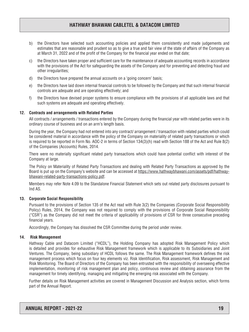- b) the Directors have selected such accounting policies and applied them consistently and made judgements and estimates that are reasonable and prudent so as to give a true and fair view of the state of affairs of the Company as at March 31, 2022 and of the profit of the Company for the financial year ended on that date;
- c) the Directors have taken proper and sufficient care for the maintenance of adequate accounting records in accordance with the provisions of the Act for safeguarding the assets of the Company and for preventing and detecting fraud and other irregularities;
- d) the Directors have prepared the annual accounts on a 'going concern' basis;
- e) the Directors have laid down internal financial controls to be followed by the Company and that such internal financial controls are adequate and are operating effectively; and
- f) the Directors have devised proper systems to ensure compliance with the provisions of all applicable laws and that such systems are adequate and operating effectively.

#### **12. Contracts and arrangements with Related Parties**

 All contracts / arrangements / transactions entered by the Company during the financial year with related parties were in its ordinary course of business and on an arm's length basis.

 During the year, the Company had not entered into any contract/ arrangement / transaction with related parties which could be considered material in accordance with the policy of the Company on materiality of related party transactions or which is required to be reported in Form No. AOC-2 in terms of Section 134(3)(h) read with Section 188 of the Act and Rule 8(2) of the Companies (Accounts) Rules, 2014.

 There were no materially significant related party transactions which could have potential conflict with interest of the Company at large.

 The Policy on Materiality of Related Party Transactions and dealing with Related Party Transactions as approved by the Board is put up on the Company's website and can be accessed at https://www.hathwaybhawani.com/assets/pdf/hathwaybhawani-related-party-transactions-policy.pdf.

 Members may refer Note 4.09 to the Standalone Financial Statement which sets out related party disclosures pursuant to Ind AS.

#### **13. Corporate Social Responsibility**

 Pursuant to the provisions of Section 135 of the Act read with Rule 3(2) the Companies (Corporate Social Responsibility Policy) Rules, 2014, the Company was not required to comply with the provisions of Corporate Social Responsibility ("CSR") as the Company did not meet the criteria of applicability of provisions of CSR for three consecutive preceding financial years.

Accordingly, the Company has dissolved the CSR Committee during the period under review.

#### **14. Risk Management**

 Hathway Cable and Datacom Limited ("HCDL"), the Holding Company has adopted Risk Management Policy which is detailed and provides for exhaustive Risk Management framework which is applicable to its Subsidiaries and Joint Ventures. The Company, being subsidiary of HCDL follows the same. The Risk Management framework defines the risk management process which focus on four key elements viz. Risk Identification, Risk assessment, Risk Management and Risk Monitoring. The Board of Directors of the Company has been entrusted with the responsibility of overseeing effective implementation, monitoring of risk management plan and policy, continuous review and obtaining assurance from the management for timely identifying, managing and mitigating the emerging risk associated with the Company.

 Further details on Risk Management activities are covered in Management Discussion and Analysis section, which forms part of the Annual Report.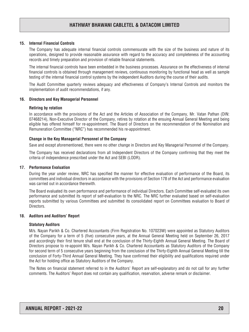#### **15. Internal Financial Controls**

 The Company has adequate internal financial controls commensurate with the size of the business and nature of its operations, designed to provide reasonable assurance with regard to the accuracy and completeness of the accounting records and timely preparation and provision of reliable financial statements.

 The internal financial controls have been embedded in the business processes. Assurance on the effectiveness of internal financial controls is obtained through management reviews, continuous monitoring by functional head as well as sample testing of the internal financial control systems by the independent Auditors during the course of their audits.

 The Audit Committee quarterly reviews adequacy and effectiveness of Company's Internal Controls and monitors the implementation of audit recommendations, if any.

#### **16. Directors and Key Managerial Personnel**

#### **Retiring by rotation**

 In accordance with the provisions of the Act and the Articles of Association of the Company, Mr. Vatan Pathan (DIN: 07468214), Non-Executive Director of the Company, retires by rotation at the ensuing Annual General Meeting and being eligible has offered himself for re-appointment. The Board of Directors on the recommendation of the Nomination and Remuneration Committee ("NRC") has recommended his re-appointment.

#### **Change in the Key Managerial Personnel of the Company**

Save and except aforementioned, there were no other change in Directors and Key Managerial Personnel of the Company.

 The Company has received declarations from all Independent Directors of the Company confirming that they meet the criteria of independence prescribed under the Act and SEBI (LODR).

#### **17. Performance Evaluation**

 During the year under review, NRC has specified the manner for effective evaluation of performance of the Board, its committees and individual directors in accordance with the provisions of Section 178 of the Act and performance evaluation was carried out in accordance therewith.

 The Board evaluated its own performance and performance of individual Directors. Each Committee self-evaluated its own performance and submitted its report of self-evaluation to the NRC. The NRC further evaluated based on self-evaluation reports submitted by various Committees and submitted its consolidated report on Committees evaluation to Board of Directors.

#### **18. Auditors and Auditors' Report**

#### **Statutory Auditors**

 M/s. Nayan Parikh & Co. Chartered Accountants (Firm Registration No. 107023W) were appointed as Statutory Auditors of the Company for a term of 5 (five) consecutive years, at the Annual General Meeting held on September 26, 2017 and accordingly their first tenure shall end at the conclusion of the Thirty-Eighth Annual General Meeting. The Board of Directors propose to re-appoint M/s. Nayan Parikh & Co. Chartered Accountants as Statutory Auditors of the Company for second term of 5 consecutive years beginning from the conclusion of the Thirty-Eighth Annual General Meeting till the conclusion of Forty-Third Annual General Meeting. They have confirmed their eligibility and qualifications required under the Act for holding office as Statutory Auditors of the Company.

 The Notes on financial statement referred to in the Auditors' Report are self-explanatory and do not call for any further comments. The Auditors' Report does not contain any qualification, reservation, adverse remark or disclaimer.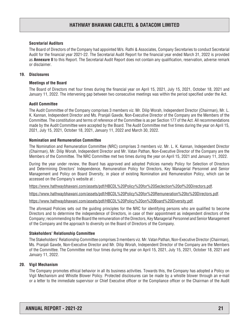#### **Secretarial Auditors**

 The Board of Directors of the Company had appointed M/s. Rathi & Associates, Company Secretaries to conduct Secretarial Audit for the financial year 2021-22. The Secretarial Audit Report for the financial year ended March 31, 2022 is provided as **Annexure II** to this Report. The Secretarial Audit Report does not contain any qualification, reservation, adverse remark or disclaimer.

#### **19. Disclosures**

#### **Meetings of the Board**

 The Board of Directors met four times during the financial year on April 15, 2021, July 15, 2021, October 18, 2021 and January 11, 2022. The intervening gap between two consecutive meetings was within the period specified under the Act.

#### **Audit Committee**

 The Audit Committee of the Company comprises 3 members viz. Mr. Dilip Worah, Independent Director (Chairman), Mr. L. K. Kannan, Independent Director and Ms. Pranjali Gawde, Non-Executive Director of the Company are the Members of the Committee. The constitution and terms of reference of the Committee is as per Section 177 of the Act. All recommendations made by the Audit Committee were accepted by the Board. The Audit Committee met five times during the year on April 15, 2021, July 15, 2021, October 18, 2021, January 11, 2022 and March 30, 2022.

#### **Nomination and Remuneration Committee**

 The Nomination and Remuneration Committee (NRC) comprises 3 members viz. Mr. L. K. Kannan, Independent Director (Chairman), Mr. Dilip Worah, Independent Director and Mr. Vatan Pathan, Non-Executive Director of the Company are the Members of the Committee. The NRC Committee met two times during the year on April 15, 2021 and January 11, 2022.

 During the year under review, the Board has approved and adopted Policies namely Policy for Selection of Directors and Determining Directors' Independence, Remuneration Policy for Directors, Key Managerial Personnel and Senior Management and Policy on Board Diversity, in place of existing Nomination and Remuneration Policy, which can be accessed on the Company's website at :

https://www.hathwaybhawani.com/assets/pdf/HBCDL%20Policy%20for%20Seclection%20of%20Directors.pdf.

https://www.hathwaybhawani.com/assets/pdf/HBCDL%20Policy%20for%20Remuneration%20to%20Directors.pdf.

https://www.hathwaybhawani.com/assets/pdf/HBCDL%20Policy%20on%20Board%20Diversity.pdf.

 The aforesaid Policies sets out the guiding principles for the NRC for identifying persons who are qualified to become Directors and to determine the independence of Directors, in case of their appointment as independent directors of the Company; recommending to the Board the remuneration of the Directors, Key Managerial Personnel and Senior Management of the Company and the approach to diversity on the Board of Directors of the Company.

#### **Stakeholders' Relationship Committee**

 The Stakeholders' Relationship Committee comprises 3 members viz. Mr. Vatan Pathan, Non-Executive Director (Chairman), Ms. Pranjali Gawde, Non-Executive Director and Mr. Dilip Worah, Independent Director of the Company are the Members of the Committee. The Committee met four times during the year on April 15, 2021, July 15, 2021, October 18, 2021 and January 11, 2022.

#### **20. Vigil Mechanism**

 The Company promotes ethical behavior in all its business activities. Towards this, the Company has adopted a Policy on Vigil Mechanism and Whistle Blower Policy. Protected disclosures can be made by a whistle blower through an e-mail or a letter to the immediate supervisor or Chief Executive officer or the Compliance officer or the Chairman of the Audit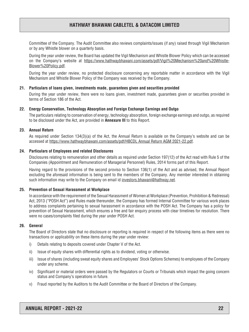Committee of the Company. The Audit Committee also reviews complaints/issues (if any) raised through Vigil Mechanism or by any Whistle blower on a quarterly basis.

 During the year under review, the Board has updated the Vigil Mechanism and Whistle Blower Policy which can be accessed on the Company's website at https://www.hathwaybhawani.com/assets/pdf/Vigil%20Mechanism%20and%20Whistle-Blower%20Policy.pdf.

 During the year under review, no protected disclosure concerning any reportable matter in accordance with the Vigil Mechanism and Whistle Blower Policy of the Company was received by the Company.

#### **21. Particulars of loans given, investments made, guarantees given and securities provided**

 During the year under review, there were no loans given, investment made, guarantees given or securities provided in terms of Section 186 of the Act.

#### **22. Energy Conservation, Technology Absorption and Foreign Exchange Earnings and Outgo**

 The particulars relating to conservation of energy, technology absorption, foreign exchange earnings and outgo, as required to be disclosed under the Act, are provided in **Annexure III** to this Report.

#### **23. Annual Return**

 As required under Section 134(3)(a) of the Act, the Annual Return is available on the Company's website and can be accessed a[t https://www.hathwaybhawani.com/assets/pdf/HBCDL Annual Return AGM 2021-22.pdf.](https://www.hathwaybhawani.com/assets/pdf/HBCDL Annual Return AGM 2021-22.pdf)

#### **24. Particulars of Employees and related Disclosures**

 Disclosures relating to remuneration and other details as required under Section 197(12) of the Act read with Rule 5 of the Companies (Appointment and Remuneration of Managerial Personnel) Rules, 2014 forms part of this Report.

 Having regard to the provisions of the second proviso to Section 136(1) of the Act and as advised, the Annual Report excluding the aforesaid information is being sent to the members of the Company. Any member interested in obtaining such information may write to the Company on email id investors.bhawani@hathway.net.

#### **25. Prevention of Sexual Harassment at Workplace**

 In accordance with the requirement of the Sexual Harassment of Women at Workplace (Prevention, Prohibition & Redressal) Act, 2013 ("POSH Act") and Rules made thereunder, the Company has formed Internal Committee for various work places to address complaints pertaining to sexual harassment in accordance with the POSH Act. The Company has a policy for prevention of Sexual Harassment, which ensures a free and fair enquiry process with clear timelines for resolution. There were no cases/complaints filed during the year under POSH Act.

#### **26. General**

 The Board of Directors state that no disclosure or reporting is required in respect of the following items as there were no transactions or applicability on these items during the year under review:

- i) Details relating to deposits covered under Chapter V of the Act.
- ii) Issue of equity shares with differential rights as to dividend, voting or otherwise.
- iii) Issue of shares (including sweat equity shares and Employees' Stock Options Schemes) to employees of the Company under any scheme.
- iv) Significant or material orders were passed by the Regulators or Courts or Tribunals which impact the going concern status and Company's operations in future.
- v) Fraud reported by the Auditors to the Audit Committee or the Board of Directors of the Company.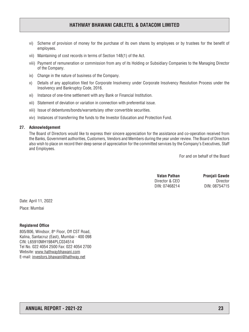- vi) Scheme of provision of money for the purchase of its own shares by employees or by trustees for the benefit of employees.
- vii) Maintaining of cost records in terms of Section 148(1) of the Act.
- viii) Payment of remuneration or commission from any of its Holding or Subsidiary Companies to the Managing Director of the Company.
- ix) Change in the nature of business of the Company.
- x) Details of any application filed for Corporate Insolvency under Corporate Insolvency Resolution Process under the Insolvency and Bankruptcy Code, 2016.
- xi) Instance of one-time settlement with any Bank or Financial Institution.
- xii) Statement of deviation or variation in connection with preferential issue.
- xiii) Issue of debentures/bonds/warrants/any other convertible securities.
- xiv) Instances of transferring the funds to the Investor Education and Protection Fund.

#### **27. Acknowledgement**

 The Board of Directors would like to express their sincere appreciation for the assistance and co-operation received from the Banks, Government authorities, Customers, Vendors and Members during the year under review. The Board of Directors also wish to place on record their deep sense of appreciation for the committed services by the Company's Executives, Staff and Employees.

For and on behalf of the Board

Director & CEO Director DIN: 07468214 DIN: 08754715

**Vatan Pathan Pranjali Gawde**

Date: April 11, 2022

Place: Mumbai

#### **Registered Office**

805/806, Windsor, 8th Floor, Off CST Road, Kalina, Santacruz (East), Mumbai - 400 098 CIN: L65910MH1984PLC034514 Tel No. 022 4054 2500 Fax: 022 4054 2700 Website: www.hathwaybhawani.com E-mail: investors.bhawani@hathway.net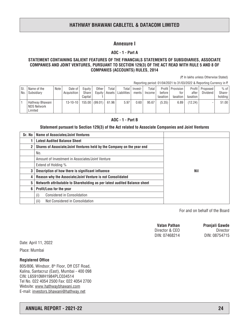#### **Annexure I**

#### **AOC - 1 - Part A**

#### **STATEMENT CONTAINING SALIENT FEATURES OF THE FINANCIALS STATEMENTS OF SUBSIDIARIES, ASSOCIATE COMPANIES AND JOINT VENTURES, PURSUANT TO SECTION 129(3) OF THE ACT READ WITH RULE 5 AND 8 OF COMPANIES (ACCOUNTS) RULES, 2014**

(` In lakhs unless Otherwise Stated)

Reporting period: 01/04/2021 to 31/03/2022 & Reporting Currency in ₹

| SI.  | Name of the                                      | Note | Date of        | Eauity  | Other   | Total  | Total       | Invest- | Total  |          | Profit   Provision | Profit   | Proposed        | $%$ of  |
|------|--------------------------------------------------|------|----------------|---------|---------|--------|-------------|---------|--------|----------|--------------------|----------|-----------------|---------|
| 'No. | Subsidiary                                       |      | Acquisition    | Share   | Eauity  | Assets | Liabilities | ments   | Income | before   | for                | after    | <b>Dividend</b> | Share-  |
|      |                                                  |      |                | Capital |         |        |             |         |        | taxation | taxation           | taxation |                 | holding |
|      | Hathway Bhawani<br><b>NDS Network</b><br>Limited |      | $13 - 10 - 10$ | 155,00  | (99.01) | 61.96  | 5.97        | 0.60    | 95.67  | (5.35)   | 6.89               | (12.24)  |                 | 51.00   |

#### **AOC - 1 - Part B**

#### **Statement pursuant to Section 129(3) of the Act related to Associate Companies and Joint Ventures**

| Sr. No | <b>Name of Associates/Joint Ventures</b>                                  |     |
|--------|---------------------------------------------------------------------------|-----|
|        | <b>Latest Audited Balance Sheet</b>                                       |     |
| 2      | Shares of Associate/Joint Ventures held by the Company on the year end    |     |
|        | No.                                                                       |     |
|        | Amount of Investment in Associates/Joint Venture                          |     |
|        | Extend of Holding %                                                       |     |
| 3      | Description of how there is significant influence                         | Nil |
| 4      | Reason why the Associate/Joint Venture is not Consolidated                |     |
| 5      | Networth attributable to Shareholding as per latest audited Balance sheet |     |
| 6      | Profit/Loss for the year                                                  |     |
|        | Considered in Consolidation<br>(i)                                        |     |
|        | Not Considered in Consolidation<br>(ii)                                   |     |

For and on behalf of the Board

| Vatan Pathan   | Pranjali Gawde |
|----------------|----------------|
| Director & CEO | Director       |
| DIN: 07468214  | DIN: 08754715  |

Date: April 11, 2022

Place: Mumbai

#### **Registered Office**

805/806, Windsor, 8<sup>th</sup> Floor, Off CST Road, Kalina, Santacruz (East), Mumbai - 400 098 CIN: L65910MH1984PLC034514 Tel No. 022 4054 2500 Fax: 022 4054 2700 Website: www.hathwaybhawani.com E-mail: investors.bhawani@hathway.net

**ANNUAL REPORT - 2021-22 24**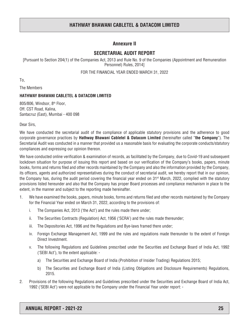#### **Annexure II**

#### **SECRETARIAL AUDIT REPORT**

[Pursuant to Section 204(1) of the Companies Act, 2013 and Rule No. 9 of the Companies (Appointment and Remuneration Personnel) Rules, 2014]

#### FOR THE FINANCIAL YEAR ENDED MARCH 31, 2022

To,

The Members

#### **HATHWAY BHAWANI CABLETEL & DATACOM LIMITED**

805/806, Windsor, 8<sup>th</sup> Floor, Off. CST Road, Kalina, Santacruz (East), Mumbai - 400 098

Dear Sirs,

We have conducted the secretarial audit of the compliance of applicable statutory provisions and the adherence to good corporate governance practices by **Hathway Bhawani Cabletel & Datacom Limited** (hereinafter called "**the Company**"). The Secretarial Audit was conducted in a manner that provided us a reasonable basis for evaluating the corporate conducts/statutory compliances and expressing our opinion thereon.

We have conducted online verification & examination of records, as facilitated by the Company, due to Covid-19 and subsequent lockdown situation for purpose of issuing this report and based on our verification of the Company's books, papers, minute books, forms and returns filed and other records maintained by the Company and also the information provided by the Company, its officers, agents and authorized representatives during the conduct of secretarial audit, we hereby report that in our opinion, the Company has, during the audit period covering the financial year ended on 31<sup>st</sup> March, 2022, complied with the statutory provisions listed hereunder and also that the Company has proper Board processes and compliance mechanism in place to the extent, in the manner and subject to the reporting made hereinafter.

- 1. We have examined the books, papers, minute books, forms and returns filed and other records maintained by the Company for the Financial Year ended on March 31, 2022, according to the provisions of:
	- i. The Companies Act, 2013 ('the Act') and the rules made there under;
	- ii. The Securities Contracts (Regulation) Act, 1956 ('SCRA') and the rules made thereunder;
	- iii. The Depositories Act, 1996 and the Regulations and Bye-laws framed there under;
	- iv. Foreign Exchange Management Act, 1999 and the rules and regulations made thereunder to the extent of Foreign Direct Investment.
	- v. The following Regulations and Guidelines prescribed under the Securities and Exchange Board of India Act, 1992 ('SEBI Act'), to the extent applicable:
		- a) The Securities and Exchange Board of India (Prohibition of Insider Trading) Regulations 2015;
		- b) The Securities and Exchange Board of India (Listing Obligations and Disclosure Requirements) Regulations, 2015.
- 2. Provisions of the following Regulations and Guidelines prescribed under the Securities and Exchange Board of India Act, 1992 ('SEBI Act') were not applicable to the Company under the Financial Year under report: -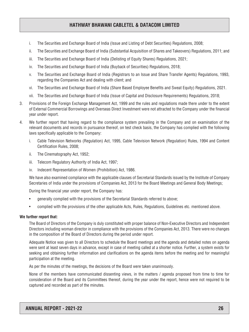- i. The Securities and Exchange Board of India (Issue and Listing of Debt Securities) Regulations, 2008;
- ii. The Securities and Exchange Board of India (Substantial Acquisition of Shares and Takeovers) Regulations, 2011; and
- iii. The Securities and Exchange Board of India (Delisting of Equity Shares) Regulations, 2021;
- iv. The Securities and Exchange Board of India (Buyback of Securities) Regulations, 2018;
- v. The Securities and Exchange Board of India (Registrars to an Issue and Share Transfer Agents) Regulations, 1993, regarding the Companies Act and dealing with client; and
- vi. The Securities and Exchange Board of India (Share Based Employee Benefits and Sweat Equity) Regulations, 2021.
- vii. The Securities and Exchange Board of India (Issue of Capital and Disclosure Requirements) Regulations, 2018;
- 3. Provisions of the Foreign Exchange Management Act, 1999 and the rules and regulations made there under to the extent of External Commercial Borrowings and Overseas Direct Investment were not attracted to the Company under the financial year under report.
- 4. We further report that having regard to the compliance system prevailing in the Company and on examination of the relevant documents and records in pursuance thereof, on test check basis, the Company has complied with the following laws specifically applicable to the Company:
	- i. Cable Television Networks (Regulation) Act, 1995, Cable Television Network (Regulation) Rules, 1994 and Content Certification Rules, 2008;
	- ii. The Cinematography Act, 1952;
	- iii. Telecom Regulatory Authority of India Act, 1997;
	- iv. Indecent Representation of Women (Prohibition) Act, 1986.

 We have also examined compliance with the applicable clauses of Secretarial Standards issued by the Institute of Company Secretaries of India under the provisions of Companies Act, 2013 for the Board Meetings and General Body Meetings;

During the financial year under report, the Company has:

- generally complied with the provisions of the Secretarial Standards referred to above;
- $\epsilon$  complied with the provisions of the other applicable Acts, Rules, Regulations, Guidelines etc. mentioned above.

#### **We further report that:**

 The Board of Directors of the Company is duly constituted with proper balance of Non-Executive Directors and Independent Directors including woman director in compliance with the provisions of the Companies Act, 2013. There were no changes in the composition of the Board of Directors during the period under report.

 Adequate Notice was given to all Directors to schedule the Board meetings and the agenda and detailed notes on agenda were sent at least seven days in advance, except in case of meeting called at a shorter notice. Further, a system exists for seeking and obtaining further information and clarifications on the agenda items before the meeting and for meaningful participation at the meeting.

As per the minutes of the meetings, the decisions of the Board were taken unanimously.

 None of the members have communicated dissenting views, in the matters / agenda proposed from time to time for consideration of the Board and its Committees thereof, during the year under the report, hence were not required to be captured and recorded as part of the minutes.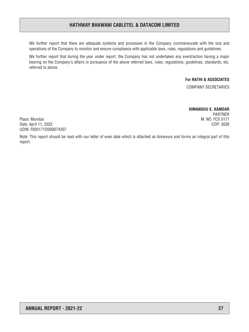We further report that there are adequate systems and processes in the Company commensurate with the size and operations of the Company to monitor and ensure compliance with applicable laws, rules, regulations and guidelines.

 We further report that during the year under report, the Company has not undertaken any event/action having a major bearing on the Company's affairs in pursuance of the above referred laws, rules, regulations, guidelines, standards, etc. referred to above.

**For RATHI & ASSOCIATES**

COMPANY SECRETARIES

**HIMANSHU S. KAMDAR** PARTNER

Place: Mumbai M. No. FCS 5171 Date: April 11, 2022 COP: 3030 UDIN: F005171D000074207

Note: This report should be read with our letter of even date which is attached as Annexure and forms an integral part of this report.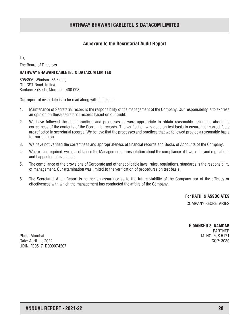#### **Annexure to the Secretarial Audit Report**

To,

The Board of Directors

#### **HATHWAY BHAWANI CABLETEL & DATACOM LIMITED**

805/806, Windsor, 8<sup>th</sup> Floor, Off. CST Road, Kalina, Santacruz (East), Mumbai - 400 098

Our report of even date is to be read along with this letter.

- 1. Maintenance of Secretarial record is the responsibility of the management of the Company. Our responsibility is to express an opinion on these secretarial records based on our audit.
- 2. We have followed the audit practices and processes as were appropriate to obtain reasonable assurance about the correctness of the contents of the Secretarial records. The verification was done on test basis to ensure that correct facts are reflected in secretarial records. We believe that the processes and practices that we followed provide a reasonable basis for our opinion.
- 3. We have not verified the correctness and appropriateness of financial records and Books of Accounts of the Company.
- 4. Where ever required, we have obtained the Management representation about the compliance of laws, rules and regulations and happening of events etc.
- 5. The compliance of the provisions of Corporate and other applicable laws, rules, regulations, standards is the responsibility of management. Our examination was limited to the verification of procedures on test basis.
- 6. The Secretarial Audit Report is neither an assurance as to the future viability of the Company nor of the efficacy or effectiveness with which the management has conducted the affairs of the Company.

**For RATHI & ASSOCIATES**

COMPANY SECRETARIES

**HIMANSHU S. KAMDAR** PARTNER

Place: Mumbai M. No. FCS 5171 Date: April 11, 2022 COP: 3030 UDIN: F005171D000074207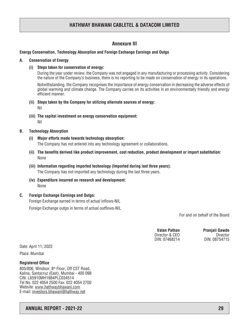#### **Annexure III**

#### **Energy Conservation, Technology Absorption and Foreign Exchange Earnings and Outgo**

#### **A. Conservation of Energy**

#### **(i) Steps taken for conservation of energy:**

 During the year under review, the Company was not engaged in any manufacturing or processing activity. Considering the nature of the Company's business, there is no reporting to be made on conservation of energy in its operations.

 Notwithstanding, the Company recognises the importance of energy conservation in decreasing the adverse effects of global warming and climate change. The Company carries on its activities in an environmentally friendly and energy efficient manner.

- **(ii) Steps taken by the Company for utilizing alternate sources of energy:**  Nil
- **(iii) The capital investment on energy conservation equipment:**  Nil

#### **B. Technology Absorption**

- **(i) Major efforts made towards technology absorption:**  The Company has not entered into any technology agreement or collaborations.
- **(ii) The benefits derived like product improvement, cost reduction, product development or import substitution:**  None
- **(iii) Information regarding imported technology (Imported during last three years):**  The Company has not imported any technology during the last three years.
- **(iv) Expenditure incurred on research and development:**  None

#### **C. Foreign Exchange Earnings and Outgo:**

Foreign Exchange earned in terms of actual inflows-NIL Foreign Exchange outgo in terms of actual outflows-NIL

For and on behalf of the Board

Director & CEO birector<br>DIN: 07468214 DIN: 08754715 DIN: 07468214

**Vatan Pathan Pranjali Gawde**

Date: April 11, 2022

Place: Mumbai

#### **Registered Office**

805/806, Windsor, 8th Floor, Off CST Road, Kalina, Santacruz (East), Mumbai - 400 098 CIN: L65910MH1984PLC034514 Tel No. 022 4054 2500 Fax: 022 4054 2700 Website: www.hathwaybhawani.com E-mail: investors.bhawani@hathway.net

**ANNUAL REPORT - 2021-22 29**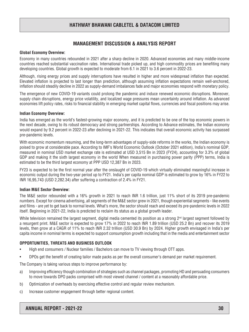#### **MANAGEMENT DISCUSSION & ANALYSIS REPORT**

#### **Global Economy Overview:**

Economy in many countries rebounded in 2021 after a sharp decline in 2020. Advanced economies and many middle-income countries reached substantial vaccination rates. International trade picked up, and high commodity prices are benefiting many developing countries. Global growth is expected to moderate from 6.1 in 2021 to 3.6 percent in 2022-23.

Although, rising energy prices and supply interruptions have resulted in higher and more widespread inflation than expected. Elevated inflation is projected to last longer than prediction, although assuming inflation expectations remain well-anchored, inflation should steadily decline in 2022 as supply-demand imbalances fade and major economies respond with monetary policy.

The emergence of new COVID-19 variants could prolong the pandemic and induce renewed economic disruptions. Moreover, supply chain disruptions, energy price volatility, and localized wage pressures mean uncertainty around inflation. As advanced economies lift policy rates, risks to financial stability in emerging market capital flows, currencies and fiscal positions may arise.

#### **Indian Economy Overview:**

India has emerged as the world's fastest-growing major economy, and it is predicted to be one of the top economic powers in the next decade, owing to its robust democracy and strong partnerships. According to Advance estimates, the Indian economy would expand by 9.2 percent in 2022-23 after declining in 2021-22. This indicates that overall economic activity has surpassed pre-pandemic levels.

With economic momentum resuming, and the long-term advantages of supply-side reforms in the works, the Indian economy is poised to grow at considerable pace. According to IMF's World Economic Outlook (October 2021 edition), India's nominal GDP, measured in nominal USD market exchange rate is estimated at USD 3,515 Bn in 2023 (FY24), accounting for 3.3% of global GDP and making it the sixth largest economy in the world When measured in purchasing power parity (PPP) terms, India is estimated to be the third largest economy at PPP USD 12,387 Bn in 2023.

FY23 is expected to be the first normal year after the onslaught of COVID-19 which virtually eliminated meaningful increase in economic output during the two-year period up to FY21. India's per capita nominal GDP is estimated to grow by 16% in FY22 to INR 16,95,743 (USD 2,282.34) after suffering a contraction of 2.4% in FY21.

#### **Indian M&E Sector Overview:**

The M&E sector rebounded with a 16% growth in 2021 to reach INR 1.6 trillion, just 11% short of its 2019 pre-pandemic numbers. Except for cinema advertising, all segments of the M&E sector grew in 2021, though experiential segments - like events and films - are yet to get back to normal levels. What's more, the sector should reach and exceed its pre-pandemic levels in 2022 itself. Beginning in 2021-22, India is predicted to reclaim its status as a global growth leader.

While television remained the largest segment, digital media cemented its position as a strong  $2^{nd}$  largest segment followed by a resurgent print. M&E sector is expected to grow 17% in 2022 to reach INR 1.89 trillion (USD 25.2 Bn) and recover its 2019 levels, then grow at a CAGR of 11% to reach INR 2.32 trillion (USD 30.9 Bn) by 2024. Higher growth envisaged in India's per capita income in nominal terms is expected to support consumption growth including that in the media and entertainment sector

#### **OPPORTUNITIES, THREATS AND BUSINESS OUTLOOK**

- High end consumers / Nuclear families / Bachelors can move to TV viewing through OTT apps.
- DPOs get the benefit of creating tailor made packs as per the overall consumer's demand per market requirement.

The Company is taking various steps to improve performance by:

- a) Improving efficiency though combination of strategies such as channel packages, promoting HD and persuading consumers to move towards DPO packs comprised with most viewed channel / content at a reasonably affordable price.
- b) Optimization of overheads by exercising effective control and regular review mechanism.
- c) Increase customer engagement through better regional content.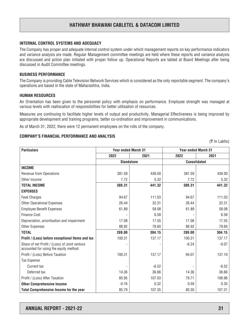#### **INTERNAL CONTROL SYSTEMS AND ADEQUACY**

The Company has proper and adequate internal control system under which management reports on key performance indicators and variance analysis are made. Regular Management committee meetings are held where these reports and variance analysis are discussed and action plan initiated with proper follow up. Operational Reports are tabled at Board Meetings after being discussed in Audit Committee meetings.

#### **BUSINESS PERFORMANCE**

The Company is providing Cable Television Network Services which is considered as the only reportable segment. The company's operations are based in the state of Maharashtra, India.

#### **HUMAN RESOURCES**

An Orientation has been given to the personnel policy with emphasis on performance. Employee strength was managed at various levels with reallocation of responsibilities for better utilisation of resources.

Measures are continuing to facilitate higher levels of output and productivity. Managerial Effectiveness is being improved by appropriate development and training programs, better co-ordination and improvement in communications.

As of March 31, 2022, there were 12 permanent employees on the rolls of the company.

#### **COMPANY'S FINANCIAL PERFORMANCE AND ANALYSIS**

 $($ ₹ In Lakhs)

| <b>Particulars</b>                                                                     | <b>Year ended March 31</b> |         | <b>Year ended March 31</b> |         |
|----------------------------------------------------------------------------------------|----------------------------|---------|----------------------------|---------|
|                                                                                        | 2022                       | 2021    | 2022                       | 2021    |
|                                                                                        | <b>Standalone</b>          |         | <b>Consolidated</b>        |         |
| <b>INCOME</b>                                                                          |                            |         |                            |         |
| <b>Revenue from Operations</b>                                                         | 381.59                     | 436.00  | 381.59                     | 436.00  |
| Other Income                                                                           | 7.72                       | 5.32    | 7.72                       | 5.32    |
| <b>TOTAL INCOME</b>                                                                    | 389.31                     | 441.32  | 389.31                     | 441.32  |
| <b>EXPENSES</b>                                                                        |                            |         |                            |         |
| <b>Feed Charges</b>                                                                    | 94.67                      | 111.03  | 94.67                      | 111.03  |
| <b>Other Operational Expenses</b>                                                      | 26.44                      | 32.31   | 26.44                      | 32.31   |
| <b>Employee Benefit Expenses</b>                                                       | 61.89                      | 58.08   | 61.89                      | 58.08   |
| <b>Finance Cost</b>                                                                    |                            | 6.58    |                            | 6.58    |
| Depreciation, amortisation and impairment                                              | 17.08                      | 17.55   | 17.08                      | 17.55   |
| <b>Other Expenses</b>                                                                  | 88.92                      | 78.60   | 88.92                      | 78.60   |
| <b>TOTAL</b>                                                                           | 289.00                     | 304.15  | 289.00                     | 304.15  |
| Profit / (Loss) before exceptional Items and tax                                       | 100.31                     | 137.17  | 100.31                     | 137.17  |
| Share of net Profit / (Loss) of Joint venture<br>accounted for using the equity method |                            |         | $-6.24$                    | $-0.07$ |
| Profit / (Loss) Before Taxation                                                        | 100.31                     | 137.17  | 94.07                      | 137.10  |
| <b>Tax Expense</b>                                                                     |                            |         |                            |         |
| Current tax                                                                            |                            | $-6.52$ |                            | $-6.52$ |
| Deferred tax                                                                           | 14.36                      | 36.66   | 14.36                      | 36.66   |
| Profit / (Loss) After Taxation                                                         | 85.95                      | 107.03  | 79.71                      | 106.96  |
| <b>Other Comprehensive Income</b>                                                      | $-0.16$                    | 0.32    | 0.59                       | 0.35    |
| <b>Total Comprehensive Income for the year</b>                                         | 85.79                      | 107.35  | 80.30                      | 107.31  |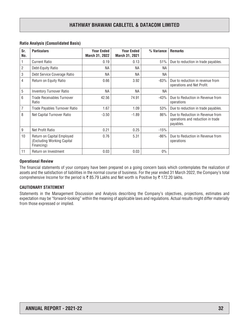| Sr.<br>No.     | <b>Particulars</b>                                                     | <b>Year Ended</b><br>March 31, 2022 | <b>Year Ended</b><br>March 31, 2021 | $%$ Variance | <b>Remarks</b>                                                                     |
|----------------|------------------------------------------------------------------------|-------------------------------------|-------------------------------------|--------------|------------------------------------------------------------------------------------|
|                | <b>Current Ratio</b>                                                   | 0.19                                | 0.13                                | 51%          | Due to reduction in trade payables.                                                |
| $\overline{2}$ | Debt-Equity Ratio                                                      | <b>NA</b>                           | NА                                  | <b>NA</b>    |                                                                                    |
| 3              | Debt Service Coverage Ratio                                            | <b>NA</b>                           | <b>NA</b>                           | NA.          |                                                                                    |
| 4              | Return on Equity Ratio                                                 | 0.66                                | 3.92                                | $-83%$       | Due to reduction in revenue from<br>operations and Net Profit.                     |
| 5              | <b>Inventory Turnover Ratio</b>                                        | <b>NA</b>                           | <b>NA</b>                           | NА           |                                                                                    |
| 6              | Trade Receivables Turnover<br>Ratio                                    | 42.56                               | 74.91                               | $-43%$       | Due to Reduction in Revenue from<br>operations                                     |
| $\overline{7}$ | Trade Payables Turnover Ratio                                          | 1.67                                | 1.09                                | 53%          | Due to reduction in trade payables.                                                |
| 8              | Net Capital Turnover Ratio                                             | $-3.50$                             | $-1.89$                             | 86%          | Due to Reduction in Revenue from<br>operations and reduction in trade<br>payables. |
| 9              | Net Profit Ratio                                                       | 0.21                                | 0.25                                | $-15%$       |                                                                                    |
| 10             | Return on Capital Employed<br>(Excluding Working Capital<br>Financing) | 0.76                                | 5.31                                | $-86%$       | Due to Reduction in Revenue from<br>operations                                     |
| 11             | Return on Investment                                                   | 0.03                                | 0.03                                | $0\%$        |                                                                                    |

#### **Ratio Analysis (Consolidated Basis)**

#### **Operational Review**

The financial statements of your company have been prepared on a going concern basis which contemplates the realization of assets and the satisfaction of liabilities in the normal course of business. For the year ended 31 March 2022, the Company's total comprehensive Income for the period is  $\bar{\tau}$  85.79 Lakhs and Net worth is Positive by  $\bar{\tau}$  172.20 lakhs.

#### **CAUTIONARY STATEMENT**

Statements in the Management Discussion and Analysis describing the Company's objectives, projections, estimates and expectation may be "forward-looking" within the meaning of applicable laws and regulations. Actual results might differ materially from those expressed or implied.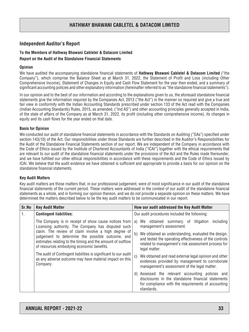#### **Independent Auditor's Report**

#### **To the Members of Hathway Bhawani Cabletel & Datacom Limited**

#### **Report on the Audit of the Standalone Financial Statements**

#### **Opinion**

We have audited the accompanying standalone financial statements of **Hathway Bhawani Cabletel & Datacom Limited** ("the Company"), which comprise the Balance Sheet as at March 31, 2022, the Statement of Profit and Loss (including Other Comprehensive Income), Statement of Changes in Equity and Cash Flow Statement for the year then ended, and a summary of significant accounting policies and other explanatory information (hereinafter referred to as "the standalone financial statements").

In our opinion and to the best of our information and according to the explanations given to us, the aforesaid standalone financial statements give the information required by the Companies Act, 2013 ("the Act") in the manner so required and give a true and fair view in conformity with the Indian Accounting Standards prescribed under section 133 of the Act read with the Companies (Indian Accounting Standards) Rules, 2015, as amended, ("Ind AS") and other accounting principles generally accepted in India, of the state of affairs of the Company as at March 31, 2022, its profit (including other comprehensive income), its changes in equity and its cash flows for the year ended on that date.

#### **Basis for Opinion**

We conducted our audit of standalone financial statements in accordance with the Standards on Auditing ("SAs") specified under section 143(10) of the Act. Our responsibilities under those Standards are further described in the Auditor's Responsibilities for the Audit of the Standalone Financial Statements section of our report. We are independent of the Company in accordance with the Code of Ethics issued by the Institute of Chartered Accountants of India ("ICAI") together with the ethical requirements that are relevant to our audit of the standalone financial statements under the provisions of the Act and the Rules made thereunder, and we have fulfilled our other ethical responsibilities in accordance with these requirements and the Code of Ethics issued by ICAI. We believe that the audit evidence we have obtained is sufficient and appropriate to provide a basis for our opinion on the standalone financial statements.

#### **Key Audit Matters**

Key audit matters are those matters that, in our professional judgement, were of most significance in our audit of the standalone financial statements of the current period. These matters were addressed in the context of our audit of the standalone financial statements as a whole, and in forming our opinion thereon, and we do not provide a separate opinion on these matters. We have determined the matters described below to be the key audit matters to be communicated in our report.

| Sr.No | <b>Key Audit Matter</b>                                                                                                                                                                                                                                                                                                                                      | How our audit addressed the Key Audit Matter                                                                                                                                          |  |  |  |
|-------|--------------------------------------------------------------------------------------------------------------------------------------------------------------------------------------------------------------------------------------------------------------------------------------------------------------------------------------------------------------|---------------------------------------------------------------------------------------------------------------------------------------------------------------------------------------|--|--|--|
| 1.    | <b>Contingent liabilities:</b>                                                                                                                                                                                                                                                                                                                               | Our audit procedures included the following:                                                                                                                                          |  |  |  |
|       | The Company is in receipt of show cause notices from<br>Licensing authority. The Company has disputed such                                                                                                                                                                                                                                                   | a) We obtained summary of<br>litigation<br>including<br>management's assessment.                                                                                                      |  |  |  |
|       | claim. The review of claim involve a high degree of<br>judgement to determine the possible outcome, and<br>estimates relating to the timing and the amount of outflow<br>of resources embodying economic benefits.<br>The audit of Contingent liabilities is significant to our audit<br>as any adverse outcome may have material impact on this<br>Company. | We obtained an understanding, evaluated the design,<br>and tested the operating effectiveness of the controls<br>related to management's risk assessment process for<br>legal matter. |  |  |  |
|       |                                                                                                                                                                                                                                                                                                                                                              | We obtained and read external legal opinion and other<br>$\mathcal{C}$ )<br>evidences provided by management to corroborate<br>management's assessment of the legal matter.           |  |  |  |
|       |                                                                                                                                                                                                                                                                                                                                                              | d) Assessed the relevant accounting policies and<br>disclosures in the standalone financial statements<br>for compliance with the requirements of accounting<br>standards.            |  |  |  |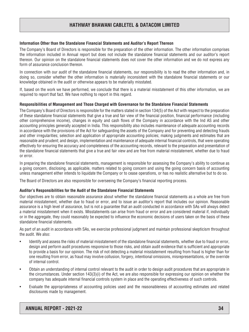#### **Information Other than the Standalone Financial Statements and Auditor's Report Thereon**

The Company's Board of Directors is responsible for the preparation of the other information. The other information comprises the information included in Annual report but does not include the standalone financial statements and our auditor's report thereon. Our opinion on the standalone financial statements does not cover the other information and we do not express any form of assurance conclusion thereon.

In connection with our audit of the standalone financial statements, our responsibility is to read the other information and, in doing so, consider whether the other information is materially inconsistent with the standalone financial statements or our knowledge obtained in the audit or otherwise appears to be materially misstated.

If, based on the work we have performed, we conclude that there is a material misstatement of this other information, we are required to report that fact. We have nothing to report in this regard.

#### **Responsibilities of Management and Those Charged with Governance for the Standalone Financial Statements**

The Company's Board of Directors is responsible for the matters stated in section 134(5) of the Act with respect to the preparation of these standalone financial statements that give a true and fair view of the financial position, financial performance (including other comprehensive income), changes in equity and cash flows of the Company in accordance with the Ind AS and other accounting principles generally accepted in India. This responsibility also includes maintenance of adequate accounting records in accordance with the provisions of the Act for safeguarding the assets of the Company and for preventing and detecting frauds and other irregularities; selection and application of appropriate accounting policies; making judgments and estimates that are reasonable and prudent; and design, implementation and maintenance of adequate internal financial controls, that were operating effectively for ensuring the accuracy and completeness of the accounting records, relevant to the preparation and presentation of the standalone financial statements that give a true and fair view and are free from material misstatement, whether due to fraud or error.

In preparing the standalone financial statements, management is responsible for assessing the Company's ability to continue as a going concern, disclosing, as applicable, matters related to going concern and using the going concern basis of accounting unless management either intends to liquidate the Company or to cease operations, or has no realistic alternative but to do so.

The Board of Directors are also responsible for overseeing the Company's financial reporting process.

#### **Auditor's Responsibilities for the Audit of the Standalone Financial Statements**

Our objectives are to obtain reasonable assurance about whether the standalone financial statements as a whole are free from material misstatement, whether due to fraud or error, and to issue an auditor's report that includes our opinion. Reasonable assurance is a high level of assurance, but is not a guarantee that an audit conducted in accordance with SAs will always detect a material misstatement when it exists. Misstatements can arise from fraud or error and are considered material if, individually or in the aggregate, they could reasonably be expected to influence the economic decisions of users taken on the basis of these standalone financial statements.

As part of an audit in accordance with SAs, we exercise professional judgment and maintain professional skepticism throughout the audit. We also:

- Identify and assess the risks of material misstatement of the standalone financial statements, whether due to fraud or error, design and perform audit procedures responsive to those risks, and obtain audit evidence that is sufficient and appropriate to provide a basis for our opinion. The risk of not detecting a material misstatement resulting from fraud is higher than for one resulting from error, as fraud may involve collusion, forgery, intentional omissions, misrepresentations, or the override of internal control.
- Obtain an understanding of internal control relevant to the audit in order to design audit procedures that are appropriate in the circumstances. Under section 143(3)(i) of the Act, we are also responsible for expressing our opinion on whether the company has adequate internal financial controls system in place and the operating effectiveness of such controls.
- Evaluate the appropriateness of accounting policies used and the reasonableness of accounting estimates and related disclosures made by management.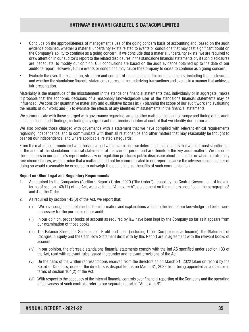- Conclude on the appropriateness of management's use of the going concern basis of accounting and, based on the audit evidence obtained, whether a material uncertainty exists related to events or conditions that may cast significant doubt on the Company's ability to continue as a going concern. If we conclude that a material uncertainty exists, we are required to draw attention in our auditor's report to the related disclosures in the standalone financial statements or, if such disclosures are inadequate, to modify our opinion. Our conclusions are based on the audit evidence obtained up to the date of our auditor's report. However, future events or conditions may cause the Company to cease to continue as a going concern.
- Evaluate the overall presentation, structure and content of the standalone financial statements, including the disclosures, and whether the standalone financial statements represent the underlying transactions and events in a manner that achieves fair presentation.

Materiality is the magnitude of the misstatement in the standalone financial statements that, individually or in aggregate, makes it probable that the economic decisions of a reasonably knowledgeable user of the standalone financial statements may be influenced. We consider quantitative materiality and qualitative factors in; (i) planning the scope of our audit work and evaluating the results of our work; and (ii) to evaluate the effects of any identified misstatements in the financial statements.

We communicate with those charged with governance regarding, among other matters, the planned scope and timing of the audit and significant audit findings, including any significant deficiencies in internal control that we identify during our audit.

We also provide those charged with governance with a statement that we have complied with relevant ethical requirements regarding independence, and to communicate with them all relationships and other matters that may reasonably be thought to bear on our independence, and where applicable, related safeguards.

From the matters communicated with those charged with governance, we determine those matters that were of most significance in the audit of the standalone financial statements of the current period and are therefore the key audit matters. We describe these matters in our auditor's report unless law or regulation precludes public disclosure about the matter or when, in extremely rare circumstances, we determine that a matter should not be communicated in our report because the adverse consequences of doing so would reasonably be expected to outweigh the public interest benefits of such communication.

#### **Report on Other Legal and Regulatory Requirements**

- 1. As required by the Companies (Auditor's Report) Order, 2020 ("the Order"), issued by the Central Government of India in terms of section 143(11) of the Act, we give in the "Annexure A", a statement on the matters specified in the paragraphs 3 and 4 of the Order.
- 2. As required by section 143(3) of the Act, we report that:
	- (i) We have sought and obtained all the information and explanations which to the best of our knowledge and belief were necessary for the purposes of our audit;
	- (ii) In our opinion, proper books of account as required by law have been kept by the Company so far as it appears from our examination of those books;
	- (iii) The Balance Sheet, the Statement of Profit and Loss (including Other Comprehensive Income), the Statement of Changes in Equity and the Cash Flow Statement dealt with by this Report are in agreement with the relevant books of account;
	- (iv) In our opinion, the aforesaid standalone financial statements comply with the Ind AS specified under section 133 of the Act, read with relevant rules issued thereunder and relevant provisions of the Act;
	- (v) On the basis of the written representations received from the directors as on March 31, 2022 taken on record by the Board of Directors, none of the directors is disqualified as on March 31, 2022 from being appointed as a director in terms of section 164(2) of the Act;
	- (vi) With respect to the adequacy of the internal financial controls over financial reporting of the Company and the operating effectiveness of such controls, refer to our separate report in "Annexure B";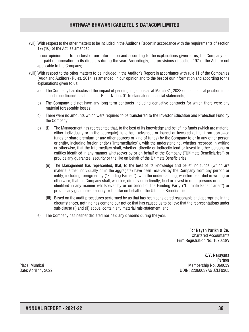(vii) With respect to the other matters to be included in the Auditor's Report in accordance with the requirements of section 197(16) of the Act, as amended:

 In our opinion and to the best of our information and according to the explanations given to us, the Company has not paid remuneration to its directors during the year. Accordingly, the provisions of section 197 of the Act are not applicable to the Company;

- (viii) With respect to the other matters to be included in the Auditor's Report in accordance with rule 11 of the Companies (Audit and Auditors) Rules, 2014, as amended, in our opinion and to the best of our information and according to the explanations given to us:
	- a) The Company has disclosed the impact of pending litigations as at March 31, 2022 on its financial position in its standalone financial statements - Refer Note 4.01 to standalone financial statements;
	- b) The Company did not have any long-term contracts including derivative contracts for which there were any material foreseeable losses;
	- c) There were no amounts which were required to be transferred to the Investor Education and Protection Fund by the Company;
	- d) (i) The Management has represented that, to the best of its knowledge and belief, no funds (which are material either individually or in the aggregate) have been advanced or loaned or invested (either from borrowed funds or share premium or any other sources or kind of funds) by the Company to or in any other person or entity, including foreign entity ("Intermediaries"), with the understanding, whether recorded in writing or otherwise, that the Intermediary shall, whether, directly or indirectly lend or invest in other persons or entities identified in any manner whatsoever by or on behalf of the Company ("Ultimate Beneficiaries") or provide any guarantee, security or the like on behalf of the Ultimate Beneficiaries;
		- (ii) The Management has represented, that, to the best of its knowledge and belief, no funds (which are material either individually or in the aggregate) have been received by the Company from any person or entity, including foreign entity ("Funding Parties"), with the understanding, whether recorded in writing or otherwise, that the Company shall, whether, directly or indirectly, lend or invest in other persons or entities identified in any manner whatsoever by or on behalf of the Funding Party ("Ultimate Beneficiaries") or provide any guarantee, security or the like on behalf of the Ultimate Beneficiaries;
		- (iii) Based on the audit procedures performed by us that has been considered reasonable and appropriate in the circumstances, nothing has come to our notice that has caused us to believe that the representations under sub-clause (i) and (ii) above, contain any material mis-statement; and
	- e) The Company has neither declared nor paid any dividend during the year.

**For Nayan Parikh & Co.** Chartered Accountants Firm Registration No. 107023W

**K.Y. Narayana** Partner Place: Mumbai Membership No. 060639 Date: April 11, 2022 UDIN: 22060639AGUZLF9365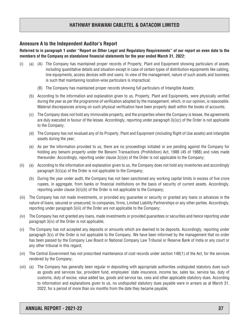#### **Annexure A to the Independent Auditor's Report**

#### **Referred to in paragraph 1 under "Report on Other Legal and Regulatory Requirements" of our report on even date to the members of the Company on standalone financial statements for the year ended March 31, 2022:**

- (i) (a) (A) The Company has maintained proper records of Property, Plant and Equipment showing particulars of assets including quantitative details and situation except in case of certain types of distribution equipments like cabling, line equipments, access devices with end users. In view of the management, nature of such assets and business is such that maintaining location-wise particulars is impractical;
	- (B) The Company has maintained proper records showing full particulars of Intangible Assets;
	- (b) According to the information and explanation given to us, Property, Plant and Equipments, were physically verified during the year as per the programme of verification adopted by the management, which, in our opinion, is reasonable. Material discrepancies arising on such physical verification have been properly dealt within the books of accounts;
	- (c) The Company does not hold any immovable property, and the properties where the Company is lessee, the agreements are duly executed in favour of the lessee. Accordingly, reporting under paragraph 3(i)(c) of the Order is not applicable to the Company;
	- (d) The Company has not revalued any of its Property, Plant and Equipment (including Right of Use assets) and intangible assets during the year;
	- (e) As per the information provided to us, there are no proceedings initiated or are pending against the Company for holding any benami property under the Benami Transactions (Prohibition) Act, 1988 (45 of 1988) and rules made thereunder. Accordingly, reporting under clause 3(i)(e) of the Order is not applicable to the Company;
- (ii) (a) According to the information and explanation given to us, the Company does not hold any inventories and accordingly paragraph 3(ii)(a) of the Order is not applicable to the Company;
	- (b) During the year under audit, the Company has not been sanctioned any working capital limits in excess of five crore rupees, in aggregate, from banks or financial institutions on the basis of security of current assets. Accordingly, reporting under clause 3(ii)(b) of the Order is not applicable to the Company;
- (iii) The Company has not made investments, or provided any guarantee or security or granted any loans or advances in the nature of loans, secured or unsecured, to companies, firms, Limited Liability Partnerships or any other parties. Accordingly, reporting under paragraph 3(iii) of the Order are not applicable to the Company;
- (iv) The Company has not granted any loans, made investments or provided guarantees or securities and hence reporting under paragraph 3(iv) of the Order is not applicable;
- (v) The Company has not accepted any deposits or amounts which are deemed to be deposits. Accordingly, reporting under paragraph 3(v) of the Order is not applicable to the Company. We have been informed by the management that no order has been passed by the Company Law Board or National Company Law Tribunal or Reserve Bank of India or any court or any other tribunal in this regard;
- (vi) The Central Government has not prescribed maintenance of cost records under section 148(1) of the Act, for the services rendered by the Company;
- (vii) (a) The Company has generally been regular in depositing with appropriate authorities undisputed statutory dues such as goods and services tax, provident fund, employees' state insurance, income tax, sales tax, service tax, duty of customs, duty of excise, value added tax, goods and service tax, cess and other applicable statutory dues. According to information and explanations given to us, no undisputed statutory dues payable were in arrears as at March 31, 2022, for a period of more than six months from the date they became payable;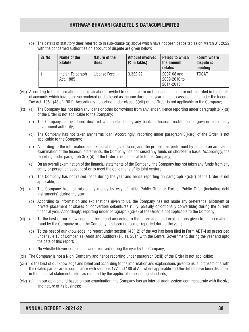(b) The details of statutory dues referred to in sub-clause (a) above which have not been deposited as on March 31, 2022 with the concerned authorities on account of dispute are given below:

| Sr.No. | Name of the<br><b>Statute</b> | Nature of the<br><b>Dues</b> | <b>Amount involved</b><br>$($ ₹ in lakhs) | <b>Period to which</b><br>the amount<br>relates | <b>Forum where</b><br>dispute is<br>pending |
|--------|-------------------------------|------------------------------|-------------------------------------------|-------------------------------------------------|---------------------------------------------|
|        | Indian Telegraph<br>Act, 1885 | License Fees                 | 3.322.22                                  | 2007-08 and<br>2009-2010 to<br>2014-2015        | <b>TDSAT</b>                                |

- (viii) According to the information and explaination provided to us, there are no transactions that are not recorded in the books of accounts which have been surrendered or disclosed as income during the year in the tax assessments under the Income Tax Act, 1961 (43 of 1961). Accordingly, reporting under clause 3(viii) of the Order is not applicable to the Company;
- (ix) (a) The Company has not taken any loans or other borrowings from any lender. Hence reporting under paragraph  $3(ix)(a)$ of the Order is not applicable to the Company;
	- (b) The Company has not been declared wilful defaulter by any bank or financial institution or government or any government authority;
	- (c) The Company has not taken any terms loan. Accordingly, reporting under paragraph 3(ix)(c) of the Order is not applicable to the Company;
	- (d) According to the information and explainations given to us, and the procedures performed by us, and on an overall examination of the financial statements, the Company has not raised any funds on short-term basis. Accordingly, the reporting under paragraph 3(ix)(d) of the Order is not applicable to the Company;
	- (e) On an overall examination of the financial statements of the Company, the Company has not taken any funds from any entity or person on account of or to meet the obligations of its joint venture;
	- (f) The Company has not raised loans during the year and hence reporting on paragraph  $3(ix)(f)$  of the Order is not applicable;
- (x) (a) The Company has not raised any money by way of Initial Public Offer or Further Public Offer (including debt instruments) during the year;
	- (b) According to information and explanations given to us, the Company has not made any preferential allotment or private placement of shares or convertible debentures (fully, partially or optionally convertible) during the current financial year. Accordingly, reporting under paragraph 3(x)(a) of the Order is not applicable to the Company;
- (xi) (a) To the best of our knowledge and belief and according to the information and explanations given to us, no material fraud by the Company or on the Company has been noticed or reported during the year;
	- (b) To the best of our knowledge, no report under section 143(12) of the Act has been filed in Form ADT-4 as prescribed under rule 13 of Companies (Audit and Auditors) Rules, 2014 with the Central Government, during the year and upto the date of this report;
	- (c) No whistle-blower complaints were received during the eyar by the Company;
- (xii) The Company is not a Nidhi Company and hence reporting under paragraph 3(xii) of the Order is not applicable;
- (xiii) To the best of our knowledge and belief and according to the information and explanations given to us, all transactions with the related parties are in compliance with sections 177 and 188 of Act where applicable and the details have been disclosed in the financial statements, etc., as required by the applicable accounting standards;
- (xiv) (a) In our opinion and based on our examination, the Company has an internal audit system commensurate with the size and nature of its business;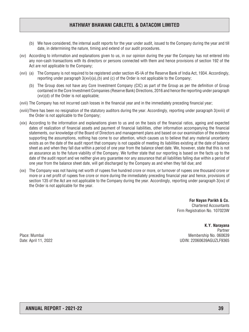- (b) We have considered, the internal audit reports for the year under audit, issued to the Company during the year and till date, in determining the nature, timing and extend of our audit procedures.
- (xv) According to information and explanations given to us, in our opinion during the year the Company has not entered into any non-cash transactions with its directors or persons connected with them and hence provisions of section 192 of the Act are not applicable to the Company;
- (xvi) (a) The Company is not required to be registered under section 45-IA of the Reserve Bank of India Act, 1934. Accordingly, reporting under paragraph 3(xvi)(a),(b) and (c) of the Order is not applicable to the Company;
	- (b) The Group does not have any Core Investment Company (CIC) as part of the Group as per the definition of Group contained in the Core Investment Companies (Reserve Bank) Directions, 2016 and hence the reporting under paragraph (xvi)(d) of the Order is not applicable;
- (xvii) The Company has not incurred cash losses in the financial year and in the immediately preceding financial year;
- (xviii) There has been no resignation of the statutory auditors during the year. Accordingly, reporting under paragraph 3(xviii) of the Order is not applicable to the Company;
- (xix) According to the information and explanations given to us and on the basis of the financial ratios, ageing and expected dates of realization of financial assets and payment of financial liabilities, other information accompanying the financial statements, our knowledge of the Board of Directors and management plans and based on our examination of the evidence supporting the assumptions, nothing has come to our attention, which causes us to believe that any material uncertainty exists as on the date of the audit report that company is not capable of meeting its liabilities existing at the date of balance sheet as and when they fall due within a period of one year from the balance sheet date. We, however, state that this is not an assurance as to the future viability of the Company. We further state that our reporting is based on the facts up to the date of the audit report and we neither give any guarantee nor any assurance that all liabilities falling due within a period of one year from the balance sheet date, will get discharged by the Company as and when they fall due; and
- (xx) The Company was not having net worth of rupees five hundred crore or more, or turnover of rupees one thousand crore or more or a net profit of rupees five crore or more during the immediately preceding financial year and hence, provisions of section 135 of the Act are not applicable to the Company during the year. Accordingly, reporting under paragraph 3(xx) of the Order is not applicable for the year.

**For Nayan Parikh & Co.** Chartered Accountants Firm Registration No. 107023W

### **K.Y. Narayana**

Partner Place: Mumbai Membership No. 060639 Place: Mumbai Membership No. 060639 Date: April 11, 2022 UDIN: 22060639AGUZLF9365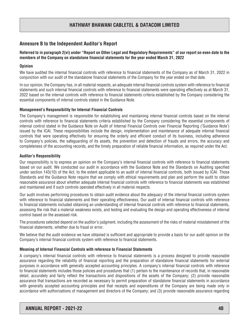### **Annexure B to the Independent Auditor's Report**

### **Referred to in paragraph 2(vi) under "Report on Other Legal and Regulatory Requirements" of our report on even date to the members of the Company on standalone financial statements for the year ended March 31, 2022**

### **Opinion**

We have audited the internal financial controls with reference to financial statements of the Company as of March 31, 2022 in conjunction with our audit of the standalone financial statements of the Company for the year ended on that date.

In our opinion, the Company has, in all material respects, an adequate internal financial controls system with reference to financial statements and such internal financial controls with reference to financial statements were operating effectively as at March 31, 2022 based on the internal controls with reference to financial statements criteria established by the Company considering the essential components of internal controls stated in the Guidance Note.

### **Management's Responsibility for Internal Financial Controls**

The Company's management is responsible for establishing and maintaining internal financial controls based on the internal controls with reference to financial statements criteria established by the Company considering the essential components of internal control stated in the Guidance Note on Audit of Internal Financial Controls over Financial Reporting ('Guidance Note') issued by the ICAI. These responsibilities include the design, implementation and maintenance of adequate internal financial controls that were operating effectively for ensuring the orderly and efficient conduct of its business, including adherence to Company's policies, the safeguarding of its assets, the prevention and detection of frauds and errors, the accuracy and completeness of the accounting records, and the timely preparation of reliable financial information, as required under the Act.

### **Auditor's Responsibility**

Our responsibility is to express an opinion on the Company's internal financial controls with reference to financial statements based on our audit. We conducted our audit in accordance with the Guidance Note and the Standards on Auditing specified under section 143(10) of the Act, to the extent applicable to an audit of internal financial controls, both issued by ICAI. Those Standards and the Guidance Note require that we comply with ethical requirements and plan and perform the audit to obtain reasonable assurance about whether adequate internal financial controls with reference to financial statements was established and maintained and if such controls operated effectively in all material respects.

Our audit involves performing procedures to obtain audit evidence about the adequacy of the internal financial controls system with reference to financial statements and their operating effectiveness. Our audit of internal financial controls with reference to financial statements included obtaining an understanding of internal financial controls with reference to financial statements, assessing the risk that a material weakness exists, and testing and evaluating the design and operating effectiveness of internal control based on the assessed risk.

The procedures selected depend on the auditor's judgment, including the assessment of the risks of material misstatement of the financial statements, whether due to fraud or error.

We believe that the audit evidence we have obtained is sufficient and appropriate to provide a basis for our audit opinion on the Company's internal financial controls system with reference to financial statements.

### **Meaning of Internal Financial Controls with reference to Financial Statements**

A company's internal financial controls with reference to financial statements is a process designed to provide reasonable assurance regarding the reliability of financial reporting and the preparation of standalone financial statements for external purposes in accordance with generally accepted accounting principles. A company's internal financial controls with reference to financial statements includes those policies and procedures that (1) pertain to the maintenance of records that, in reasonable detail, accurately and fairly reflect the transactions and dispositions of the assets of the Company; (2) provide reasonable assurance that transactions are recorded as necessary to permit preparation of standalone financial statements in accordance with generally accepted accounting principles and that receipts and expenditures of the Company are being made only in accordance with authorizations of management and directors of the Company; and (3) provide reasonable assurance regarding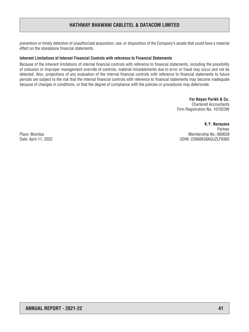prevention or timely detection of unauthorized acquisition, use, or disposition of the Company's assets that could have a material effect on the standalone financial statements.

### **Inherent Limitations of Internal Financial Controls with reference to Financial Statements**

Because of the inherent limitations of internal financial controls with reference to financial statements, including the possibility of collusion or improper management override of controls, material misstatements due to error or fraud may occur and not be detected. Also, projections of any evaluation of the internal financial controls with reference to financial statements to future periods are subject to the risk that the internal financial controls with reference to financial statements may become inadequate because of changes in conditions, or that the degree of compliance with the policies or procedures may deteriorate.

> **For Nayan Parikh & Co.** Chartered Accountants Firm Registration No. 107023W

**K.Y. Narayana** Partner Place: Mumbai Membership No. 060639<br>Date: April 11, 2022 Membership No. 060639 UDIN: 22060639AGUZLF9365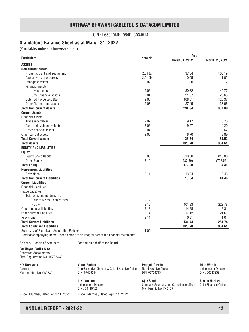CIN : L65910MH1984PLC034514

### **Standalone Balance Sheet as at March 31, 2022**

 $(\bar{\tau}$  in lakhs unless otherwise stated)

| <b>Particulars</b>                                                                      | Note No. | As at          |                |
|-----------------------------------------------------------------------------------------|----------|----------------|----------------|
|                                                                                         |          | March 31, 2022 | March 31, 2021 |
| <b>ASSETS</b>                                                                           |          |                |                |
| <b>Non-current Assets</b>                                                               |          |                |                |
| Property, plant and equipment                                                           | 2.01(a)  | 97.34          | 105.19         |
| Capital work in progress                                                                | 2.01(b)  | 0.65           | 1.05           |
| Intangible assets                                                                       | 2.02     | 1.90           | 3.12           |
| <b>Financial Assets</b>                                                                 |          |                |                |
| Investments                                                                             | 2.03     | 39.62          | 40.77          |
| Other financial assets                                                                  | 2.04     | 21.97          | 23.63          |
| Deferred Tax Assets (Net)                                                               | 2.05     | 106.01         | 120.37         |
| Other Non-current assets                                                                | 2.06     | 27.45          | 36.96          |
| <b>Total Non-current Assets</b>                                                         |          | 294.94         | 331.09         |
| <b>Current Assets</b>                                                                   |          |                |                |
| <b>Financial Assets</b>                                                                 |          |                |                |
| Trade receivables                                                                       | 2.07     | 9.17           | 8.76           |
| Cash and cash equivalents                                                               | 2.08     | 9.97           | 14.20          |
| Other financial assets                                                                  | 2.04     |                | 0.67           |
| Other current assets                                                                    | 2.06     | 6.70           | 9.89           |
| <b>Total Current Assets</b>                                                             |          | 25.84          | 33.52          |
| <b>Total Assets</b>                                                                     |          | 320.78         | 364.61         |
| <b>EQUITY AND LIABILITIES</b>                                                           |          |                |                |
| <b>Equity</b>                                                                           |          |                |                |
| <b>Equity Share Capital</b>                                                             | 2.09     | 810.00         | 810.00         |
| <b>Other Equity</b>                                                                     | 2.10     | (637.80)       | (723.59)       |
| <b>Total Equity</b>                                                                     |          | 172.20         | 86.41          |
| <b>Non-current Liabilities</b>                                                          |          |                |                |
| Provisions                                                                              | 2.11     | 13.84          | 13.46          |
| <b>Total Non-current Liabilities</b>                                                    |          | 13.84          | 13.46          |
| <b>Current Liabilities</b>                                                              |          |                |                |
| <b>Financial Liabilities</b>                                                            |          |                |                |
| Trade payables                                                                          |          |                |                |
| Total outstanding dues of :                                                             |          |                |                |
| - Micro & small enterprises                                                             | 2.12     |                |                |
| - Other                                                                                 | 2.12     | 101.83         | 223.78         |
| Other financial liabilities                                                             | 2.13     | 14.88          | 18.31          |
| <b>Other current Liabilities</b>                                                        | 2.14     | 17.12          | 21.61          |
| Provisions                                                                              | 2.11     | 0.91           | 1.04           |
| <b>Total Current Liabilities</b>                                                        |          | 134.74         | 264.74         |
| <b>Total Equity and Liabilities</b>                                                     |          | 320.78         | 364.61         |
| <b>Summary of Significant Accounting Policies</b>                                       | 1.00     |                |                |
| Refer accompanying notes. These notes are an integral part of the financial statements. |          |                |                |

As per our report of even date For and on behalf of the Board

**For Nayan Parikh & Co.** Chartered Accountants Firm Registration No. 107023W

**K Y Narayana**  Partner Membership No. 060639 **Vatan Pathan** 

Non-Executive Director & Chief Executive Officer DIN: 07468214

**L.K. Kannan**  Independent Director DIN : 00110428

**Pranjali Gawde** Non-Executive Director DIN: 08754715

**Ajay Singh**  Company Secretary and Compliance officer Membership No: F- 5189

**Dilip Worah** Independent Director DIN : 00047252

**Basant Haritwal**  Chief Financial Officer

Place : Mumbai, Dated: April 11, 2022 Place : Mumbai, Dated: April 11, 2022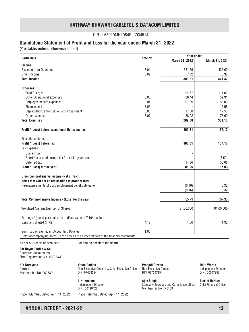CIN : L65910MH1984PLC034514

### **Standalone Statement of Profit and Loss for the year ended March 31, 2022**

 $(\bar{\tau}$  in lakhs unless otherwise stated)

| <b>Particulars</b>                                                                      | Note No. | <b>Year ended</b> |                |
|-----------------------------------------------------------------------------------------|----------|-------------------|----------------|
|                                                                                         |          | March 31, 2022    | March 31, 2021 |
| Income                                                                                  |          |                   |                |
| Revenue from Operations                                                                 | 3.01     | 381.59            | 436.00         |
| Other Income                                                                            | 3.02     | 7.72              | 5.32           |
| <b>Total Income</b>                                                                     |          | 389.31            | 441.32         |
|                                                                                         |          |                   |                |
| <b>Expenses</b>                                                                         |          |                   |                |
| <b>Feed Charges</b>                                                                     |          | 94.67             | 111.03         |
| Other Operational expenses                                                              | 3.03     | 26.44             | 32.31          |
| Employee benefit expenses                                                               | 3.04     | 61.89             | 58.08          |
| Finance cost                                                                            | 3.05     |                   | 6.58           |
| Depreciation, amortisation and impairment                                               | 3.06     | 17.08             | 17.55          |
| Other expenses                                                                          | 3.07     | 88.92             | 78.60          |
| <b>Total Expenses</b>                                                                   |          | 289.00            | 304.15         |
|                                                                                         |          |                   |                |
| Profit / (Loss) before exceptional items and tax                                        |          | 100.31            | 137.17         |
|                                                                                         |          |                   |                |
| <b>Exceptional items</b>                                                                |          |                   |                |
| Profit / (Loss) before tax                                                              |          | 100.31            | 137.17         |
| Tax Expense:                                                                            |          |                   |                |
| <b>Current tax</b>                                                                      |          |                   |                |
| Short / excess of current tax for earlier years (net)                                   |          |                   | (6.52)         |
| Deferred tax                                                                            |          | 14.36             | 36.66          |
| Profit / (Loss) for the year                                                            |          | 85.95             | 107.03         |
|                                                                                         |          |                   |                |
| Other comprehensive income (Net of Tax)                                                 |          |                   |                |
| Items that will not be reclassified to profit or loss                                   |          |                   |                |
| Re-measurements of post employment benefit obligation                                   |          | (0.16)            | 0.32           |
|                                                                                         |          | (0.16)            | 0.32           |
|                                                                                         |          |                   |                |
| Total Comprehensive Income / (Loss) for the year                                        |          | 85.79             | 107.35         |
|                                                                                         |          |                   |                |
| Weighted Average Number of Shares                                                       |          | 81,00,000         | 81,00,000      |
|                                                                                         |          |                   |                |
| Earnings / (Loss) per equity share (Face value of ₹ 10/- each) :                        |          |                   |                |
| Basic and diluted (in ₹)                                                                | 4.12     | 1.06              | 1.32           |
|                                                                                         |          |                   |                |
| Summary of Significant Accounting Policies                                              | 1.00     |                   |                |
| Refer accompanying notes. These notes are an integral part of the financial statements. |          |                   |                |
| For and on behalf of the Board<br>As per our report of even date                        |          |                   |                |
| Ear Navan Darikh & Co.                                                                  |          |                   |                |

**For Nayan Parikh & Co.** Chartered Accountants Firm Registration No. 107023W

**K Y Narayana**  Partner Membership No. 060639 **Vatan Pathan**  Non-Executive Director & Chief Executive Officer DIN: 07468214

**L.K. Kannan**  Independent Director DIN : 00110428

**Pranjali Gawde** Non-Executive Director DIN: 08754715

**Ajay Singh**  Company Secretary and Compliance officer Membership No: F- 5189

**Dilip Worah** Independent Director DIN : 00047252

**Basant Haritwal**  Chief Financial Officer

Place : Mumbai, Dated: April 11, 2022 Place : Mumbai, Dated: April 11, 2022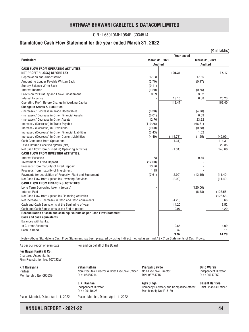CIN : L65910MH1984PLC034514

### **Standalone Cash Flow Statement for the year ended March 31, 2022**

|                                                                        |                |                   |                | (₹ in lakhs) |
|------------------------------------------------------------------------|----------------|-------------------|----------------|--------------|
|                                                                        |                | <b>Year ended</b> |                |              |
| <b>Particulars</b>                                                     | March 31, 2022 |                   | March 31, 2021 |              |
|                                                                        | <b>Audited</b> |                   | <b>Audited</b> |              |
| <b>CASH FLOW FROM OPERATING ACTIVITIES:</b>                            |                |                   |                |              |
| NET PROFIT / (LOSS) BEFORE TAX                                         |                | 100.31            |                | 137.17       |
| Depreciation and Amortisation                                          | 17.08          |                   | 17.55          |              |
| Amount no Longer Payable Written Back                                  | (2.70)         |                   | (0.17)         |              |
| <b>Sundry Balance Write Back</b>                                       | (0.11)         |                   |                |              |
| Interest Income                                                        | (1.20)         |                   | (0.75)         |              |
| Provision for Gratuity and Leave Encashment                            | 0.09           |                   | 3.02           |              |
| <b>Interest Expense</b>                                                |                | 13.16             | 6.58           | 26.23        |
| Operating Profit Before Change in Working Capital                      |                | 113.47            |                | 163.40       |
| <b>Change in Assets &amp; Liabilities</b>                              |                |                   |                |              |
| (Increase) / Decrease in Trade Receivables                             | (0.30)         |                   | (4.78)         |              |
| (Increase) / Decrease in Other Financial Assets                        | (0.01)         |                   | 0.09           |              |
| (Increase) / Decrease in Other Assets                                  | 12.70          |                   | 23.22          |              |
| Increase / (Decrease) in Trade Payable                                 | (119.25)       |                   | (66.81)        |              |
| Increase / (Decrease) in Provisions                                    | (0.00)         |                   | (0.58)         |              |
| Increase / (Decrease) in Other Financial Liabilities                   | (3.43)         |                   | 1.02           |              |
| Increase / (Decrease) in Other Current Liabilities                     | (4.49)         | (114.78)          | (1.25)         | (49.09)      |
| <b>Cash Generated from Operations</b>                                  |                | (1.31)            |                | 114.31       |
| Taxes Refund Received /(Paid) (Net)                                    |                |                   |                | 29.35        |
| Net Cash flow from / (used in) Operating activities                    |                | (1.31)            |                | 143.66       |
| <b>CASH FLOW FROM INVESTING ACTIVITIES:</b>                            |                |                   |                |              |
| <b>Interest Received</b>                                               | 1.78           |                   | 0.75           |              |
| <b>Investment in Fixed Deposit</b>                                     | (12.00)        |                   |                |              |
| Proceeds from maturity of Fixed Deposit                                | 13.76          |                   |                |              |
| Proceeds from maturity of Investment                                   | 1.15           |                   |                |              |
| Payments for acquisition of Property, Plant and Equipment              | (7.61)         | (2.92)            | (12.15)        | (11.40)      |
| Net Cash Flow from / (used in) Investing Activities                    |                | (2.92)            |                | (11.40)      |
| <b>CASH FLOW FROM FINANCING ACTIVITIES:</b>                            |                |                   |                |              |
| Long Term Borrowing taken / (repaid)                                   |                |                   | (120.00)       |              |
| <b>Interest Paid</b>                                                   |                |                   | (6.58)         | (126.58)     |
| Net Cash Flow from / (used in) Financing Activities                    |                |                   |                | (126.58)     |
| Net Increase / (Decrease) in Cash and Cash equivalents                 |                | (4.23)            |                | 5.68         |
| Cash and Cash Equivalents at the Beginning of year                     |                | 14.20             |                | 8.52         |
| Cash and Cash Equivalents at the End of period                         |                | 9.97              |                | 14.20        |
| Reconciliation of cash and cash equivalents as per Cash Flow Statement |                |                   |                |              |
| <b>Cash and cash equivalents</b>                                       |                |                   |                |              |
| Balances with banks:                                                   |                |                   |                |              |
| In Current Accounts                                                    |                | 9.65              |                | 14.09        |
| Cash in Hand                                                           |                | 0.32              |                | 0.11         |
|                                                                        |                | 9.97              |                | 14.20        |

Note - Above Standalone Cash Flow Statement has been prepared by using Indirect method as per Ind AS - 7 on Statements of Cash Flows.

As per our report of even date For and on behalf of the Board

**For Nayan Parikh & Co.** Chartered Accountants Firm Registration No. 107023W

**K Y Narayana**  Partner Membership No. 060639 **Vatan Pathan**  Non-Executive Director & Chief Executive Officer DIN: 07468214

**L.K. Kannan**  Independent Director DIN : 00110428

**Pranjali Gawde** Non-Executive Director DIN: 08754715

**Ajay Singh**  Company Secretary and Compliance officer Membership No: F- 5189

**Dilip Worah** Independent Director DIN : 00047252

**Basant Haritwal**  Chief Financial Officer

Place : Mumbai, Dated: April 11, 2022 Place : Mumbai, Dated: April 11, 2022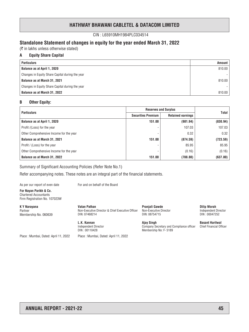### CIN : L65910MH1984PLC034514

### **Standalone Statement of changes in equity for the year ended March 31, 2022**

 $(\bar{\tau}$  in lakhs unless otherwise stated)

### **A Equity Share Capital**

| <b>Particulars</b>                              | Amount |
|-------------------------------------------------|--------|
| Balance as at April 1, 2020                     | 810.00 |
| Changes in Equity Share Capital during the year |        |
| Balance as at March 31, 2021                    | 810.00 |
| Changes in Equity Share Capital during the year |        |
| Balance as at March 31, 2022                    | 810.00 |

### **B Other Equity:**

| <b>Particulars</b>                      | <b>Reserves and Surplus</b> |                          | Total    |
|-----------------------------------------|-----------------------------|--------------------------|----------|
|                                         | <b>Securities Premium</b>   | <b>Retained earnings</b> |          |
| Balance as at April 1, 2020             | 151.00                      | (981.94)                 | (830.94) |
| Profit /(Loss) for the year             |                             | 107.03                   | 107.03   |
| Other Comprehensive Income for the year |                             | 0.32                     | 0.32     |
| Balance as at March 31, 2021            | 151.00                      | (874.59)                 | (723.59) |
| Profit / (Loss) for the year            |                             | 85.95                    | 85.95    |
| Other Comprehensive Income for the year |                             | (0.16)                   | (0.16)   |
| Balance as at March 31, 2022            | 151.00                      | (788.80)                 | (637.80) |

Summary of Significant Accounting Policies (Refer Note No.1)

Refer accompanying notes. These notes are an integral part of the financial statements.

As per our report of even date For and on behalf of the Board

**For Nayan Parikh & Co.** Chartered Accountants Firm Registration No. 107023W

**K Y Narayana**  Partner Membership No. 060639 **Vatan Pathan**  Non-Executive Director & Chief Executive Officer DIN: 07468214

**L.K. Kannan**  Independent Director DIN : 00110428

**Pranjali Gawde** Non-Executive Director DIN: 08754715

**Ajay Singh**  Company Secretary and Compliance officer Membership No: F- 5189

**Dilip Worah** Independent Director DIN : 00047252

**Basant Haritwal**  Chief Financial Officer

Place : Mumbai, Dated: April 11, 2022 Place : Mumbai, Dated: April 11, 2022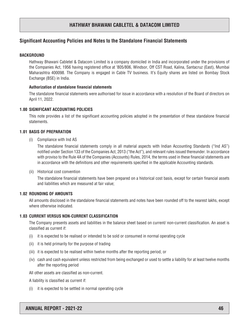### **Significant Accounting Policies and Notes to the Standalone Financial Statements**

### **BACKGROUND**

 Hathway Bhawani Cabletel & Datacom Limited is a company domiciled in India and incorporated under the provisions of the Companies Act, 1956 having registered office at '805/806, Windsor, Off CST Road, Kalina, Santacruz (East), Mumbai Maharashtra 400098. The Company is engaged in Cable TV business. It's Equity shares are listed on Bombay Stock Exchange (BSE) in India.

### **Authorization of standalone financial statements**

 The standalone financial statements were authorised for issue in accordance with a resolution of the Board of directors on April 11, 2022.

### **1.00 SIGNIFICANT ACCOUNTING POLICIES**

 This note provides a list of the significant accounting policies adopted in the presentation of these standalone financial statements.

### **1.01 BASIS OF PREPARATION**

(i) Compliance with Ind AS

 The standalone financial statements comply in all material aspects with Indian Accounting Standards ("Ind AS") notified under Section 133 of the Companies Act, 2013 ("the Act"), and relevant rules issued thereunder. In accordance with proviso to the Rule 4A of the Companies (Accounts) Rules, 2014, the terms used in these financial statements are in accordance with the definitions and other requirements specified in the applicable Accounting standards.

(ii) Historical cost convention

 The standalone financial statements have been prepared on a historical cost basis, except for certain financial assets and liabilities which are measured at fair value;

### **1.02 ROUNDING OF AMOUNTS**

 All amounts disclosed in the standalone financial statements and notes have been rounded off to the nearest lakhs, except where otherwise indicated.

### **1.03 CURRENT VERSUS NON-CURRENT CLASSIFICATION**

 The Company presents assets and liabilities in the balance sheet based on current/ non-current classification. An asset is classified as current if:

- (i) it is expected to be realised or intended to be sold or consumed in normal operating cycle
- (ii) it is held primarily for the purpose of trading
- (iii) it is expected to be realised within twelve months after the reporting period, or
- (iv) cash and cash equivalent unless restricted from being exchanged or used to settle a liability for at least twelve months after the reporting period

All other assets are classified as non-current.

A liability is classified as current if:

(i) it is expected to be settled in normal operating cycle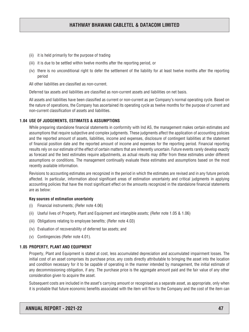- (ii) it is held primarily for the purpose of trading
- (iii) it is due to be settled within twelve months after the reporting period, or
- (iv) there is no unconditional right to defer the settlement of the liability for at least twelve months after the reporting period

All other liabilities are classified as non-current.

Deferred tax assets and liabilities are classified as non-current assets and liabilities on net basis.

 All assets and liabilities have been classified as current or non-current as per Company's normal operating cycle. Based on the nature of operations, the Company has ascertained its operating cycle as twelve months for the purpose of current and non-current classification of assets and liabilities.

### **1.04 USE OF JUDGEMENTS, ESTIMATES & ASSUMPTIONS**

 While preparing standalone financial statements in conformity with Ind AS, the management makes certain estimates and assumptions that require subjective and complex judgments. These judgments affect the application of accounting policies and the reported amount of assets, liabilities, income and expenses, disclosure of contingent liabilities at the statement of financial position date and the reported amount of income and expenses for the reporting period. Financial reporting results rely on our estimate of the effect of certain matters that are inherently uncertain. Future events rarely develop exactly as forecast and the best estimates require adjustments, as actual results may differ from these estimates under different assumptions or conditions. The management continually evaluate these estimates and assumptions based on the most recently available information.

 Revisions to accounting estimates are recognized in the period in which the estimates are revised and in any future periods affected. In particular, information about significant areas of estimation uncertainty and critical judgments in applying accounting policies that have the most significant effect on the amounts recognized in the standalone financial statements are as below:

### **Key sources of estimation uncertainty**

- (i) Financial instruments; (Refer note 4.06)
- (ii) Useful lives of Property, Plant and Equipment and intangible assets; (Refer note 1.05 & 1.06)
- (iii) Obligations relating to employee benefits; (Refer note 4.03)
- (iv) Evaluation of recoverability of deferred tax assets; and
- (v) Contingencies (Refer note 4.01).

### **1.05 PROPERTY, PLANT AND EQUIPMENT**

 Property, Plant and Equipment is stated at cost, less accumulated depreciation and accumulated impairment losses. The initial cost of an asset comprises its purchase price, any costs directly attributable to bringing the asset into the location and condition necessary for it to be capable of operating in the manner intended by management, the initial estimate of any decommissioning obligation, if any. The purchase price is the aggregate amount paid and the fair value of any other consideration given to acquire the asset.

 Subsequent costs are included in the asset's carrying amount or recognised as a separate asset, as appropriate, only when it is probable that future economic benefits associated with the item will flow to the Company and the cost of the item can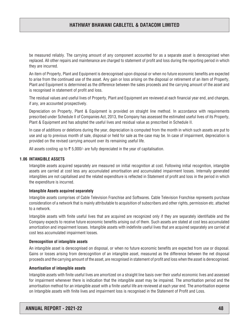be measured reliably. The carrying amount of any component accounted for as a separate asset is derecognised when replaced. All other repairs and maintenance are charged to statement of profit and loss during the reporting period in which they are incurred.

 An item of Property, Plant and Equipment is derecognised upon disposal or when no future economic benefits are expected to arise from the continued use of the asset. Any gain or loss arising on the disposal or retirement of an item of Property, Plant and Equipment is determined as the difference between the sales proceeds and the carrying amount of the asset and is recognised in statement of profit and loss.

 The residual values and useful lives of Property, Plant and Equipment are reviewed at each financial year end, and changes, if any, are accounted prospectively.

 Depreciation on Property, Plant & Equipment is provided on straight line method. In accordance with requirements prescribed under Schedule II of Companies Act, 2013, the Company has assessed the estimated useful lives of its Property, Plant & Equipment and has adopted the useful lives and residual value as prescribed in Schedule II.

 In case of additions or deletions during the year, depreciation is computed from the month in which such assets are put to use and up to previous month of sale, disposal or held for sale as the case may be. In case of impairment, depreciation is provided on the revised carrying amount over its remaining useful life.

All assets costing up to  $\overline{\tau}$  5,000/- are fully depreciated in the year of capitalisation.

### **1.06 INTANGIBLE ASSETS**

 Intangible assets acquired separately are measured on initial recognition at cost. Following initial recognition, intangible assets are carried at cost less any accumulated amortisation and accumulated impairment losses. Internally generated intangibles are not capitalised and the related expenditure is reflected in Statement of profit and loss in the period in which the expenditure is incurred.

### **Intangible Assets acquired separately**

 Intangible assets comprises of Cable Television Franchise and Softwares. Cable Television Franchise represents purchase consideration of a network that is mainly attributable to acquisition of subscribers and other rights, permission etc. attached to a network.

 Intangible assets with finite useful lives that are acquired are recognized only if they are separately identifiable and the Company expects to receive future economic benefits arising out of them. Such assets are stated at cost less accumulated amortization and impairment losses. Intangible assets with indefinite useful lives that are acquired separately are carried at cost less accumulated impairment losses.

### **Derecognition of intangible assets**

 An intangible asset is derecognised on disposal, or when no future economic benefits are expected from use or disposal. Gains or losses arising from derecognition of an intangible asset, measured as the difference between the net disposal proceeds and the carrying amount of the asset, are recognised in statement of profit and loss when the asset is derecognised.

### **Amortisation of intangible assets**

 Intangible assets with finite useful lives are amortized on a straight line basis over their useful economic lives and assessed for impairment whenever there is indication that the intangible asset may be impaired. The amortisation period and the amortisation method for an intangible asset with a finite useful life are reviewed at each year end. The amortisation expense on Intangible assets with finite lives and impairment loss is recognised in the Statement of Profit and Loss.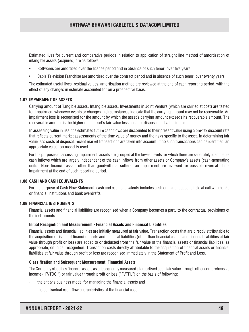Estimated lives for current and comparative periods in relation to application of straight line method of amortisation of intangible assets (acquired) are as follows:

- Softwares are amortized over the license period and in absence of such tenor, over five years.
- Cable Television Franchise are amortized over the contract period and in absence of such tenor, over twenty years.

 The estimated useful lives, residual values, amortisation method are reviewed at the end of each reporting period, with the effect of any changes in estimate accounted for on a prospective basis.

### **1.07 IMPAIRMENT OF ASSETS**

 Carrying amount of Tangible assets, Intangible assets, Investments in Joint Venture (which are carried at cost) are tested for impairment whenever events or changes in circumstances indicate that the carrying amount may not be recoverable. An impairment loss is recognised for the amount by which the asset's carrying amount exceeds its recoverable amount. The recoverable amount is the higher of an asset's fair value less costs of disposal and value in use.

 In assessing value in use, the estimated future cash flows are discounted to their present value using a pre-tax discount rate that reflects current market assessments of the time value of money and the risks specific to the asset. In determining fair value less costs of disposal, recent market transactions are taken into account. If no such transactions can be identified, an appropriate valuation model is used.

 For the purposes of assessing impairment, assets are grouped at the lowest levels for which there are separately identifiable cash inflows which are largely independent of the cash inflows from other assets or Company's assets (cash-generating units). Non- financial assets other than goodwill that suffered an impairment are reviewed for possible reversal of the impairment at the end of each reporting period.

### **1.08 CASH AND CASH EQUIVALENTS**

 For the purpose of Cash Flow Statement, cash and cash equivalents includes cash on hand, deposits held at call with banks or financial institutions and bank overdrafts.

### **1.09 FINANCIAL INSTRUMENTS**

 Financial assets and financial liabilities are recognised when a Company becomes a party to the contractual provisions of the instruments.

### **Initial Recognition and Measurement - Financial Assets and Financial Liabilities**

 Financial assets and financial liabilities are initially measured at fair value. Transaction costs that are directly attributable to the acquisition or issue of financial assets and financial liabilities (other than financial assets and financial liabilities at fair value through profit or loss) are added to or deducted from the fair value of the financial assets or financial liabilities, as appropriate, on initial recognition. Transaction costs directly attributable to the acquisition of financial assets or financial liabilities at fair value through profit or loss are recognised immediately in the Statement of Profit and Loss.

### **Classification and Subsequent Measurement: Financial Assets**

 The Company classifies financial assets as subsequently measured at amortised cost, fair value through other comprehensive income ("FVTOCI") or fair value through profit or loss ("FVTPL") on the basis of following:

- the entity's business model for managing the financial assets and
- the contractual cash flow characteristics of the financial asset.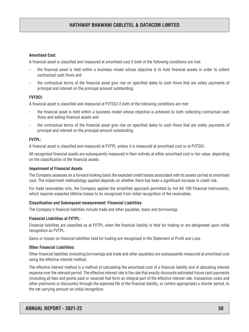### **Amortised Cost:**

A financial asset is classified and measured at amortised cost if both of the following conditions are met:

- the financial asset is held within a business model whose objective is to hold financial assets in order to collect contractual cash flows and
- the contractual terms of the financial asset give rise on specified dates to cash flows that are solely payments of principal and interest on the principal amount outstanding.

### **FVTOCI:**

A financial asset is classified and measured at FVTOCI if both of the following conditions are met:

- the financial asset is held within a business model whose objective is achieved by both collecting contractual cash flows and selling financial assets and
- the contractual terms of the financial asset give rise on specified dates to cash flows that are solely payments of principal and interest on the principal amount outstanding.

### **FVTPL:**

A financial asset is classified and measured at FVTPL unless it is measured at amortised cost or at FVTOCI.

 All recognised financial assets are subsequently measured in their entirety at either amortised cost or fair value, depending on the classification of the financial assets.

### **Impairment of Financial Assets**

 The Company assesses on a forward looking basis the expected credit losses associated with its assets carried at amortised cost. The impairment methodology applied depends on whether there has been a significant increase in credit risk.

 For trade receivables only, the Company applies the simplified approach permitted by Ind AS 109 Financial Instruments, which requires expected lifetime losses to be recognised from initial recognition of the receivables.

### **Classification and Subsequent measurement: Financial Liabilities**

The Company's financial liabilities include trade and other payables, loans and borrowings.

### **Financial Liabilities at FVTPL:**

 Financial liabilities are classified as at FVTPL when the financial liability is held for trading or are designated upon initial recognition as FVTPL.

Gains or losses on financial liabilities held for trading are recognised in the Statement of Profit and Loss.

### **Other Financial Liabilities:**

 Other financial liabilities (including borrowings and trade and other payables) are subsequently measured at amortised cost using the effective interest method.

 The effective interest method is a method of calculating the amortised cost of a financial liability and of allocating interest expense over the relevant period. The effective interest rate is the rate that exactly discounts estimated future cash payments (including all fees and points paid or received that form an integral part of the effective interest rate, transaction costs and other premiums or discounts) through the expected life of the financial liability, or (where appropriate) a shorter period, to the net carrying amount on initial recognition.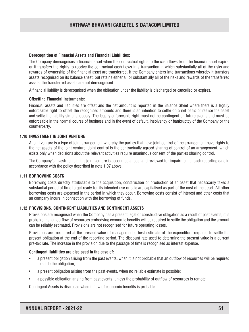### **Derecognition of Financial Assets and Financial Liabilities:**

 The Company derecognises a financial asset when the contractual rights to the cash flows from the financial asset expire, or it transfers the rights to receive the contractual cash flows in a transaction in which substantially all of the risks and rewards of ownership of the financial asset are transferred. If the Company enters into transactions whereby it transfers assets recognised on its balance sheet, but retains either all or substantially all of the risks and rewards of the transferred assets, the transferred assets are not derecognised.

A financial liability is derecognised when the obligation under the liability is discharged or cancelled or expires.

### **Offsetting Financial Instruments:**

 Financial assets and liabilities are offset and the net amount is reported in the Balance Sheet where there is a legally enforceable right to offset the recognised amounts and there is an intention to settle on a net basis or realise the asset and settle the liability simultaneously. The legally enforceable right must not be contingent on future events and must be enforceable in the normal course of business and in the event of default, insolvency or bankruptcy of the Company or the counterparty.

### **1.10 INVESTMENT IN JOINT VENTURE**

 A joint venture is a type of joint arrangement whereby the parties that have joint control of the arrangement have rights to the net assets of the joint venture. Joint control is the contractually agreed sharing of control of an arrangement, which exists only when decisions about the relevant activities require unanimous consent of the parties sharing control.

 The Company's investments in it's joint venture is accounted at cost and reviewed for impairment at each reporting date in accordance with the policy described in note 1.07 above.

### **1.11 BORROWING COSTS**

 Borrowing costs directly attributable to the acquisition, construction or production of an asset that necessarily takes a substantial period of time to get ready for its intended use or sale are capitalised as part of the cost of the asset. All other borrowing costs are expensed in the period in which they occur. Borrowing costs consist of interest and other costs that an company incurs in connection with the borrowing of funds.

### **1.12 PROVISIONS, CONTINGENT LIABILITIES AND CONTINGENT ASSETS**

 Provisions are recognised when the Company has a present legal or constructive obligation as a result of past events, it is probable that an outflow of resources embodying economic benefits will be required to settle the obligation and the amount can be reliably estimated. Provisions are not recognised for future operating losses.

 Provisions are measured at the present value of management's best estimate of the expenditure required to settle the present obligation at the end of the reporting period. The discount rate used to determine the present value is a current pre-tax rate. The increase in the provision due to the passage of time is recognised as interest expense.

### **Contingent liabilities are disclosed in the case of:**

- a present obligation arising from the past events, when it is not probable that an outflow of resources will be required to settle the obligation;
- a present obligation arising from the past events, when no reliable estimate is possible;
- a possible obligation arising from past events, unless the probability of outflow of resources is remote.

Contingent Assets is disclosed when inflow of economic benefits is probable.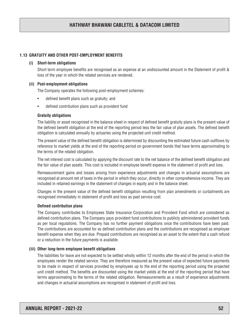### **1.13 GRATUITY AND OTHER POST-EMPLOYMENT BENEFITS**

### **(i) Short-term obligations**

 Short term employee benefits are recognised as an expense at an undiscounted amount in the Statement of profit & loss of the year in which the related services are rendered.

### **(ii) Post-employment obligations**

The Company operates the following post-employment schemes:

- ∙ defined benefit plans such as gratuity; and
- ∙ defined contribution plans such as provident fund

### **Gratuity obligations**

 The liability or asset recognised in the balance sheet in respect of defined benefit gratuity plans is the present value of the defined benefit obligation at the end of the reporting period less the fair value of plan assets. The defined benefit obligation is calculated annually by actuaries using the projected unit credit method.

 The present value of the defined benefit obligation is determined by discounting the estimated future cash outflows by reference to market yields at the end of the reporting period on government bonds that have terms approximating to the terms of the related obligation.

 The net interest cost is calculated by applying the discount rate to the net balance of the defined benefit obligation and the fair value of plan assets. This cost is included in employee benefit expense in the statement of profit and loss.

 Remeasurement gains and losses arising from experience adjustments and changes in actuarial assumptions are recognised at amount net of taxes in the period in which they occur, directly in other comprehensive income. They are included in retained earnings in the statement of changes in equity and in the balance sheet.

 Changes in the present value of the defined benefit obligation resulting from plan amendments or curtailments are recognised immediately in statement of profit and loss as past service cost.

### **Defined contribution plans**

 The Company contributes to Employees State Insurance Corporation and Provident Fund which are considered as defined contribution plans. The Company pays provident fund contributions to publicly administered provident funds as per local regulations. The Company has no further payment obligations once the contributions have been paid. The contributions are accounted for as defined contribution plans and the contributions are recognised as employee benefit expense when they are due. Prepaid contributions are recognised as an asset to the extent that a cash refund or a reduction in the future payments is available.

### **(iii) Other long-term employee benefit obligations**

 The liabilities for leave are not expected to be settled wholly within 12 months after the end of the period in which the employees render the related service. They are therefore measured as the present value of expected future payments to be made in respect of services provided by employees up to the end of the reporting period using the projected unit credit method. The benefits are discounted using the market yields at the end of the reporting period that have terms approximating to the terms of the related obligation. Remeasurements as a result of experience adjustments and changes in actuarial assumptions are recognised in statement of profit and loss.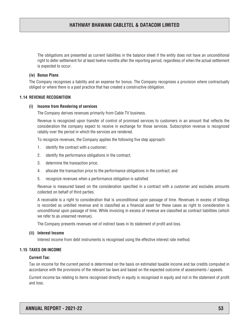The obligations are presented as current liabilities in the balance sheet if the entity does not have an unconditional right to defer settlement for at least twelve months after the reporting period, regardless of when the actual settlement is expected to occur.

### **(iv) Bonus Plans**

 The Company recognises a liability and an expense for bonus. The Company recognises a provision where contractually obliged or where there is a past practice that has created a constructive obligation.

### **1.14 REVENUE RECOGNITION**

### **(i) Income from Rendering of services**

The Company derives revenues primarily from Cable TV business.

 Revenue is recognized upon transfer of control of promised services to customers in an amount that reflects the consideration the company expect to receive in exchange for those services. Subscription revenue is recognized ratably over the period in which the services are rendered.

To recognize revenues, the Company applies the following five step approach:

- 1. identify the contract with a customer;
- 2. identify the performance obligations in the contract;
- 3. determine the transaction price;
- 4. allocate the transaction price to the performance obligations in the contract; and
- 5. recognize revenues when a performance obligation is satisfied

 Revenue is measured based on the consideration specified in a contract with a customer and excludes amounts collected on behalf of third parties.

 A receivable is a right to consideration that is unconditional upon passage of time. Revenues in excess of billings is recorded as unbilled revenue and is classified as a financial asset for these cases as right to consideration is unconditional upon passage of time. While invoicing in excess of revenue are classified as contract liabilities (which we refer to as unearned revenue).

The Company presents revenues net of indirect taxes in its statement of profit and loss.

### **(ii) Interest Income**

Interest income from debt instruments is recognised using the effective interest rate method.

### **1.15 TAXES ON INCOME**

### **Current Tax:**

 Tax on income for the current period is determined on the basis on estimated taxable income and tax credits computed in accordance with the provisions of the relevant tax laws and based on the expected outcome of assessments / appeals.

 Current income tax relating to items recognised directly in equity is recognised in equity and not in the statement of profit and loss.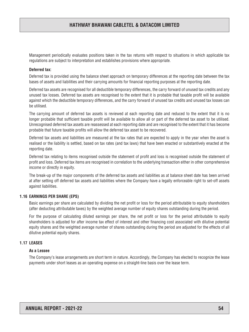Management periodically evaluates positions taken in the tax returns with respect to situations in which applicable tax regulations are subject to interpretation and establishes provisions where appropriate.

### **Deferred tax:**

 Deferred tax is provided using the balance sheet approach on temporary differences at the reporting date between the tax bases of assets and liabilities and their carrying amounts for financial reporting purposes at the reporting date.

 Deferred tax assets are recognised for all deductible temporary differences, the carry forward of unused tax credits and any unused tax losses. Deferred tax assets are recognised to the extent that it is probable that taxable profit will be available against which the deductible temporary differences, and the carry forward of unused tax credits and unused tax losses can be utilised.

 The carrying amount of deferred tax assets is reviewed at each reporting date and reduced to the extent that it is no longer probable that sufficient taxable profit will be available to allow all or part of the deferred tax asset to be utilised. Unrecognised deferred tax assets are reassessed at each reporting date and are recognised to the extent that it has become probable that future taxable profits will allow the deferred tax asset to be recovered.

 Deferred tax assets and liabilities are measured at the tax rates that are expected to apply in the year when the asset is realised or the liability is settled, based on tax rates (and tax laws) that have been enacted or substantively enacted at the reporting date.

 Deferred tax relating to items recognised outside the statement of profit and loss is recognised outside the statement of profit and loss. Deferred tax items are recognised in correlation to the underlying transaction either in other comprehensive income or directly in equity.

 The break-up of the major components of the deferred tax assets and liabilities as at balance sheet date has been arrived at after setting off deferred tax assets and liabilities where the Company have a legally enforceable right to set-off assets against liabilities.

### **1.16 EARNINGS PER SHARE (EPS)**

 Basic earnings per share are calculated by dividing the net profit or loss for the period attributable to equity shareholders (after deducting attributable taxes) by the weighted average number of equity shares outstanding during the period.

 For the purpose of calculating diluted earnings per share, the net profit or loss for the period attributable to equity shareholders is adjusted for after income tax effect of interest and other financing cost associated with dilutive potential equity shares and the weighted average number of shares outstanding during the period are adjusted for the effects of all dilutive potential equity shares.

### **1.17 LEASES**

### **As a Lessee**

 The Company's lease arrangements are short term in nature. Accordingly, the Company has elected to recognize the lease payments under short leases as an operating expense on a straight-line basis over the lease term.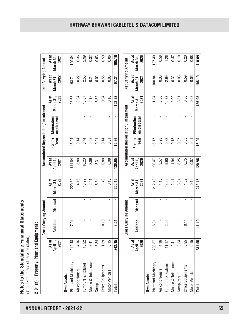| ،<br>ق                                                           |                                |
|------------------------------------------------------------------|--------------------------------|
| Einannia<br><b>Condaine</b> Fina<br>$\overline{a}$ the<br>;<br>Ξ | Ì<br>nthan<br>unless<br>col/he |
|                                                                  | ا<br>مارچ                      |

 $(\bar{\bar{\mathbf{x}}}$  in lakhs unless otherwise stated)

| ٠      | ٠      |
|--------|--------|
|        |        |
|        |        |
|        |        |
|        |        |
|        | l      |
|        |        |
|        |        |
|        |        |
|        |        |
|        | ı<br>ı |
|        | ı      |
|        |        |
| ١      | ,<br>ļ |
|        |        |
|        |        |
| ٢      |        |
|        |        |
| Ï      | י      |
| ì      |        |
|        |        |
|        | l<br>ı |
|        |        |
| ı      |        |
|        |        |
|        |        |
| c      | 2      |
|        |        |
|        | ٦      |
| ج<br>م | ٠      |

|                      |                           | Gross Carrying Amount |                |                            |                           |                 | <b>Accumulated Depreciation / Impairment</b> |                            |                            | <b>Net Carrying Amount</b> |
|----------------------|---------------------------|-----------------------|----------------|----------------------------|---------------------------|-----------------|----------------------------------------------|----------------------------|----------------------------|----------------------------|
|                      | As at<br>April 1,<br>2021 | Addition              | Disposal       | March 31,<br>2022<br>As at | April 1,<br>As at<br>2021 | For the<br>Year | Elimination<br>on disposal                   | 2022<br>March 31,<br>As at | 2022<br>As at<br>March 31  | March 31,<br>As at<br>2021 |
| <b>Own Assets:</b>   |                           |                       |                |                            |                           |                 |                                              |                            |                            |                            |
| Plant and Machinery  | 212.48                    | 7.91                  | ×.             | 220.39                     | 111.64                    | 5.04            |                                              | 126.68                     | 93.71                      | 100.84                     |
| Air conditioners     | 4.16                      |                       | $\blacksquare$ | 4.16                       | 3.80                      | 0.14            |                                              | 3.94                       | 0.22                       | 0.36                       |
| Furniture & Fixtures | 13.22                     | f,                    | $\blacksquare$ | 13.22                      | 10.23                     | 0.44            |                                              | 10.67                      | 2.55                       | 2.99                       |
| Mobile & Telephone   | 2.41                      | f,                    | f,             | 2.41                       | 2.09                      | 0.08            |                                              | 2.17                       | 0.24                       | 0.32                       |
| Computers            | 8.34                      |                       | t,             | 8.34                       | 8.31                      | 0.01            |                                              | 8.32                       | 0.02                       | 0.03                       |
| Office Equipments    | 1.39                      | 0.10                  |                | 1.49                       | 0.80                      | 0.14            |                                              | 0.94                       | 0.55                       | 0.59                       |
| Motor Vehicles       | 0.15                      |                       |                | 0.15                       | 0.08                      | 0.01            |                                              | 0.10                       | 0.05                       | 0.06                       |
| <b>Total</b>         | 242.15                    | 8.01                  |                | 250.16                     | 136.95                    | 15.86           |                                              | 152.82                     | 97.34                      | 105.19                     |
|                      |                           |                       |                |                            |                           |                 |                                              |                            |                            |                            |
|                      |                           | Gross Carrying Amount |                |                            |                           |                 | Accumulated Depreciation / Impairment        |                            |                            | Net Carrying Amount        |
|                      | As at<br>April 1,<br>2020 | Addition              | Disposal       | As at<br>March 31,<br>2021 | April 1,<br>2020<br>As at | For the<br>Year | Elimination<br>on disposal                   | March 31,<br>As at<br>2021 | March 31,<br>As at<br>2021 | March 31,<br>2020<br>As at |
| <b>Own Assets:</b>   |                           |                       |                |                            |                           |                 |                                              |                            |                            |                            |
| Plant and Machinery  | 203.87                    | 8.61                  | f.             | 212.48                     | 96.47                     | 15.17           |                                              | 111.64                     | 100.84                     | 107.40                     |
| Air conditioners     | 4.16                      |                       | ×.             | 4.16                       | 3.57                      | 0.23            |                                              | 3.80                       | 0.36                       | 0.58                       |
| Furniture & Fixtures | 11.17                     | 2.05                  | ×              | 13.22                      | 0.90                      | 0.32            |                                              | 10.23                      | 2.99                       | 1.26                       |
| Mobile & Telephone   | 2.41                      |                       | r.             | 2.41                       | 1.94                      | 0.15            |                                              | 2.09                       | 0.32                       | 0.47                       |
| Computers            | 8.34                      |                       | f,             | 8.34                       | 8.25                      | 0.07            |                                              | 8.31                       | 0.03                       | 0.10                       |
| Office Equipments    | 0.95                      | 0.44                  |                | 1.39                       | 0.75                      | 0.05            |                                              | 0.80                       | 0.59                       | 0.20                       |
| Motor Vehicles       | 0.15                      |                       | J.             | 0.15                       | 0.07                      | 0.01            |                                              | 0.08                       | 0.06                       | 0.08                       |
| Total                | 231.05                    | 11.10                 |                | 242.15                     | 120.95                    | 16.00           |                                              | 136.95                     | 105.19                     | 110.09                     |

### **HATHWAY BHAWANI CABLETEL & DATACOM LIMITED**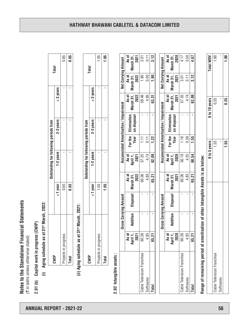Notes to the Standalone Financial Statements **Notes to the Standalone Financial Statements**

(₹ in lakhs unless otherwise stated)  $(\bar{\bar{\mathbf{x}}}$  in lakhs unless otherwise stated)

## Capital work in progress (CWIP) **2.01 (b) Capital work in progress (CWIP)**  $2.01<sub>(b)</sub>$

# Aging schedule as at 31<sup>st</sup> March, 2022: **(i) Aging schedule as at 31st March, 2022:**  $\oplus$

| CWIP                   |            | or follow"<br>lutstanding for | eriods from<br>é |             | <b>Total</b> |
|------------------------|------------|-------------------------------|------------------|-------------|--------------|
|                        | $<$ 1 year | -2 years                      | 2-3 years        | $> 3$ years |              |
| gress<br>C<br>Projects | 0.65       |                               |                  |             | 0.65         |
| Total                  | 0.65       |                               |                  |             | <b>G5</b>    |

# (ii) Aging schedule as at 31<sup>st</sup> March, 2021: **(ii) Aging schedule as at 31st March, 2021:**

| <b>CWIP</b>          |         | Outstanding for following periods from |           |             | <b>Total</b> |
|----------------------|---------|----------------------------------------|-----------|-------------|--------------|
|                      | <1 year | 1-2 years                              | 2-3 years | $> 3$ years |              |
| progress<br>Projects | 1.05    | ï                                      |           | ī           | 105          |
| Total                | 1.05    |                                        |           | ī           | 1.05         |

### 2.02 Intangible assets: **2.02 Intangible assets :**

|                         |                              | Gross Carrying Amount |                 |                           |                           |                 | <b>Accumulated Amortisation / Impairment</b> |                            | Net Carrying Amount        |                                            |
|-------------------------|------------------------------|-----------------------|-----------------|---------------------------|---------------------------|-----------------|----------------------------------------------|----------------------------|----------------------------|--------------------------------------------|
|                         | As at<br>ril 1,<br>2021<br>₹ | Addition              | <b>Disposal</b> | As at<br>March 31, $2022$ | As at<br>April 1,<br>2021 |                 | For the   Elimination<br>Year   on disposal  | March 31,<br>2022<br>As at | March 31,<br>2022<br>As at | As at<br>March 31,<br>2021<br>3.01<br>3.01 |
| ble Television Franchis | 60.36                        |                       |                 | 60.36                     | 57.35                     | $\overline{11}$ |                                              | 58.46                      | 1.90                       |                                            |
| softwares               | 4.85                         |                       |                 | 4.85                      | 4.74                      | 0.11            |                                              | 4.85                       | 0.00                       |                                            |
| ntal                    | 65.21                        |                       |                 | 65.21                     | 62.09                     | 1.22            |                                              | 63.31                      | $\frac{6}{1}$              | 3.12                                       |

|                             |                           | Gross Carrying Amount |                                     |                           |      | Accumulated Amortisation / Impairment   |                                                               | Net Carrying Amount |       |
|-----------------------------|---------------------------|-----------------------|-------------------------------------|---------------------------|------|-----------------------------------------|---------------------------------------------------------------|---------------------|-------|
|                             | April 1,<br>As at<br>2020 | Addition              | Disposal March 31,<br>2021<br>As at | April 1,<br>As at<br>2020 |      | For the Elimination<br>Year on disposal | March 31, March 31, March 31,<br>2021 2021 2021 2020<br>As at | As at               | As at |
| anchis<br>ble Television Fi | 60.36                     |                       | 60.36                               | 56.19                     | 1.16 |                                         | 57.35                                                         | 3.01                | 4.17  |
|                             | 4.85                      |                       | 4.85                                | 4.35                      | 0.39 |                                         | 4.74                                                          | 0.11                | 0.50  |
| otal                        | 65.21                     |                       | 65.21                               | 60.54                     | 1.55 |                                         | 62.09                                                         | 3.12                | 4.67  |

# Range of remaining period of amortisation of other Intangible Assets is as below: **Range of remaining period of amortisation of other Intangible Assets is as below:**

|                                 | vears<br>0 <sub>10</sub> | 6 to 10 years | <b>Total WDV</b> |
|---------------------------------|--------------------------|---------------|------------------|
| ţ<br>l<br>Ō<br>ξ<br>ć<br>ś<br>¢ | 55.                      | 0.35          | $\frac{8}{1}$    |
| ś<br>Ś                          |                          |               |                  |
|                                 | 55<br>SJ                 | 0.35          | S.               |

### **HATHWAY BHAWANI CABLETEL & DATACOM LIMITED**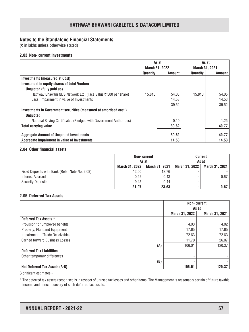### **Notes to the Standalone Financial Statements**

 $(\bar{\tau}$  in lakhs unless otherwise stated)

### **2.03 Non- current Investments**

|                                                                    |                       | As at  |                       | As at  |
|--------------------------------------------------------------------|-----------------------|--------|-----------------------|--------|
|                                                                    | <b>March 31, 2022</b> |        | <b>March 31, 2021</b> |        |
|                                                                    | Quantity              | Amount | Quantity              | Amount |
| <b>Investments (measured at Cost)</b>                              |                       |        |                       |        |
| Investment in equity shares of Joint Venture                       |                       |        |                       |        |
| Unquoted (fully paid up)                                           |                       |        |                       |        |
| Hathway Bhawani NDS Network Ltd. (Face Value ₹ 500 per share)      | 15,810                | 54.05  | 15,810                | 54.05  |
| Less: Impairment in value of Investments                           |                       | 14.53  |                       | 14.53  |
|                                                                    |                       | 39.52  |                       | 39.52  |
| Investments in Government securities (measured at amortised cost)  |                       |        |                       |        |
| <b>Unquoted</b>                                                    |                       |        |                       |        |
| National Saving Certificates (Pledged with Government Authorities) |                       | 0.10   |                       | 1.25   |
| <b>Total carrying value</b>                                        |                       | 39.62  |                       | 40.77  |
|                                                                    |                       |        |                       |        |
| <b>Aggregate Amount of Unquoted Investments</b>                    |                       | 39.62  |                       | 40.77  |
| Aggregate Impairment in value of Investments                       |                       | 14.53  |                       | 14.53  |

### **2.04 Other financial assets**

|                                                |                | <b>Non-current</b> |                | <b>Current</b> |
|------------------------------------------------|----------------|--------------------|----------------|----------------|
|                                                |                | As at              |                | As at          |
|                                                | March 31, 2022 | March 31, 2021     | March 31, 2022 | March 31, 2021 |
| Fixed Deposits with Bank (Refer Note No. 2.08) | 12.00          | 13.76              |                |                |
| Interest Accrued                               | 0.52           | 0.43               |                | 0.67           |
| <b>Security Deposits</b>                       | 9.45           | 9.44               |                |                |
|                                                | 21.97          | 23.63              |                | 0.67           |

### **2.05 Deferred Tax Assets**

|                                        |                | Non-current    |
|----------------------------------------|----------------|----------------|
|                                        |                | As at          |
|                                        | March 31, 2022 | March 31, 2021 |
| Deferred Tax Assets *                  |                |                |
| Provision for Employee benefits        | 4.03           | 4.02           |
| Property, Plant and Equipment          | 17.65          | 17.65          |
| Impairment of Trade Receivables        | 72.63          | 72.63          |
| <b>Carried forward Business Losses</b> | 11.70          | 26.07          |
| (A)                                    | 106.01         | 120.37         |
| <b>Deferred Tax Liabilities</b>        |                |                |
| Other temporary differences            | ۰              |                |
| (B)                                    | ۰              |                |
| Net Deferred Tax Assets (A-B)          | 106.01         | 120.37         |

Significant estimates -

\* The deferred tax assets recognised is in respect of unused tax losses and other items. The Management is reasonably certain of future taxable income and hence recovery of such deferred tax assets.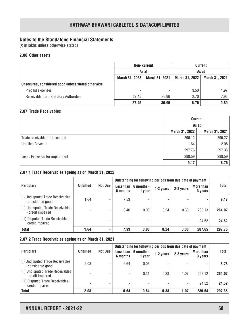### **Notes to the Standalone Financial Statements**

 $(\bar{\tau}$  in lakhs unless otherwise stated)

### **2.06 Other assets**

|                                                    |                | Non-current           |                | <b>Current</b> |
|----------------------------------------------------|----------------|-----------------------|----------------|----------------|
|                                                    |                | As at                 |                | As at          |
|                                                    | March 31, 2022 | <b>March 31, 2021</b> | March 31, 2022 | March 31, 2021 |
| Unsecured, considered good unless stated otherwise |                |                       |                |                |
| Prepaid expenses                                   |                |                       | 3.50           | 1.97           |
| Receivable from Statutory Authorities              | 27.45          | 36.96                 | 2.70           | 7.92           |
|                                                    | 27.45          | 36.96                 | 6.70           | 9.89           |

### **2.07 Trade Receivables**

|                                |                | <b>Current</b> |
|--------------------------------|----------------|----------------|
|                                |                | As at          |
|                                | March 31, 2022 | March 31, 2021 |
| Trade receivables - Unsecured  | 296.12         | 295.27         |
| <b>Unbilled Revenue</b>        | 1.64           | 2.08           |
|                                | 297.76         | 297.35         |
| Less: Provision for impairment | 288.59         | 288.59         |
|                                | 9.17           | 8.76           |

### **2.07.1 Trade Receivables ageing as on March 31, 2022**

|                                                        |          |                |                       | Outstanding for following periods from due date of payment |           |           |                      |              |
|--------------------------------------------------------|----------|----------------|-----------------------|------------------------------------------------------------|-----------|-----------|----------------------|--------------|
| <b>Particlars</b>                                      | Unbilled | <b>Not Due</b> | Less than<br>6 months | 6 months -<br>1 vear                                       | 1-2 years | 2-3 years | More than<br>3 years | <b>Total</b> |
| (i) Undisputed Trade Receivables<br>- considered good  | 1.64     |                | 7.53                  |                                                            |           |           |                      | 9.17         |
| (ii) Undisputed Trade Receivables<br>- credit impaired | ۰        |                | 0.40                  | 0.00                                                       | 0.24      | 0.30      | 263.13               | 264.07       |
| (iii) Disputed Trade Receivables -<br>credit impaired  | -        | ۰              | -                     | $\overline{\phantom{a}}$                                   |           |           | 24.52                | 24.52        |
| <b>Total</b>                                           | 1.64     |                | 7.93                  | 0.00                                                       | 0.24      | 0.30      | 287.65               | 297.76       |

### **2.07.2 Trade Receivables ageing as on March 31, 2021**

|                                                        |          |                |                                       | Outstanding for following periods from due date of payment |           |           |                      |              |
|--------------------------------------------------------|----------|----------------|---------------------------------------|------------------------------------------------------------|-----------|-----------|----------------------|--------------|
| <b>Particlars</b>                                      | Unbilled | <b>Not Due</b> | Less than $\mathbin\Vert$<br>6 months | 6 months -<br>1 vear                                       | 1-2 years | 2-3 years | More than<br>3 years | <b>Total</b> |
| (i) Undisputed Trade Receivables<br>- considered good  | 2.08     |                | 6.64                                  | 0.03                                                       |           |           |                      | 8.76         |
| (ii) Undisputed Trade Receivables<br>- credit impaired |          |                |                                       | 0.51                                                       | 0.38      | 1.07      | 262.12               | 264.07       |
| (iii) Disputed Trade Receivables -<br>credit impaired  |          | ۰              |                                       | ۰                                                          |           |           | 24.52                | 24.52        |
| <b>Total</b>                                           | 2.08     |                | 6.64                                  | 0.54                                                       | 0.38      | 1.07      | 286.64               | 297.35       |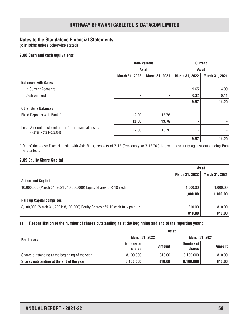### **Notes to the Standalone Financial Statements**

 $(\bar{\tau}$  in lakhs unless otherwise stated)

### **2.08 Cash and cash equivalents**

|                                                                             |                | Non-current              |                | <b>Current</b> |
|-----------------------------------------------------------------------------|----------------|--------------------------|----------------|----------------|
|                                                                             |                | As at                    |                | As at          |
|                                                                             | March 31, 2022 | March 31, 2021           | March 31, 2022 | March 31, 2021 |
| <b>Balances with Banks</b>                                                  |                |                          |                |                |
| In Current Accounts                                                         | -              | -                        | 9.65           | 14.09          |
| Cash on hand                                                                | ۰              | ۰                        | 0.32           | 0.11           |
|                                                                             |                |                          | 9.97           | 14.20          |
| <b>Other Bank Balances</b>                                                  |                |                          |                |                |
| Fixed Deposits with Bank *                                                  | 12.00          | 13.76                    | ۰              |                |
|                                                                             | 12.00          | 13.76                    | ۰              |                |
| Less: Amount disclosed under Other financial assets<br>(Refer Note No.2.04) | 12.00          | 13.76                    |                |                |
|                                                                             | ٠              | $\overline{\phantom{0}}$ | 9.97           | 14.20          |

\* Out of the above Fixed deposits with Axis Bank, deposits of  $\bar{\tau}$  12 (Previous year  $\bar{\tau}$  13.76) is given as security against outstanding Bank Guarantees.

### **2.09 Equity Share Capital**

|                                                                               |                       | As at          |
|-------------------------------------------------------------------------------|-----------------------|----------------|
|                                                                               | <b>March 31, 2022</b> | March 31, 2021 |
| <b>Authorised Capital</b>                                                     |                       |                |
| 10,000,000 (March 31, 2021 : 10,000,000) Equity Shares of ₹ 10 each           | 1.000.00              | 1,000.00       |
|                                                                               | 1,000.00              | 1,000.00       |
| <b>Paid up Capital comprises:</b>                                             |                       |                |
| 8,100,000 (March 31, 2021: 8,100,000) Equity Shares of ₹10 each fully paid up | 810.00                | 810.00         |
|                                                                               | 810.00                | 810.00         |

### **a) Reconciliation of the number of shares outstanding as at the beginning and end of the reporting year :**

|                                                 |                     | As at  |                     |                |
|-------------------------------------------------|---------------------|--------|---------------------|----------------|
| <b>Particulars</b>                              | March 31, 2022      |        |                     | March 31, 2021 |
|                                                 | Number of<br>shares |        | Number of<br>shares | Amount         |
| Shares outstanding at the beginning of the year | 8.100.000           | 810.00 | 8.100.000           | 810.00         |
| Shares outstanding at the end of the year       | 8,100,000           | 810.00 | 8,100,000           | 810.00         |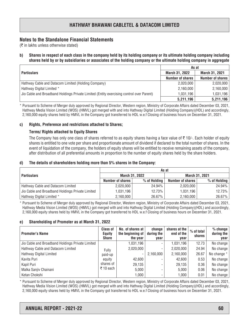### **Notes to the Standalone Financial Statements**

 $(\bar{\tau})$  in lakhs unless otherwise stated)

### **b) Shares in respect of each class in the company held by its holding company or its ultimate holding company including shares held by or by subsidiaries or associates of the holding company or the ultimate holding company in aggregate**

|                                                                                          | As at                   |                         |  |  |
|------------------------------------------------------------------------------------------|-------------------------|-------------------------|--|--|
| <b>Particulars</b>                                                                       | March 31, 2022          | <b>March 31, 2021</b>   |  |  |
|                                                                                          | <b>Number of shares</b> | <b>Number of shares</b> |  |  |
| Hathway Cable and Datacom Limited (Holding Company)                                      | 2,020,000               | 2,020,000               |  |  |
| Hathway Digital Limited *                                                                | 2,160,000               | 2,160,000               |  |  |
| Jio Cable and Broadband Holdings Private Limited (Entity exercising control over Parent) | 1.031.196               | 1,031,196               |  |  |
|                                                                                          | 5,211,196               | 5,211,196               |  |  |

Pursuant to Scheme of Merger duly approved by Regional Director, Western region, Ministry of Corporate Affairs dated December 03, 2021, Hathway Media Vision Limited (WOS) (HMVL) got merged with and into Hathway Digital Limited (Holding Company)(HDL) and accordingly, 2,160,000 equity shares held by HMVL in the Company got transferred to HDL w.e.f Closing of business hours on December 31, 2021.

### **c) Rights, Preference and restrictions attached to Shares;**

### **Terms/ Rights attached to Equity Shares**

The Company has only one class of shares referred to as equity shares having a face value of  $\bar{\tau}$  10/-. Each holder of equity shares is entitled to one vote per share and proportionate amount of dividend if declared to the total number of shares. In the event of liquidation of the company, the holders of equity shares will be entitled to receive remaining assets of the company, after distribution of all preferential amounts in proportion to the number of equity shares held by the share holders.

### **d) The details of shareholders holding more than 5% shares in the Company:**

|                                                  | As at            |              |                       |              |  |  |  |
|--------------------------------------------------|------------------|--------------|-----------------------|--------------|--|--|--|
| <b>Particulars</b>                               | March 31, 2022   |              | <b>March 31, 2021</b> |              |  |  |  |
|                                                  | Number of shares | % of Holding | Number of shares      | % of Holding |  |  |  |
| Hathway Cable and Datacom Limited                | 2.020.000        | 24.94%       | 2.020.000             | 24.94%       |  |  |  |
| Jio Cable and Broadband Holdings Private Limited | 1.031.196        | 12.73%       | 1,031,196             | 12.73%       |  |  |  |
| Hathway Digital Limited *                        | 2.160.000        | 26.67%       | 2.160.000             | 26.67%       |  |  |  |

\* Pursuant to Scheme of Merger duly approved by Regional Director, Western region, Ministry of Corporate Affairs dated December 03, 2021, Hathway Media Vision Limited (WOS) (HMVL) got merged with and into Hathway Digital Limited (Holding Company)(HDL) and accordingly, 2,160,000 equity shares held by HMVL in the Company got transferred to HDL w.e.f Closing of business hours on December 31, 2021.

### **e) Shareholding of Promoter as at March 31, 2022**

| <b>Promoter's Name</b>                           | <b>Class of</b><br><b>Equity</b><br><b>Share</b> | No. of shares at<br>the beginning of<br>the year | change<br>during the<br>vear | shares at the<br>end of the<br>year | $%$ of total<br>shares | $%$ change<br>during the<br>year |
|--------------------------------------------------|--------------------------------------------------|--------------------------------------------------|------------------------------|-------------------------------------|------------------------|----------------------------------|
| Jio Cable and Broadband Holdings Private Limited |                                                  | 1,031,196                                        | $\overline{\phantom{a}}$     | 1,031,196                           | 12.73                  | No change                        |
| Hathway Cable and Datacom Limited                | Fully                                            | 2,020,000                                        | ۰                            | 2,020,000                           | 24.94                  | No change                        |
| Hathway Digital Limited                          | paid-up                                          |                                                  | 2.160.000                    | 2.160.000                           | 26.67                  | No change *                      |
| Kavita Puri                                      | equity                                           | 42,600                                           | ۰                            | 42,600                              | 0.53                   | No change                        |
| Kapil Puri                                       | shares of                                        | 29,135                                           | ۰                            | 29,135                              | 0.36                   | No change                        |
| Malka Sanjiv Chainani                            | $\bar{z}$ 10 each                                | 5.000                                            | ۰                            | 5.000                               | 0.06                   | No change                        |
| Ketan Chokshi                                    |                                                  | 1.000                                            | ۰                            | 1.000                               | 0.01                   | No change                        |

\* Pursuant to Scheme of Merger duly approved by Regional Director, Western region, Ministry of Corporate Affairs dated December 03, 2021, Hathway Media Vision Limited (WOS) (HMVL) got merged with and into Hathway Digital Limited (Holding Company)(HDL) and accordingly, 2,160,000 equity shares held by HMVL in the Company got transferred to HDL w.e.f Closing of business hours on December 31, 2021.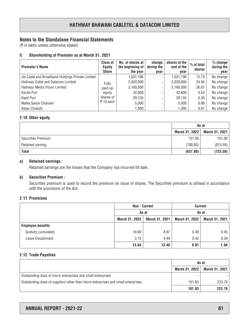### **Notes to the Standalone Financial Statements**

 $(\bar{\tau}$  in lakhs unless otherwise stated)

### **f) Shareholding of Promoter as at March 31, 2021**

| <b>Promoter's Name</b>                           | <b>Class of</b><br><b>Equity</b><br><b>Share</b> | No. of shares at<br>the beginning of<br>the year | change<br>during the<br>year | shares at the<br>end of the<br>year | $%$ of total<br>shares | $%$ change<br>during the<br>year |
|--------------------------------------------------|--------------------------------------------------|--------------------------------------------------|------------------------------|-------------------------------------|------------------------|----------------------------------|
| Jio Cable and Broadband Holdings Private Limited |                                                  | 1,031,196                                        |                              | 1,031,196                           | 12.73                  | No change                        |
| Hathway Cable and Datacom Limited                | Fully                                            | 2,020,000                                        | ۰                            | 2.020.000                           | 24.94                  | No change                        |
| Hathway Media Vision Limited                     | paid-up                                          | 2,160,000                                        |                              | 2.160.000                           | 26.67                  | No change                        |
| Kavita Puri                                      | equity                                           | 42,600                                           |                              | 42,600                              | 0.53                   | No change                        |
| Kapil Puri                                       | shares of                                        | 29,135                                           |                              | 29.135                              | 0.36                   | No change                        |
| Malka Sanjiv Chainani                            | $\bar{z}$ 10 each                                | 5.000                                            |                              | 5.000                               | 0.06                   | No change                        |
| Ketan Chokshi                                    |                                                  | 1.000                                            |                              | 1.000                               | 0.01                   | No change                        |

### **2.10 Other equity**

|                    |          | As at                           |
|--------------------|----------|---------------------------------|
|                    |          | March 31, 2022   March 31, 2021 |
| Securities Premium | 151.00   | 151.00                          |
| Retained earning   | (788.80) | (874.59)                        |
| <b>Total</b>       | (637.80) | (723.59)                        |

### **a) Retained earnings :**

Retained earnings are the losses that the Company has incurred till date.

### **b) Securities Premium :**

 Securities premium is used to record the premium on issue of shares. The Securities premium is utilised in accordance with the provisions of the Act.

### **2.11 Provisions**

|                          |                | <b>Non - Current</b> | <b>Current</b> |                |  |
|--------------------------|----------------|----------------------|----------------|----------------|--|
|                          |                | As at                | As at          |                |  |
|                          | March 31, 2022 | March 31, 2021       | March 31, 2022 | March 31, 2021 |  |
| <b>Employee benefits</b> |                |                      |                |                |  |
| Gratuity (unfunded)      | 10.69          | 8.97                 | 0.49           | 0.45           |  |
| Leave Encashment         | 3.15           | 4.49                 | 0.42           | 0.59           |  |
|                          | 13.84          | 13.46                | 0.91           | 1.04           |  |

### **2.12 Trade Payables**

|                                                                                  |                | As at          |
|----------------------------------------------------------------------------------|----------------|----------------|
|                                                                                  | March 31, 2022 | March 31, 2021 |
| Outstanding dues of micro enterprises and small enterprises                      |                |                |
| Outstanding dues of suppliers other than micro enterprises and small enterprises | 101.83         | 223.78         |
|                                                                                  | 101.83         | 223.78         |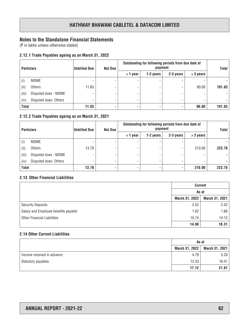### **Notes to the Standalone Financial Statements**

 $(\bar{\tau}$  in lakhs unless otherwise stated)

### **2.12.1 Trade Payables ageing as on March 31, 2022**

|              | <b>Particlars</b>    | <b>Unbilled Due</b> | <b>Not Due</b> | Outstanding for following periods from due date of<br>payment |           |           | <b>Total</b> |        |
|--------------|----------------------|---------------------|----------------|---------------------------------------------------------------|-----------|-----------|--------------|--------|
|              |                      |                     |                | < 1 year                                                      | 1-2 years | 2-3 years | $>$ 3 years  |        |
| (i)          | <b>MSME</b>          | ۰                   | ۰              | ۰                                                             | ۰         |           |              |        |
| (ii)         | <b>Others</b>        | 11.83               | -              | -                                                             | -         |           | 90.00        | 101.83 |
| (iii)        | Disputed dues - MSME | ۰                   | ۰              | -                                                             |           | -         |              |        |
| (iv)         | Disputed dues-Others | -                   | ۰              | ۰                                                             | ۰         | ۰         | -            |        |
| <b>Total</b> |                      | 11.83               | ۰              | ۰                                                             | ۰         |           | 90.00        | 101.83 |

### **2.12.2 Trade Payables ageing as on March 31, 2021**

|              | <b>Particlars</b>    | <b>Unbilled Due</b> | <b>Not Due</b> | Outstanding for following periods from due date of<br>payment |             |           | <b>Total</b> |        |
|--------------|----------------------|---------------------|----------------|---------------------------------------------------------------|-------------|-----------|--------------|--------|
|              |                      |                     |                | < 1 year                                                      | $1-2$ years | 2-3 years | $>$ 3 years  |        |
| (i)          | <b>MSME</b>          | -                   | ۰              | ۰                                                             | ۰           |           |              |        |
| (ii)         | <b>Others</b>        | 13.78               | ۰              | ۰                                                             | -           |           | 210.00       | 223.78 |
| (iii)        | Disputed dues - MSME | -                   | ۰              | -                                                             |             |           |              |        |
| (iv)         | Disputed dues-Others | -                   | ۰              | ۰                                                             | ۰           | ۰         | -            |        |
| <b>Total</b> |                      | 13.78               | -              |                                                               |             |           | 210.00       | 223.78 |

### **2.13 Other Financial Liabilities**

|                                      |                | <b>Current</b> |  |
|--------------------------------------|----------------|----------------|--|
|                                      | As at          |                |  |
|                                      | March 31, 2022 | March 31, 2021 |  |
| <b>Security Deposits</b>             | 2.52           | 2.52           |  |
| Salary and Employee benefits payable | 1.62           | 1.66           |  |
| <b>Other Financial Liabilities</b>   | 10.74          | 14.13          |  |
|                                      | 14.88          | 18.31          |  |

### **2.14 Other Current Liabilities**

|                            | As at          |                |
|----------------------------|----------------|----------------|
|                            | March 31, 2022 | March 31, 2021 |
| Income received in advance | 4.79           | 5.20           |
| Statutory payables         | 12.33          | 16.41          |
|                            | 17.12          | 21.61          |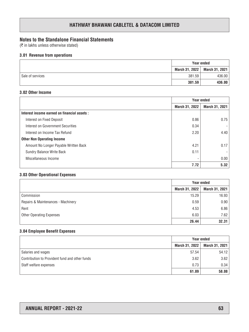### **Notes to the Standalone Financial Statements**

 $(\bar{\tau}$  in lakhs unless otherwise stated)

### **3.01 Revenue from operations**

|                  |                | Year ended     |
|------------------|----------------|----------------|
|                  | March 31, 2022 | March 31, 2021 |
| Sale of services | 381.59         | 436.00         |
|                  | 381.59         | 436.00         |

### **3.02 Other Income**

|                                              | <b>Year ended</b> |                       |
|----------------------------------------------|-------------------|-----------------------|
|                                              | March 31, 2022    | <b>March 31, 2021</b> |
| Interest income earned on financial assets : |                   |                       |
| Interest on Fixed Deposit                    | 0.86              | 0.75                  |
| Interest on Government Securities            | 0.34              |                       |
| Interest on Income Tax Refund                | 2.20              | 4.40                  |
| <b>Other Non Operating Income</b>            |                   |                       |
| Amount No Longer Payable Written Back        | 4.21              | 0.17                  |
| Sundry Balance Write Back                    | 0.11              |                       |
| Miscellaneous Income                         |                   | 0.00                  |
|                                              | 7.72              | 5.32                  |

### **3.03 Other Operational Expenses**

|                                    | <b>Year ended</b> |                |
|------------------------------------|-------------------|----------------|
|                                    | March 31, 2022    | March 31, 2021 |
| Commission                         | 15.29             | 16.93          |
| Repairs & Maintenances - Machinery | 0.59              | 0.90           |
| Rent                               | 4.53              | 6.86           |
| <b>Other Operating Expenses</b>    | 6.03              | 7.62           |
|                                    | 26.44             | 32.31          |

### **3.04 Employee Benefit Expenses**

|                                                | Year ended     |                |
|------------------------------------------------|----------------|----------------|
|                                                | March 31, 2022 | March 31, 2021 |
| Salaries and wages                             | 57.54          | 54.12          |
| Contribution to Provident fund and other funds | 3.62           | 3.62           |
| Staff welfare expenses                         | 0.73           | 0.34           |
|                                                | 61.89          | 58.08          |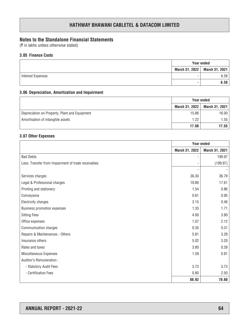### **Notes to the Standalone Financial Statements**

 $(\bar{\tau}$  in lakhs unless otherwise stated)

### **3.05 Finance Costs**

|                          | Year ended |                                 |
|--------------------------|------------|---------------------------------|
|                          |            | March 31, 2022   March 31, 2021 |
| <b>Interest Expenses</b> |            | 6.58                            |
|                          |            | 6.58                            |

### **3.06 Depreciation, Amortization and Impairment**

|                                               | <b>Year ended</b> |                |
|-----------------------------------------------|-------------------|----------------|
|                                               | March 31, 2022    | March 31, 2021 |
| Depreciation on Property, Plant and Equipment | 15.86             | 16.00          |
| Amortisation of intangible assets             | 1.22              | 1.55           |
|                                               | 17.08             | 17.55          |

### **3.07 Other Expenses**

|                                                     | <b>Year ended</b> |                |
|-----------------------------------------------------|-------------------|----------------|
|                                                     | March 31, 2022    | March 31, 2021 |
| <b>Bad Debts</b>                                    |                   | 199.97         |
| Less: Transfer from Impairment of trade receivables |                   | (199.97)       |
|                                                     |                   |                |
| Services charges                                    | 36.30             | 36.78          |
| Legal & Professional charges                        | 19.80             | 17.61          |
| Printing and stationery                             | 1.54              | 0.86           |
| Conveyance                                          | 0.61              | 0.95           |
| Electricity charges                                 | 3.15              | 0.46           |
| <b>Business promotion expenses</b>                  | 1.35              | 1.71           |
| <b>Sitting Fees</b>                                 | 4.00              | 3.90           |
| Office expenses                                     | 1.07              | 2.12           |
| Communication charges                               | 0.35              | 0.31           |
| Repairs & Maintenances - Others                     | 5.81              | 3.28           |
| Insurance others                                    | 5.02              | 3.20           |
| Rates and taxes                                     | 3.80              | 0.28           |
| Miscellaneous Expenses                              | 1.59              | 0.91           |
| Auditor's Remuneration:                             |                   |                |
| - Statutory Audit Fees                              | 3.73              | 3.73           |
| - Certification Fees                                | 0.80              | 2.50           |
|                                                     | 88.92             | 78.60          |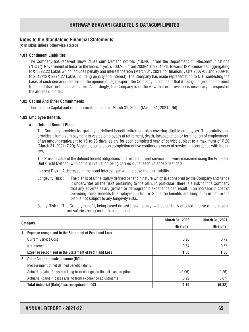### **Notes to the Standalone Financial Statements**

 $(\bar{\tau})$  in lakhs unless otherwise stated)

### **4.01 Contingent Liabilities**

 The Company has received Show Cause cum Demand notices ("SCNs") from the Department of Telecommunications ("DOT"), Government of India for the financial years 2007-08, from 2009-10 to 2014-15 towards ISP license fees aggregating to ₹ 3322.22 Lakhs which includes penalty and interest thereon (March 31, 2021: for financial years 2007-08 and 2009-10 to 2012-13  $\bar{\tau}$  2271.27 Lakhs including penalty and interest). The Company has made representation to DOT contesting the basis of such demands. Based on the opinion of legal expert, the Company is confident that it has good grounds on merit to defend itself in the above matter. Accordingly, the Company is of the view that no provision is necessary in respect of the aforesaid matter.

### **4.02 Capital And Other Commitments**

There are no Capital and other commitments as at March 31, 2022. (March 31, 2021 : Nil)

### **4.03 Employee Benefits**

### **a) Defined Benefit Plans:**

 The Company provides for gratuity, a defined benefit retirement plan covering eligible employees. The gratuity plan provides a lump sum payment to vested employees at retirement, death, incapacitation or termination of employment, of an amount equivalent to 15 to 26 days' salary for each completed year of service subject to a maximum of  $\bar{z}$  20 (March 31, 2021:  $\bar{\tau}$  20). Vesting occurs upon completion of five continuous years of service in accordance with Indian law.

 The Present value of the defined benefit obligations and related current service cost were measured using the Projected Unit Credit Method, with actuarial valuation being carried out at each Balance Sheet date.

Interest Risk : A decrease in the bond interest rate will increase the plan liability.

- Longevity Risk : The plan is of a final salary defined benefit in nature which is sponsored by the Company and hence it underwrites all the risks pertaining to the plan. In particular, there is a risk for the Company that any adverse salary growth or demographic experience can result in an increase in cost of providing these benefits to employees in future. Since the benefits are lump sum in nature the plan is not subject to any longevity risks.
- Salary Risk : The Gratuity benefit, being based on last drawn salary, will be critically effected in case of increase in future salaries being more than assumed.

| <b>Category</b> |                                                                        | March 31, 2022 | March 31, 2021 |
|-----------------|------------------------------------------------------------------------|----------------|----------------|
|                 |                                                                        | [Gratuity]     | [Gratuity]     |
| 1.              | <b>Expense recognised in the Statement of Profit and Loss</b>          |                |                |
|                 | <b>Current Service Cost</b>                                            | 0.96           | 0.79           |
|                 | Net Interest                                                           | 0.64           | 0.57           |
|                 | <b>Expense recognised in the Statement of Profit and Loss</b>          | 1.60           | 1.36           |
|                 | 2. Other Comprehensive Income (OCI)                                    |                |                |
|                 | Measurement of net defined benefit liability                           |                |                |
|                 | Actuarial (gains)/ losses arising from changes in financial assumption | (0.06)         | (0.25)         |
|                 | Actuarial (gains)/ losses arising from experience adjustments          | 0.22           | (0.07)         |
|                 | <b>Total Actuarial (Gain)/loss recognised in OCI</b>                   | 0.16           | (0.32)         |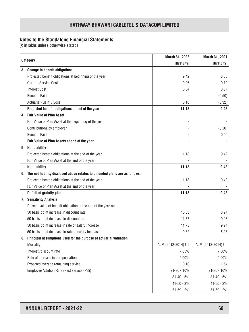### **Notes to the Standalone Financial Statements**

 $(\bar{\tau}$  in lakhs unless otherwise stated)

| <b>Category</b> |                                                                                | March 31, 2022       | March 31, 2021       |
|-----------------|--------------------------------------------------------------------------------|----------------------|----------------------|
|                 |                                                                                | [Gratuity]           | [Gratuity]           |
|                 | 3. Change in benefit obligations:                                              |                      |                      |
|                 | Projected benefit obligations at beginning of the year                         | 9.42                 | 8.88                 |
|                 | <b>Current Service Cost</b>                                                    | 0.96                 | 0.79                 |
|                 | <b>Interest Cost</b>                                                           | 0.64                 | 0.57                 |
|                 | <b>Benefits Paid</b>                                                           |                      | (0.50)               |
|                 | Actuarial (Gain) / Loss                                                        | 0.16                 | (0.32)               |
|                 | Projected benefit obligations at end of the year                               | 11.18                | 9.42                 |
|                 | 4. Fair Value of Plan Asset                                                    |                      |                      |
|                 | Fair Value of Plan Asset at the beginning of the year                          |                      |                      |
|                 | Contributions by employer                                                      |                      | (0.50)               |
|                 | <b>Benefits Paid</b>                                                           |                      | 0.50                 |
|                 | Fair Value of Plan Assets at end of the year                                   |                      |                      |
|                 | 5. Net Liability                                                               |                      |                      |
|                 | Projected benefit obligations at the end of the year                           | 11.18                | 9.42                 |
|                 | Fair Value of Plan Asset at the end of the year                                |                      |                      |
|                 | <b>Net Liability</b>                                                           | 11.18                | 9.42                 |
|                 | 6. The net liability disclosed above relates to unfunded plans are as follows: |                      |                      |
|                 | Projected benefit obligations at the end of the year                           | 11.18                | 9.42                 |
|                 | Fair Value of Plan Asset at the end of the year                                |                      |                      |
|                 | Deficit of gratuity plan                                                       | 11.18                | 9.42                 |
|                 | 7. Sensitivity Analysis                                                        |                      |                      |
|                 | Present value of benefit obligation at the end of the year on                  |                      |                      |
|                 | 50 basis point increase in discount rate                                       | 10.63                | 8.94                 |
|                 | 50 basis point decrease in discount rate                                       | 11.77                | 9.93                 |
|                 | 50 basis point increase in rate of salary Increase                             | 11.78                | 9.94                 |
|                 | 50 basis point decrease in rate of salary increase                             | 10.62                | 8.93                 |
|                 | 8. Principal assumptions used for the purpose of actuarial valuation           |                      |                      |
|                 | Mortality                                                                      | IALM (2012-2014) Ult | IALM (2012-2014) Ult |
|                 | Interest /discount rate                                                        | 7.05%                | 7.00%                |
|                 | Rate of increase in compensation                                               | 5.00%                | 5.00%                |
|                 | Expected average remaining service                                             | 10.16                | 11.54                |
|                 | Employee Attrition Rate (Past service (PS))                                    | $21 - 30 - 10%$      | $21 - 30 - 10%$      |
|                 |                                                                                | $31 - 40 - 5%$       | $31 - 40 - 5%$       |
|                 |                                                                                | $41 - 50 - 3%$       | $41 - 50 - 3%$       |
|                 |                                                                                | $51 - 59 - 2%$       | $51 - 59 - 2%$       |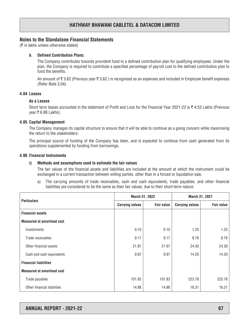### **Notes to the Standalone Financial Statements**

 $(\bar{\tau})$  in lakhs unless otherwise stated)

### **b. Defined Contribution Plans:**

 The Company contributes towards provident fund to a defined contribution plan for qualifying employees. Under the plan, the Company is required to contribute a specified percentage of payroll cost to the defined contribution plan to fund the benefits.

An amount of  $\bar{\tau}$  3.62 (Previous year  $\bar{\tau}$  3.62) is recognised as an expenses and included in Employee benefit expenses (Refer Note 3.04)

### **4.04 Leases**

### **As a Lessee**

Short term leases accounted in the statement of Profit and Loss for the Financial Year 2021-22 is  $\bar{\tau}$  4.53 Lakhs (Previous  $year$   $6.86$  Lakhs).

### **4.05 Capital Management**

 The Company manages its capital structure to ensure that it will be able to continue as a going concern while maximising the return to the stakeholders.

 The principal source of funding of the Company has been, and is expected to continue from cash generated from its operations supplemented by funding from borrowings.

### **4.06 Financial Instruments**

### **i) Methods and assumptions used to estimate the fair values**

 The fair values of the financial assets and liabilities are included at the amount at which the instrument could be exchanged in a current transaction between willing parties, other than in a forced or liquidation sale.

 a) The carrying amounts of trade receivables, cash and cash equivalents, trade payables, and other financial liabilities are considered to be the same as their fair values, due to their short-term nature.

|                                   | March 31, 2022         |                   | March 31, 2021         |                   |
|-----------------------------------|------------------------|-------------------|------------------------|-------------------|
| <b>Particulars</b>                | <b>Carrying values</b> | <b>Fair value</b> | <b>Carrying values</b> | <b>Fair value</b> |
| <b>Financial assets</b>           |                        |                   |                        |                   |
| <b>Measured at amortised cost</b> |                        |                   |                        |                   |
| Investments                       | 0.10                   | 0.10              | 1.25                   | 1.25              |
| Trade receivables                 | 9.17                   | 9.17              | 8.76                   | 8.76              |
| Other financial assets            | 21.97                  | 21.97             | 24.30                  | 24.30             |
| Cash and cash equivalents         | 9.97                   | 9.97              | 14.20                  | 14.20             |
| <b>Financial liabilities</b>      |                        |                   |                        |                   |
| <b>Measured at amortised cost</b> |                        |                   |                        |                   |
| Trade payables                    | 101.83                 | 101.83            | 223.78                 | 223.78            |
| Other financial liabilities       | 14.88                  | 14.88             | 18.31                  | 18.31             |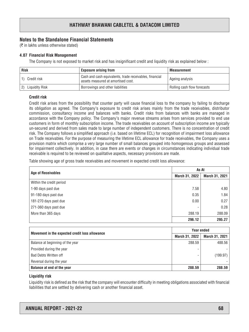### **Notes to the Standalone Financial Statements**

 $(\bar{\tau})$  in lakhs unless otherwise stated)

### **4.07 Financial Risk Management**

The Company is not exposed to market risk and has insignificant credit and liquidity risk as explained below :

| <b>Risk</b>           | <b>Exposure arising from</b>                                                                  | Measurement                 |
|-----------------------|-----------------------------------------------------------------------------------------------|-----------------------------|
| Credit risk           | Cash and cash equivalents, trade receivables, financial<br>assets measured at amortised cost. | Ageing analysis             |
| Liquidity Risk<br>(2) | Borrowings and other liabilities                                                              | Rolling cash flow forecasts |

### **Credit risk**

 Credit risk arises from the possibility that counter party will cause financial loss to the company by failing to discharge its obligation as agreed. The Company's exposure to credit risk arises mainly from the trade receivables, distributor commission, consultancy income and balances with banks. Credit risks from balances with banks are managed in accordance with the Company policy. The Company's major revenue streams arises from services provided to end use customers in form of monthly subscription income. The trade receivables on account of subscription income are typically un-secured and derived from sales made to large number of independent customers. There is no concentration of credit risk. The Company follows a simplified approach (i.e. based on lifetime ECL) for recognition of impairment loss allowance on Trade receivables. For the purpose of measuring the lifetime ECL allowance for trade receivables, the Company uses a provision matrix which comprise a very large number of small balances grouped into homogenous groups and assessed for impairment collectively. In addition, in case there are events or changes in circumstances indicating individual trade receivable is required to be reviewed on qualitative aspects, necessary provisions are made.

Table showing age of gross trade receivables and movement in expected credit loss allowance:

|                           | As At          |                       |
|---------------------------|----------------|-----------------------|
| <b>Age of Receivables</b> | March 31, 2022 | <b>March 31, 2021</b> |
| Within the credit period  |                |                       |
| 1-90 days past due        | 7.58           | 4.80                  |
| 91-180 days past due      | 0.35           | 1.84                  |
| 181-270 days past due     | 0.00           | 0.27                  |
| 271-360 days past due     |                | 0.28                  |
| More than 365 days        | 288.19         | 288.09                |
|                           | 296.12         | 295.27                |

| Movement in the expected credit loss allowance | <b>Year ended</b>     |                |
|------------------------------------------------|-----------------------|----------------|
|                                                | <b>March 31, 2022</b> | March 31, 2021 |
| Balance at beginning of the year               | 288.59                | 488.56         |
| Provided during the year                       |                       |                |
| <b>Bad Debts Written off</b>                   |                       | (199.97)       |
| Reversal during the year                       |                       |                |
| <b>Balance at end of the year</b>              | 288.59                | 288.59         |

### **Liquidity risk**

 Liquidity risk is defined as the risk that the company will encounter difficulty in meeting obligations associated with financial liabilities that are settled by delivering cash or another financial asset.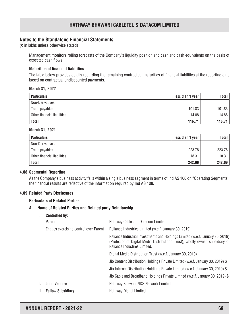### **Notes to the Standalone Financial Statements**

 $(\bar{\tau}$  in lakhs unless otherwise stated)

 Management monitors rolling forecasts of the Company's liquidity position and cash and cash equivalents on the basis of expected cash flows.

### **Maturities of financial liabilities**

 The table below provides details regarding the remaining contractual maturities of financial liabilities at the reporting date based on contractual undiscounted payments.

### **March 31, 2022**

| <b>Particulars</b>          | less than 1 year | Total  |
|-----------------------------|------------------|--------|
| Non-Derivatives             |                  |        |
| Trade payables              | 101.83           | 101.83 |
| Other financial liabilities | 14.88            | 14.88  |
| <b>Total</b>                | 116.71           | 116.71 |

### **March 31, 2021**

| <b>Particulars</b>          | less than 1 year | Total  |
|-----------------------------|------------------|--------|
| Non-Derivatives             |                  |        |
| Trade payables              | 223.78           | 223.78 |
| Other financial liabilities | 18.31            | 18.31  |
| <b>Total</b>                | 242.09           | 242.09 |

### **4.08 Segmental Reporting**

 As the Company's business activity falls within a single business segment in terms of Ind AS 108 on "Operating Segments', the financial results are reflective of the information required by Ind AS 108.

### **4.09 Related Party Disclosures**

### **Particulars of Related Parties**

### **A. Name of Related Parties and Related party Relationship**

| ı. | <b>Controlled by:</b>                   |                                                                                                                                                                                                |
|----|-----------------------------------------|------------------------------------------------------------------------------------------------------------------------------------------------------------------------------------------------|
|    | Parent                                  | Hathway Cable and Datacom Limited                                                                                                                                                              |
|    | Entities exercising control over Parent | Reliance Industries Limited (w.e.f. January 30, 2019)                                                                                                                                          |
|    |                                         | Reliance Industrial Investments and Holdings Limited (w.e.f. January 30, 2019)<br>(Protector of Digital Media Distributrion Trust), wholly owned subsidiary of<br>Reliance Industries Limited. |
|    |                                         | Digital Media Distribution Trust (w.e.f. January 30, 2019)                                                                                                                                     |
|    |                                         | Jio Content Distribution Holdings Private Limited (w.e.f. January 30, 2019) \$                                                                                                                 |
|    |                                         | Jio Internet Distribution Holdings Private Limited (w.e.f. January 30, 2019) \$                                                                                                                |
|    |                                         | Jio Cable and Broadband Holdings Private Limited (w.e.f. January 30, 2019) \$                                                                                                                  |
| Ш. | <b>Joint Venture</b>                    | Hathway Bhawani NDS Network Limited                                                                                                                                                            |
| Ш. | <b>Fellow Subsidiary</b>                | Hathway Digital Limited                                                                                                                                                                        |
|    |                                         |                                                                                                                                                                                                |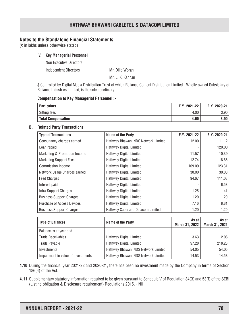### **Notes to the Standalone Financial Statements**

 $(\bar{\tau}$  in lakhs unless otherwise stated)

### **IV. Key Managerial Personnel**

Non Executive Directors

Mr. L. K. Kannan

 \$ Controlled by Digital Media Distribution Trust of which Reliance Content Distribution Limited - Wholly owned Subsidiary of Reliance Industries Limited, is the sole beneficiary.

### **Compensation to Key Managerial Personnel :-**

| <b>Particulars</b> | $F.Y. 2021-22$ | $F.Y. 2020-21$ |
|--------------------|----------------|----------------|
| Sitting fees       | 4.00           | 3.90           |
| Total Compensation | 4.00           | 3.90           |

### **B. Related Party Transactions**

| <b>Type of Transactions</b>       | Name of the Party                   | F.Y. 2021-22 | $F.Y. 2020-21$ |
|-----------------------------------|-------------------------------------|--------------|----------------|
| Consultancy charges earned        | Hathway Bhawani NDS Network Limited | 12.00        | 11.12          |
| Loan repaid                       | Hathway Digital Limited             |              | 120.00         |
| Marketing & Promotion Income      | Hathway Digital Limited             | 11.57        | 10.39          |
| <b>Marketing Support Fees</b>     | Hathway Digital Limited             | 12.74        | 18.65          |
| <b>Commission Income</b>          | Hathway Digital Limited             | 109.09       | 123.31         |
| Network Usage Charges earned      | Hathway Digital Limited             | 30.00        | 30.00          |
| <b>Feed Charges</b>               | Hathway Digital Limited             | 94.67        | 111.03         |
| Interest paid                     | Hathway Digital Limited             |              | 6.58           |
| Infra Support Charges             | Hathway Digital Limited             | 1.25         | 1.41           |
| <b>Business Support Charges</b>   | Hathway Digital Limited             | 1.20         | 1.20           |
| <b>Purchase of Access Devices</b> | Hathway Digital Limited             | 7.16         | 8.81           |
| <b>Business Support Charges</b>   | Hathway Cable and Datacom Limited   | 1.20         | 1.20           |

| <b>Type of Balances</b>            | Name of the Party                   | As at<br>March 31, 2022 | As at<br>March 31, 2021 |
|------------------------------------|-------------------------------------|-------------------------|-------------------------|
| Balance as at year end             |                                     |                         |                         |
| <b>Trade Receivables</b>           | Hathway Digital Limited             | 3.63                    | 2.08                    |
| Trade Payable                      | Hathway Digital Limited             | 97.28                   | 218.23                  |
| Investments                        | Hathway Bhawani NDS Network Limited | 54.05                   | 54.05                   |
| Impairment in value of Investments | Hathway Bhawani NDS Network Limited | 14.53                   | 14.53                   |

- **4.10** During the financial year 2021-22 and 2020-21, there has been no investment made by the Company in terms of Section 186(4) of the Act.
- **4.11** Supplementary statutory information required to be given pursuant to Schedule V of Regulation 34(3) and 53(f) of the SEBI (Listing obligation & Disclosure requirement) Regulations,2015. - Nil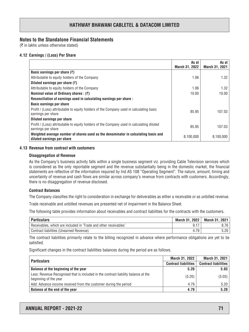### **Notes to the Standalone Financial Statements**

 $(\bar{\tau})$  in lakhs unless otherwise stated)

### **4.12 Earnings / (Loss) Per Share**

|                                                                                                                  | As at<br>March 31, 2022 | As at<br>March 31, 2021 |
|------------------------------------------------------------------------------------------------------------------|-------------------------|-------------------------|
| Basic earnings per share $(5)$                                                                                   |                         |                         |
| Attributable to equity holders of the Company                                                                    | 1.06                    | 1.32                    |
| Diluted earnings per share $(\bar{z})$                                                                           |                         |                         |
| Attributable to equity holders of the Company                                                                    | 1.06                    | 1.32 <sub>1</sub>       |
| Nominal value of Ordinary shares : $(\bar{z})$                                                                   | 10.00                   | 10.00                   |
| Reconciliation of earnings used in calculating earnings per share:                                               |                         |                         |
| <b>Basic earnings per share</b>                                                                                  |                         |                         |
| Profit / (Loss) attributable to equity holders of the Company used in calculating basic<br>earnings per share    | 85.95                   | 107.03                  |
| <b>Diluted earnings per share</b>                                                                                |                         |                         |
| Profit / (Loss) attributable to equity holders of the Company used in calculating diluted<br>earnings per share  | 85.95                   | 107.03                  |
| Weighted average number of shares used as the denominator in calculating basic and<br>diluted earnings per share | 8,100,000               | 8.100.000               |

### **4.13 Revenue from contract with customers**

### **Disaggregation of Revenue**

 As the Company's business activity falls within a single business segment viz. providing Cable Television services which is considered as the only reportable segment and the revenue substantially being in the domestic market, the financial statements are reflective of the information required by Ind AS 108 "Operating Segment". The nature, amount, timing and uncertainty of revenue and cash flows are similar across company's revenue from contracts with customers. Accordingly, there is no disaggregation of revenue disclosed.

### **Contract Balances**

The Company classifies the right to consideration in exchange for deliverables as either a receivable or as unbilled revenue.

Trade receivable and unbilled revenues are presented net of impairment in the Balance Sheet.

The following table provides information about receivables and contract liabilities for the contracts with the customers.

| Particulars                                                      | 2022<br>March 31 | March 31.<br>2021 |
|------------------------------------------------------------------|------------------|-------------------|
| Receivables, which are included in 'Trade and other receivables' |                  | 8.76              |
| Contract liabilities (Unearned Revenue)                          | 4.79             | 5.20              |

 The contract liabilities primarily relate to the billing recognized in advance where performance obligations are yet to be satisfied.

Significant changes in the contract liabilities balances during the period are as follows.

|                                                                                                             | March 31, 2022              | March 31, 2021              |
|-------------------------------------------------------------------------------------------------------------|-----------------------------|-----------------------------|
| <b>Particulars</b>                                                                                          | <b>Contract liabilities</b> | <b>Contract liabilities</b> |
| Balance at the beginning of the year                                                                        | 5.20                        | 5.03                        |
| Less: Revenue Recognised that is included in the contract liability balance at the<br>beginning of the year | (5.20)                      | (5.03)                      |
| Add: Advance income received from the customer during the period                                            | 4.79                        | 5.20                        |
| Balance at the end of the year                                                                              | 4.79                        | 5.20                        |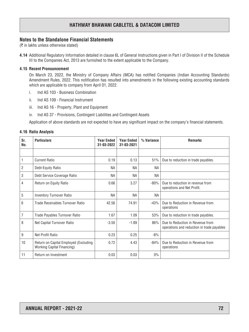### **Notes to the Standalone Financial Statements**

 $(\bar{\tau})$  in lakhs unless otherwise stated)

**4.14** Additional Regulatory Information detailed in clause 6L of General Instructions given in Part I of Division II of the Schedule III to the Companies Act, 2013 are furnished to the extent applicable to the Company.

### **4.15 Recent Pronouncement**

 On March 23, 2022, the Ministry of Company Affairs (MCA) has notified Companies (Indian Accounting Standards) Amendment Rules, 2022. This notification has resulted into amendments in the following existing accounting standards which are applicable to company from April 01, 2022.

- i. Ind AS 103 Business Combination
- ii. Ind AS 109 Financial Instrument
- iii. Ind AS 16 Property, Plant and Equipment
- iv. Ind AS 37 Provisions, Contingent Liabilities and Contingent Assets

Application of above standards are not expected to have any significant impact on the company's financial statements.

### **4.16 Ratio Analysis**

| Sr.<br>No.     | <b>Particulars</b>                                                         | <b>Year Ended</b><br>31-03-2022 | <b>Year Ended</b><br>31-03-2021 | $%$ Variance | <b>Remarks</b>                                                                 |
|----------------|----------------------------------------------------------------------------|---------------------------------|---------------------------------|--------------|--------------------------------------------------------------------------------|
|                |                                                                            |                                 |                                 |              |                                                                                |
| 1              | <b>Current Ratio</b>                                                       | 0.19                            | 0.13                            | 51%          | Due to reduction in trade payables.                                            |
| 2              | Debt-Equity Ratio                                                          | <b>NA</b>                       | <b>NA</b>                       | <b>NA</b>    |                                                                                |
| 3              | Debt Service Coverage Ratio                                                | <b>NA</b>                       | <b>NA</b>                       | <b>NA</b>    |                                                                                |
| 4              | Return on Equity Ratio                                                     | 0.66                            | 3.27                            | $-80%$       | Due to reduction in revenue from<br>operations and Net Profit.                 |
| 5              | <b>Inventory Turnover Ratio</b>                                            | <b>NA</b>                       | <b>NA</b>                       | <b>NA</b>    |                                                                                |
| 6              | Trade Receivables Turnover Ratio                                           | 42.56                           | 74.91                           | $-43%$       | Due to Reduction in Revenue from<br>operations                                 |
| $\overline{7}$ | Trade Payables Turnover Ratio                                              | 1.67                            | 1.09                            | 53%          | Due to reduction in trade payables.                                            |
| 8              | Net Capital Turnover Ratio                                                 | $-3.50$                         | $-1.89$                         | 86%          | Due to Reduction in Revenue from<br>operations and reduction in trade payables |
| 9              | Net Profit Ratio                                                           | 0.23                            | 0.25                            | $-8%$        |                                                                                |
| 10             | Return on Capital Employed (Excluding<br><b>Working Capital Financing)</b> | 0.72                            | 4.43                            | $-84%$       | Due to Reduction in Revenue from<br>operations                                 |
| 11             | Return on Investment                                                       | 0.03                            | 0.03                            | $0\%$        |                                                                                |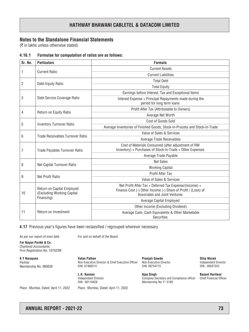### **Notes to the Standalone Financial Statements**

 $(\bar{\tau}$  in lakhs unless otherwise stated)

**4.16.1 Formulae for computation of ratios are as follows:**

| Sr. No.        | <b>Particulars</b>                                                     | Formula                                                                                                                                                  |  |  |
|----------------|------------------------------------------------------------------------|----------------------------------------------------------------------------------------------------------------------------------------------------------|--|--|
|                |                                                                        | <b>Current Assets</b>                                                                                                                                    |  |  |
| 1              | <b>Current Ratio</b>                                                   | <b>Current Liabilities</b>                                                                                                                               |  |  |
|                | Debt-Equity Ratio                                                      | <b>Total Debt</b>                                                                                                                                        |  |  |
| $\overline{2}$ |                                                                        | <b>Total Equity</b>                                                                                                                                      |  |  |
|                | Debt Service Coverage Ratio                                            | Earnings before Interest, Tax and Exceptional Items                                                                                                      |  |  |
| 3              |                                                                        | Interest Expense + Principal Repayments made during the<br>period for long term loans                                                                    |  |  |
|                |                                                                        | Profit After Tax (Attributable to Owners)                                                                                                                |  |  |
| 4              | Return on Equity Ratio                                                 | Average Net Worth                                                                                                                                        |  |  |
|                | <b>Inventory Turnover Ratio</b>                                        | Cost of Goods Sold                                                                                                                                       |  |  |
| 5              |                                                                        | Average Inventories of Finished Goods, Stock-in-Process and Stock-in-Trade                                                                               |  |  |
| 6              | Trade Receivables Turnover Ratio                                       | Value of Sales & Services                                                                                                                                |  |  |
|                |                                                                        | Average Trade Receivables                                                                                                                                |  |  |
| 7              | Trade Payables Turnover Ratio                                          | Cost of Materials Consumed (after adjustment of RM<br>Inventory) + Purchases of Stock-in-Trade + Other Expenses                                          |  |  |
|                |                                                                        | Average Trade Payable                                                                                                                                    |  |  |
|                |                                                                        | <b>Net Sales</b>                                                                                                                                         |  |  |
| 8              | Net Capital Turnover Ratio                                             | <b>Working Capital</b>                                                                                                                                   |  |  |
| 9              | Net Profit Ratio                                                       | Profit After Tax                                                                                                                                         |  |  |
|                |                                                                        | Value of Sales & Services                                                                                                                                |  |  |
| 10             | Return on Capital Employed<br>(Excluding Working Capital<br>Financing) | Net Profit After Tax + Deferred Tax Expense/(Income) +<br>Finance Cost (-) Other Income (-) Share of Profit / (Loss) of<br>Associates and Joint Ventures |  |  |
|                |                                                                        | Average Capital Employed                                                                                                                                 |  |  |
|                |                                                                        | Other Income (Excluding Dividend)                                                                                                                        |  |  |
| 11             | Return on Investment                                                   | Average Cash, Cash Equivalents & Other Marketable<br>Securities                                                                                          |  |  |

**4.17** Previous year's figures have been reclassified / regrouped wherever necessary.

As per our report of even date For and on behalf of the Board

**For Nayan Parikh & Co.** Chartered Accountants Firm Registration No. 107023W

**K Y Narayana**  Partner Membership No. 060639

**Vatan Pathan**  Non-Executive Director & Chief Executive Officer DIN: 07468214

**L.K. Kannan**  Independent Director DIN : 00110428

**Pranjali Gawde** Non-Executive Director DIN: 08754715

**Dilip Worah** DIN : 00047252

**Ajay Singh**  Company Secretary and Compliance officer Membership No: F- 5189

Independent Director

Place : Mumbai, Dated: April 11, 2022 Place : Mumbai, Dated: April 11, 2022

**Basant Haritwal**  Chief Financial Officer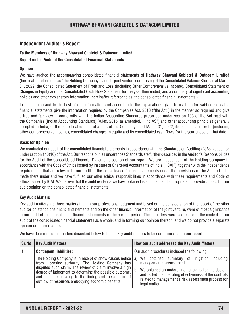# **Independent Auditor's Report**

# **To the Members of Hathway Bhawani Cabletel & Datacom Limited Report on the Audit of the Consolidated Financial Statements**

## **Opinion**

We have audited the accompanying consolidated financial statements of **Hathway Bhawani Cabletel & Datacom Limited** (hereinafter referred to as "the Holding Company") and its joint venture comprising of the Consolidated Balance Sheet as at March 31, 2022, the Consolidated Statement of Profit and Loss (including Other Comprehensive Income), Consolidated Statement of Changes in Equity and the Consolidated Cash Flow Statement for the year then ended, and a summary of significant accounting policies and other explanatory information (hereinafter referred to as 'the consolidated financial statements').

In our opinion and to the best of our information and according to the explanations given to us, the aforesaid consolidated financial statements give the information required by the Companies Act, 2013 ("the Act") in the manner so required and give a true and fair view in conformity with the Indian Accounting Standards prescribed under section 133 of the Act read with the Companies (Indian Accounting Standards) Rules, 2015, as amended, ("Ind AS") and other accounting principles generally accepted in India, of the consolidated state of affairs of the Company as at March 31, 2022, its consolidated profit (including other comprehensive income), consolidated changes in equity and its consolidated cash flows for the year ended on that date.

## **Basis for Opinion**

We conducted our audit of the consolidated financial statements in accordance with the Standards on Auditing ("SAs") specified under section 143(10) of the Act. Our responsibilities under those Standards are further described in the Auditor's Responsibilities for the Audit of the Consolidated Financial Statements section of our report. We are independent of the Holding Company in accordance with the Code of Ethics issued by Institute of Chartered Accountants of India ("ICAI"), together with the independence requirements that are relevant to our audit of the consolidated financial statements under the provisions of the Act and rules made there under and we have fulfilled our other ethical responsibilities in accordance with these requirements and Code of Ethics issued by ICAI. We believe that the audit evidence we have obtained is sufficient and appropriate to provide a basis for our audit opinion on the consolidated financial statements.

## **Key Audit Matters**

Key audit matters are those matters that, in our professional judgment and based on the consideration of the report of the other auditor on standalone financial statements and on the other financial information of the joint venture, were of most significance in our audit of the consolidated financial statements of the current period. These matters were addressed in the context of our audit of the consolidated financial statements as a whole, and in forming our opinion thereon, and we do not provide a separate opinion on these matters.

We have determined the matters described below to be the key audit matters to be communicated in our report.

| Sr.No | <b>Key Audit Matters</b>                                                                                                                                                                                                                                                                                                                         | How our audit addressed the Key Audit Matters                                                                                                                                                                                                                                         |
|-------|--------------------------------------------------------------------------------------------------------------------------------------------------------------------------------------------------------------------------------------------------------------------------------------------------------------------------------------------------|---------------------------------------------------------------------------------------------------------------------------------------------------------------------------------------------------------------------------------------------------------------------------------------|
|       | <b>Contingent liabilities:</b>                                                                                                                                                                                                                                                                                                                   | Our audit procedures included the following:                                                                                                                                                                                                                                          |
|       | The Holding Company is in receipt of show causes notice<br>from Licensing authority. The Holding Company has<br>disputed such claim. The review of claim involve a high<br>degree of judgement to determine the possible outcome,<br>and estimates relating to the timing and the amount of<br>outflow of resources embodying economic benefits. | We obtained summary<br>including<br>a)<br>litigation<br>0f<br>management's assessment.<br>b)<br>We obtained an understanding, evaluated the design,<br>and tested the operating effectiveness of the controls<br>related to management's risk assessment process for<br>legal matter. |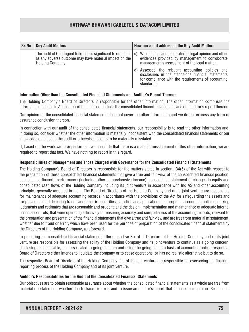| Sr.No | <b>Key Audit Matters</b>                                                                                                                                        | How our audit addressed the Key Audit Matters                                                                                                                              |
|-------|-----------------------------------------------------------------------------------------------------------------------------------------------------------------|----------------------------------------------------------------------------------------------------------------------------------------------------------------------------|
|       | The audit of Contingent liabilities is significant to our audit $\vert c \rangle$<br>as any adverse outcome may have material impact on the<br>Holding Company. | We obtained and read external legal opinion and other<br>evidences provided by management to corroborate<br>management's assessment of the legal matter.                   |
|       |                                                                                                                                                                 | d) Assessed the relevant accounting policies and<br>disclosures in the standalone financial statements<br>for compliance with the requirements of accounting<br>standards. |

## **Information Other than the Consolidated Financial Statements and Auditor's Report Thereon**

The Holding Company's Board of Directors is responsible for the other information. The other information comprises the information included in Annual report but does not include the consolidated financial statements and our auditor's report thereon.

Our opinion on the consolidated financial statements does not cover the other information and we do not express any form of assurance conclusion thereon.

In connection with our audit of the consolidated financial statements, our responsibility is to read the other information and, in doing so, consider whether the other information is materially inconsistent with the consolidated financial statements or our knowledge obtained in the audit or otherwise appears to be materially misstated.

If, based on the work we have performed, we conclude that there is a material misstatement of this other information, we are required to report that fact. We have nothing to report in this regard.

## **Responsibilities of Management and Those Charged with Governance for the Consolidated Financial Statements**

The Holding Company's Board of Directors is responsible for the matters stated in section 134(5) of the Act with respect to the preparation of these consolidated financial statements that give a true and fair view of the consolidated financial position, consolidated financial performance (including other comprehensive income), consolidated statement of changes in equity and consolidated cash flows of the Holding Company including its joint venture in accordance with Ind AS and other accounting principles generally accepted in India. The Board of Directors of the Holding Company and of its joint venture are responsible for maintenance of adequate accounting records in accordance with the provisions of the Act for safeguarding the assets and for preventing and detecting frauds and other irregularities; selection and application of appropriate accounting policies; making judgments and estimates that are reasonable and prudent; and the design, implementation and maintenance of adequate internal financial controls, that were operating effectively for ensuring accuracy and completeness of the accounting records, relevant to the preparation and presentation of the financial statements that give a true and fair view and are free from material misstatement, whether due to fraud or error, which have been used for the purpose of preparation of the consolidated financial statements by the Directors of the Holding Company, as aforesaid.

In preparing the consolidated financial statements, the respective Board of Directors of the Holding Company and of its joint venture are responsible for assessing the ability of the Holding Company and its joint venture to continue as a going concern, disclosing, as applicable, matters related to going concern and using the going concern basis of accounting unless respective Board of Directors either intends to liquidate the company or to cease operations, or has no realistic alternative but to do so.

The respective Board of Directors of the Holding Company and of its joint venture are responsible for overseeing the financial reporting process of the Holding Company and of its joint venture.

## **Auditor's Responsibilities for the Audit of the Consolidated Financial Statements**

Our objectives are to obtain reasonable assurance about whether the consolidated financial statements as a whole are free from material misstatement, whether due to fraud or error, and to issue an auditor's report that includes our opinion. Reasonable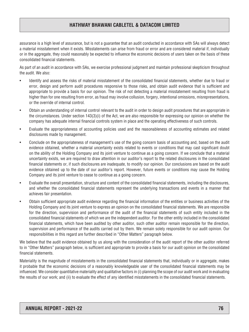assurance is a high level of assurance, but is not a guarantee that an audit conducted in accordance with SAs will always detect a material misstatement when it exists. Misstatements can arise from fraud or error and are considered material if, individually or in the aggregate, they could reasonably be expected to influence the economic decisions of users taken on the basis of these consolidated financial statements.

As part of an audit in accordance with SAs, we exercise professional judgment and maintain professional skepticism throughout the audit. We also:

- Identify and assess the risks of material misstatement of the consolidated financial statements, whether due to fraud or error, design and perform audit procedures responsive to those risks, and obtain audit evidence that is sufficient and appropriate to provide a basis for our opinion. The risk of not detecting a material misstatement resulting from fraud is higher than for one resulting from error, as fraud may involve collusion, forgery, intentional omissions, misrepresentations, or the override of internal control.
- ∙ Obtain an understanding of internal control relevant to the audit in order to design audit procedures that are appropriate in the circumstances. Under section 143(3)(i) of the Act, we are also responsible for expressing our opinion on whether the company has adequate internal financial controls system in place and the operating effectiveness of such controls.
- Evaluate the appropriateness of accounting policies used and the reasonableness of accounting estimates and related disclosures made by management.
- ∙ Conclude on the appropriateness of management's use of the going concern basis of accounting and, based on the audit evidence obtained, whether a material uncertainty exists related to events or conditions that may cast significant doubt on the ability of the Holding Company and its joint venture to continue as a going concern. If we conclude that a material uncertainty exists, we are required to draw attention in our auditor's report to the related disclosures in the consolidated financial statements or, if such disclosures are inadequate, to modify our opinion. Our conclusions are based on the audit evidence obtained up to the date of our auditor's report. However, future events or conditions may cause the Holding Company and its joint venture to cease to continue as a going concern.
- Evaluate the overall presentation, structure and content of the consolidated financial statements, including the disclosures, and whether the consolidated financial statements represent the underlying transactions and events in a manner that achieves fair presentation.
- ∙ Obtain sufficient appropriate audit evidence regarding the financial information of the entities or business activities of the Holding Company and its joint venture to express an opinion on the consolidated financial statements. We are responsible for the direction, supervision and performance of the audit of the financial statements of such entity included in the consolidated financial statements of which we are the independent auditor. For the other entity included in the consolidated financial statements, which have been audited by other auditor, such other auditor remain responsible for the direction, supervision and performance of the audits carried out by them. We remain solely responsible for our audit opinion. Our responsibilities in this regard are further described in "Other Matters" paragraph below.

We believe that the audit evidence obtained by us along with the consideration of the audit report of the other auditor referred to in "Other Matters" paragraph below, is sufficient and appropriate to provide a basis for our audit opinion on the consolidated financial statements.

Materiality is the magnitude of misstatements in the consolidated financial statements that, individually or in aggregate, makes it probable that the economic decisions of a reasonably knowledgeable user of the consolidated financial statements may be influenced. We consider quantitative materiality and qualitative factors in (i) planning the scope of our audit work and in evaluating the results of our work; and (ii) to evaluate the effect of any identified misstatements in the consolidated financial statements.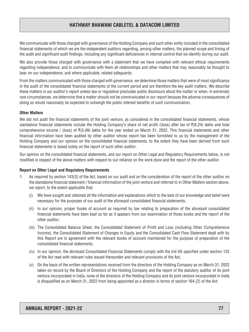We communicate with those charged with governance of the Holding Company and such other entity included in the consolidated financial statements of which we are the independent auditors regarding, among other matters, the planned scope and timing of the audit and significant audit findings, including any significant deficiencies in internal control that we identify during our audit.

We also provide those charged with governance with a statement that we have complied with relevant ethical requirements regarding independence, and to communicate with them all relationships and other matters that may reasonably be thought to bear on our independence, and where applicable, related safeguards.

From the matters communicated with those charged with governance, we determine those matters that were of most significance in the audit of the consolidated financial statements of the current period and are therefore the key audit matters. We describe these matters in our auditor's report unless law or regulation precludes public disclosure about the matter or when, in extremely rare circumstances, we determine that a matter should not be communicated in our report because the adverse consequences of doing so would reasonably be expected to outweigh the public interest benefits of such communication.

## **Other Matters**

We did not audit the financial statements of the joint venture, as considered in the consolidated financial statements, whose standalone financial statements include the Holding Company's share of net profit /(loss) after tax of  $\bar{\tau}$ (6.24) lakhs and total comprehensive income / (loss) of  $\overline{\xi}$ (5.49) lakhs for the year ended on March 31, 2022. This financial statements and other financial information have been audited by other auditor whose report has been furnished to us by the management of the Holding Company and our opinion on the consolidated financial statements, to the extent they have been derived from such financial statements is based solely on the report of such other auditor.

Our opinion on the consolidated financial statements, and our report on Other Legal and Regulatory Requirements below, is not modified in respect of the above matters with respect to our reliance on the work done and the report of the other auditor.

## **Report on Other Legal and Regulatory Requirements**

- 1. As required by section 143(3) of the Act, based on our audit and on the consideration of the report of the other auditor on the standalone financial statement / financial information of the joint venture and referred to in Other Matters section above, we report, to the extent applicable that;
	- (i) We have sought and obtained all the information and explanations which to the best of our knowledge and belief were necessary for the purposes of our audit of the aforesaid consolidated financial statements;
	- (ii) In our opinion, proper books of account as required by law relating to preparation of the aforesaid consolidated financial statements have been kept so far as it appears from our examination of those books and the report of the other auditor;
	- (iii) The Consolidated Balance Sheet, the Consolidated Statement of Profit and Loss (including Other Comprehensive Income), the Consolidated Statement of Changes in Equity and the Consolidated Cash Flow Statement dealt with by this Report are in agreement with the relevant books of account maintained for the purpose of preparation of the consolidated financial statements;
	- (iv) In our opinion, the aforesaid Consolidated Financial Statements comply with the Ind AS specified under section 133 of the Act read with relevant rules issued thereunder and relevant provisions of the Act;
	- (v) On the basis of the written representations received from the directors of the Holding Company as on March 31, 2022 taken on record by the Board of Directors of the Holding Company and the report of the statutory auditor of its joint venture incorporated in India, none of the directors of the Holding Company and its joint venture incorporated in India is disqualified as on March 31, 2022 from being appointed as a director in terms of section 164 (2) of the Act;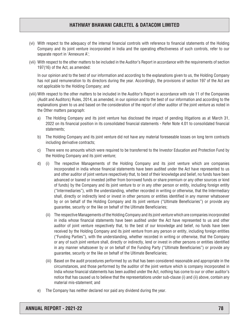- (vi) With respect to the adequacy of the internal financial controls with reference to financial statements of the Holding Company and its joint venture incorporated in India and the operating effectiveness of such controls, refer to our separate report in 'Annexure A';
- (vii) With respect to the other matters to be included in the Auditor's Report in accordance with the requirements of section 197(16) of the Act, as amended:

 In our opinion and to the best of our information and according to the explanations given to us, the Holding Company has not paid remuneration to its directors during the year. Accordingly, the provisions of section 197 of the Act are not applicable to the Holding Company; and

- (viii) With respect to the other matters to be included in the Auditor's Report in accordance with rule 11 of the Companies (Audit and Auditors) Rules, 2014, as amended, in our opinion and to the best of our information and according to the explanations given to us and based on the consideration of the report of other auditor of the joint venture as noted in the Other matters paragraph:
	- a) The Holding Company and its joint venture has disclosed the impact of pending litigations as at March 31, 2022 on its financial position in its consolidated financial statements - Refer Note 4.01 to consolidated financial statements;
	- b) The Holding Company and its joint venture did not have any material foreseeable losses on long term contracts including derivative contracts;
	- c) There were no amounts which were required to be transferred to the Investor Education and Protection Fund by the Holding Company and its joint venture;
	- d) (i) The respective Managements of the Holding Company and its joint venture which are companies incorporated in india whose financial statements have been audited under the Act have represented to us and other auditor of joint venture respectively that, to best of their knowledge and belief, no funds have been advanced or loaned or invested (either from borrowed funds or share premium or any other sources or kind of funds) by the Company and its joint venture to or in any other person or entity, including foreign entity ("Intermediaries"), with the understanding, whether recorded in writing or otherwise, that the Intermediary shall, directly or indirectly lend or invest in other persons or entities identified in any manner whatsoever by or on behalf of the Holding Company and its joint venture ("Ultimate Beneficiaries") or provide any guarantee, security or the like on behalf of the Ultimate Beneficiaries;
		- (ii) The respective Managements of the Holding Company and its joint venture which are companies incorporated in india whose financial statements have been audited under the Act have represented to us and other auditor of joint venture respectively that, to the best of our knowledge and belief, no funds have been received by the Holding Company and its joint venture from any person or entity, including foreign entities ("Funding Parties"), with the understanding, whether recorded in writing or otherwise, that the Company or any of such joint venture shall, directly or indirectly, lend or invest in other persons or entities identified in any manner whatsoever by or on behalf of the Funding Party ("Ultimate Beneficiaries") or provide any guarantee, security or the like on behalf of the Ultimate Beneficiaries;
		- (iii) Based on the audit procedures performed by us that has been considered reasonable and appropriate in the circumstances, and those performed by the auditor of the joint venture which is company incorporated in India whose financial statements has been audited under the Act, nothing has come to our or other auditor's notice that has caused us to believe that the representations under sub-clause (i) and (ii) above, contain any material mis-statement; and
	- e) The Company has neither declared nor paid any dividend during the year.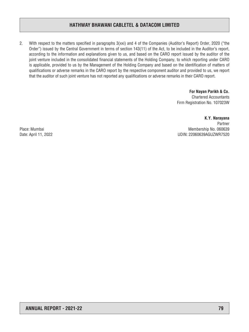2. With respect to the matters specified in paragraphs 3(xxi) and 4 of the Companies (Auditor's Report) Order, 2020 ("the Order") issued by the Central Government in terms of section 143(11) of the Act, to be included in the Auditor's report, according to the information and explanations given to us, and based on the CARO report issued by the auditor of the joint venture included in the consolidated financial statements of the Holding Company, to which reporting under CARO is applicable, provided to us by the Management of the Holding Company and based on the identification of matters of qualifications or adverse remarks in the CARO report by the respective component auditor and provided to us, we report that the auditor of such joint venture has not reported any qualifications or adverse remarks in their CARO report.

> **For Nayan Parikh & Co.** Chartered Accountants Firm Registration No. 107023W

**K.Y. Narayana** Partner Place: Mumbai Membership No. 060639 Date: April 11, 2022 UDIN: 22060639AGUZWR7520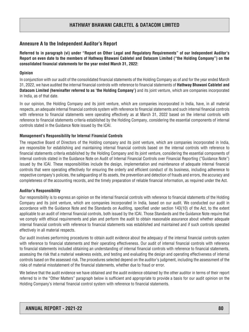# **Annexure A to the Independent Auditor's Report**

**Referred to in paragraph (vi) under "Report on Other Legal and Regulatory Requirements" of our Independent Auditor's Report on even date to the members of Hathway Bhawani Cabletel and Datacom Limited ("the Holding Company") on the consolidated financial statements for the year ended March 31, 2022:**

## **Opinion**

In conjunction with our audit of the consolidated financial statements of the Holding Company as of and for the year ended March 31, 2022, we have audited the internal financial controls with reference to financial statements of **Hathway Bhawani Cabletel and Datacom Limited (hereinafter referred to as 'the Holding Company')** and its joint venture, which are companies incorporated in India, as of that date.

In our opinion, the Holding Company and its joint venture, which are companies incorporated in India, have, in all material respects, an adequate internal financial controls system with reference to financial statements and such internal financial controls with reference to financial statements were operating effectively as at March 31, 2022 based on the internal controls with reference to financial statements criteria established by the Holding Company, considering the essential components of internal controls stated in the Guidance Note issued by the ICAI.

## **Management's Responsibility for Internal Financial Controls**

The respective Board of Directors of the Holding company and its joint venture, which are companies incorporated in India, are responsible for establishing and maintaining internal financial controls based on the internal controls with reference to financial statements criteria established by the Holding Company and its joint venture, considering the essential components of internal controls stated in the Guidance Note on Audit of Internal Financial Controls over Financial Reporting ("Guidance Note") issued by the ICAI. These responsibilities include the design, implementation and maintenance of adequate internal financial controls that were operating effectively for ensuring the orderly and efficient conduct of its business, including adherence to respective company's policies, the safeguarding of its assets, the prevention and detection of frauds and errors, the accuracy and completeness of the accounting records, and the timely preparation of reliable financial information, as required under the Act.

## **Auditor's Responsibility**

Our responsibility is to express an opinion on the internal financial controls with reference to financial statements of the Holding Company and its joint venture, which are companies incorporated in India, based on our audit. We conducted our audit in accordance with the Guidance Note and the Standards on Auditing, specified under section 143(10) of the Act, to the extent applicable to an audit of internal financial controls, both issued by the ICAI. Those Standards and the Guidance Note require that we comply with ethical requirements and plan and perform the audit to obtain reasonable assurance about whether adequate internal financial controls with reference to financial statements was established and maintained and if such controls operated effectively in all material respects.

Our audit involves performing procedures to obtain audit evidence about the adequacy of the internal financial controls system with reference to financial statements and their operating effectiveness. Our audit of internal financial controls with reference to financial statements included obtaining an understanding of internal financial controls with reference to financial statements, assessing the risk that a material weakness exists, and testing and evaluating the design and operating effectiveness of internal controls based on the assessed risk. The procedures selected depend on the auditor's judgment, including the assessment of the risks of material misstatement of the financial statements, whether due to fraud or error.

We believe that the audit evidence we have obtained and the audit evidence obtained by the other auditor in terms of their report referred to in the "Other Matters" paragraph below is sufficient and appropriate to provide a basis for our audit opinion on the Holding Company's internal financial control system with reference to financial statements.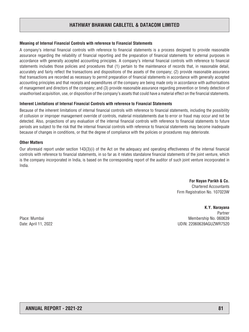#### **Meaning of Internal Financial Controls with reference to Financial Statements**

A company's internal financial controls with reference to financial statements is a process designed to provide reasonable assurance regarding the reliability of financial reporting and the preparation of financial statements for external purposes in accordance with generally accepted accounting principles. A company's internal financial controls with reference to financial statements includes those policies and procedures that (1) pertain to the maintenance of records that, in reasonable detail, accurately and fairly reflect the transactions and dispositions of the assets of the company; (2) provide reasonable assurance that transactions are recorded as necessary to permit preparation of financial statements in accordance with generally accepted accounting principles and that receipts and expenditures of the company are being made only in accordance with authorisations of management and directors of the company; and (3) provide reasonable assurance regarding prevention or timely detection of unauthorised acquisition, use, or disposition of the company's assets that could have a material effect on the financial statements.

#### **Inherent Limitations of Internal Financial Controls with reference to Financial Statements**

Because of the inherent limitations of internal financial controls with reference to financial statements, including the possibility of collusion or improper management override of controls, material misstatements due to error or fraud may occur and not be detected. Also, projections of any evaluation of the internal financial controls with reference to financial statements to future periods are subject to the risk that the internal financial controls with reference to financial statements may become inadequate because of changes in conditions, or that the degree of compliance with the policies or procedures may deteriorate.

#### **Other Matters**

Our aforesaid report under section 143(3)(i) of the Act on the adequacy and operating effectiveness of the internal financial controls with reference to financial statements, in so far as it relates standalone financial statements of the joint venture, which is the company incorporated in India, is based on the corresponding report of the auditor of such joint venture incorporated in India.

> **For Nayan Parikh & Co.** Chartered Accountants Firm Registration No. 107023W

**K.Y. Narayana** Partner Place: Mumbai Membership No. 060639 Date: April 11, 2022 UDIN: 22060639AGUZWR7520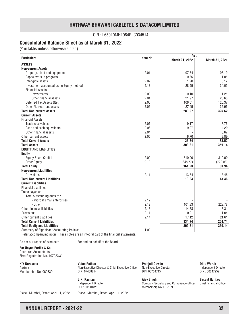CIN : L65910MH1984PLC034514

# **Consolidated Balance Sheet as at March 31, 2022**

 $(\bar{\tau}$  in lakhs unless otherwise stated)

| <b>Particulars</b>                                                                      | Note No. | As at                 |                |
|-----------------------------------------------------------------------------------------|----------|-----------------------|----------------|
|                                                                                         |          | <b>March 31, 2022</b> | March 31, 2021 |
| <b>ASSETS</b>                                                                           |          |                       |                |
| <b>Non-current Assets</b>                                                               |          |                       |                |
| Property, plant and equipment                                                           | 2.01     | 97.34                 | 105.19         |
| Capital work in progress                                                                |          | 0.65                  | 1.05           |
| Intangible assets                                                                       | 2.02     | 1.90                  | 3.12           |
| Investment accounted using Equity method                                                | 4.13     | 28.55                 | 34.05          |
| <b>Financial Assets</b>                                                                 |          |                       |                |
| Investments                                                                             | 2.03     | 0.10                  | 1.25           |
| Other financial assets                                                                  | 2.04     | 21.97                 | 23.63          |
| Deferred Tax Assets (Net)                                                               | 2.05     | 106.01                | 120.37         |
| Other Non-current assets                                                                | 2.06     | 27.45                 | 36.96          |
| <b>Total Non-current Assets</b>                                                         |          | 283.97                | 325.62         |
| <b>Current Assets</b>                                                                   |          |                       |                |
| <b>Financial Assets</b>                                                                 |          |                       |                |
| Trade receivables                                                                       | 2.07     | 9.17                  | 8.76           |
| Cash and cash equivalents                                                               | 2.08     | 9.97                  | 14.20          |
| Other financial assets                                                                  | 2.04     |                       | 0.67           |
| Other current assets                                                                    | 2.06     | 6.70                  | 9.89           |
| <b>Total Current Assets</b>                                                             |          | 25.84                 | 33.52          |
| <b>Total Assets</b>                                                                     |          | 309.81                | 359.14         |
| <b>EQUITY AND LIABILITIES</b>                                                           |          |                       |                |
| Equity                                                                                  |          |                       |                |
| <b>Equity Share Capital</b>                                                             | 2.09     | 810.00                | 810.00         |
| <b>Other Equity</b>                                                                     | 2.10     | (648.77)              | (729.06)       |
| <b>Total Equity</b>                                                                     |          | 161.23                | 80.94          |
| <b>Non-current Liabilities</b>                                                          |          |                       |                |
| Provisions                                                                              | 2.11     | 13.84                 | 13.46          |
| <b>Total Non-current Liabilities</b>                                                    |          | 13.84                 | 13.46          |
| <b>Current Liabilities</b>                                                              |          |                       |                |
| <b>Financial Liabilities</b>                                                            |          |                       |                |
| Trade payables                                                                          |          |                       |                |
| Total outstanding dues of:                                                              |          |                       |                |
| - Micro & small enterprises                                                             | 2.12     |                       |                |
| - Other                                                                                 | 2.12     | 101.83                | 223.78         |
| Other financial liabilities                                                             | 2.13     | 14.88                 | 18.31          |
| Provisions                                                                              | 2.11     | 0.91                  | 1.04           |
| Other current Liabilities                                                               | 2.14     | 17.12                 | 21.61          |
| <b>Total Current Liabilities</b>                                                        |          | 134.74                | 264.74         |
| <b>Total Equity and Liabilities</b>                                                     |          | 309.81                | 359.14         |
| <b>Summary of Significant Accounting Policies</b>                                       | 1.00     |                       |                |
| Refer accompanying notes. These notes are an integral part of the financial statements. |          |                       |                |

As per our report of even date For and on behalf of the Board

**For Nayan Parikh & Co.** Chartered Accountants Firm Registration No. 107023W

**K Y Narayana**  Partner Membership No. 060639 **Vatan Pathan** 

Non-Executive Director & Chief Executive Officer DIN: 07468214

**L.K. Kannan**  Independent Director DIN : 00110428

**Pranjali Gawde** Non-Executive Director DIN: 08754715

**Ajay Singh**  Company Secretary and Compliance officer Membership No: F-5189

**Dilip Worah** Independent Director DIN : 00047252

**Basant Haritwal**  Chief Financial Officer

Place : Mumbai, Dated: April 11, 2022 Place : Mumbai, Dated: April 11, 2022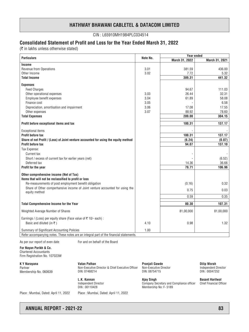CIN : L65910MH1984PLC034514

# **Consolidated Statement of Profit and Loss for the Year Ended March 31, 2022**

 $(\bar{\tau}$  in lakhs unless otherwise stated)

| <b>Particulars</b>                                                                            | Note No. | <b>Year ended</b> |                |
|-----------------------------------------------------------------------------------------------|----------|-------------------|----------------|
|                                                                                               |          | March 31, 2022    | March 31, 2021 |
| Income                                                                                        |          |                   |                |
| Revenue from Operations                                                                       | 3.01     | 381.59            | 436.00         |
| Other Income                                                                                  | 3.02     | 7.72              | 5.32           |
| <b>Total Income</b>                                                                           |          | 389.31            | 441.32         |
| <b>Expenses</b>                                                                               |          |                   |                |
| <b>Feed Charges</b>                                                                           |          | 94.67             | 111.03         |
| Other operational expenses                                                                    | 3.03     | 26.44             | 32.31          |
| Employee benefit expenses                                                                     | 3.04     | 61.89             | 58.08          |
| Finance cost                                                                                  | 3.05     |                   | 6.58           |
| Depreciation, amortisation and impairment                                                     | 3.06     | 17.08             | 17.55          |
| Other expenses                                                                                | 3.07     | 88.92             | 78.60          |
| <b>Total Expenses</b>                                                                         |          | 289.00            | 304.15         |
|                                                                                               |          |                   |                |
| Profit before exceptional items and tax                                                       |          | 100.31            | 137.17         |
| <b>Exceptional items</b>                                                                      |          |                   |                |
| <b>Profit before tax</b>                                                                      |          | 100.31            | 137.17         |
| Share of net Profit / (Loss) of Joint venture accounted for using the equity method           |          | (6.24)            | (0.07)         |
| <b>Profit before tax</b>                                                                      |          | 94.07             | 137.10         |
| Tax Expense:                                                                                  |          |                   |                |
| <b>Current tax</b>                                                                            |          |                   |                |
| Short / excess of current tax for earlier years (net)                                         |          |                   | (6.52)         |
| Deferred tax                                                                                  |          | 14.36             | 36.66          |
| Profit for the year                                                                           |          | 79.71             | 106.96         |
|                                                                                               |          |                   |                |
| Other comprehensive income (Net of Tax)                                                       |          |                   |                |
| Items that will not be reclassified to profit or loss                                         |          |                   |                |
| Re-measurements of post employment benefit obligation                                         |          | (0.16)            | 0.32           |
| Share of Other comperhansive income of Joint venture accounted for using the<br>equity method |          | 0.75              | 0.03           |
|                                                                                               |          | 0.59              | 0.35           |
|                                                                                               |          |                   |                |
| <b>Total Comprehensive Income for the Year</b>                                                |          | 80.30             | 107.31         |
| Weighted Average Number of Shares                                                             |          | 81,00,000         | 81,00,000      |
| Earnings / (Loss) per equity share (Face value of ₹ 10/- each) :                              |          |                   |                |
| Basic and diluted (in ₹)                                                                      | 4.10     | 0.98              | 1.32           |
| <b>Summary of Significant Accounting Policies</b>                                             | 1.00     |                   |                |
| Refer accompanying notes. These notes are an integral part of the financial statements.       |          |                   |                |

As per our report of even date For and on behalf of the Board

**For Nayan Parikh & Co.** Chartered Accountants Firm Registration No. 107023W

**K Y Narayana**  Partner Membership No. 060639 **Vatan Pathan** 

Non-Executive Director & Chief Executive Officer DIN: 07468214

**L.K. Kannan**  Independent Director DIN : 00110428

**Pranjali Gawde** Non-Executive Director DIN: 08754715

**Ajay Singh**  Company Secretary and Compliance officer Membership No: F- 5189

**Dilip Worah** Independent Director DIN : 00047252

**Basant Haritwal**  Chief Financial Officer

Place : Mumbai, Dated: April 11, 2022 Place : Mumbai, Dated: April 11, 2022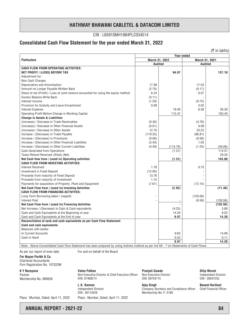CIN : L65910MH1984PLC034514

# **Consolidated Cash Flow Statement for the year ended March 31, 2022**

|                                                                                                                                         |                          |                   |                | $(\bar{\bar{\tau}})$ in lakhs) |
|-----------------------------------------------------------------------------------------------------------------------------------------|--------------------------|-------------------|----------------|--------------------------------|
|                                                                                                                                         |                          | <b>Year ended</b> |                |                                |
| <b>Particulars</b>                                                                                                                      | March 31, 2022           |                   | March 31, 2021 |                                |
|                                                                                                                                         | Audited                  |                   | Audited        |                                |
| <b>CASH FLOW FROM OPERATING ACTIVITIES:</b>                                                                                             |                          |                   |                |                                |
| NET PROFIT / (LOSS) BEFORE TAX                                                                                                          |                          | 94.07             |                | 137.10                         |
| Adjustment for:                                                                                                                         |                          |                   |                |                                |
| Non Cash Charges                                                                                                                        |                          |                   |                |                                |
| Depreciation and Amortisation                                                                                                           | 17.08                    |                   | 17.55          |                                |
| Amount no Longer Payable Written Back                                                                                                   | (2.70)                   |                   | (0.17)         |                                |
| Share of net (Profit) / Loss of Joint venture accounted for using the equity method                                                     | 6.24                     |                   | 0.07           |                                |
| <b>Sundry Balance Write Back</b>                                                                                                        | (0.11)                   |                   |                |                                |
| Interest Income                                                                                                                         | (1.20)                   |                   | (0.75)         |                                |
| Provision for Gratuity and Leave Encashment                                                                                             | 0.09                     |                   | 3.02           |                                |
| <b>Interest Expense</b>                                                                                                                 |                          | 19.40             | 6.58           | 26.30                          |
| Operating Profit Before Change in Working Capital                                                                                       |                          | 113.47            |                | 163.40                         |
| <b>Change in Assets &amp; Liabilities</b>                                                                                               |                          |                   |                |                                |
| (Increase) / Decrease in Trade Receivables                                                                                              | (0.30)                   |                   | (4.78)         |                                |
| (Increase) / Decrease in Other Financial Assets                                                                                         | (0.01)                   |                   | 0.09           |                                |
| (Increase) / Decrease in Other Assets                                                                                                   | 12.70                    |                   | 23.22          |                                |
| Increase / (Decrease) in Trade Payable                                                                                                  | (119.25)                 |                   | (66.81)        |                                |
| Increase / (Decrease) in Provisions                                                                                                     | (0.00)                   |                   | (0.58)         |                                |
| Increase / (Decrease) in Other Financial Liabilities                                                                                    | (3.43)                   |                   | 1.02           |                                |
| Increase / (Decrease) in Other Current Liabilities                                                                                      | (4.49)                   | (114.78)          | (1.25)         | (49.09)                        |
| <b>Cash Generated from Operations</b>                                                                                                   |                          | (1.31)            |                | 114.31                         |
| Taxes Refund Received /(Paid) (Net)                                                                                                     |                          |                   |                | 29.35                          |
| Net Cash flow from / (used in) Operating activities                                                                                     |                          | (1.31)            |                | 143.66                         |
| <b>CASH FLOW FROM INVESTING ACTIVITIES:</b>                                                                                             |                          |                   |                |                                |
| <b>Interest Received</b>                                                                                                                | 1.78                     |                   | 0.75           |                                |
| <b>Investment in Fixed Deposit</b>                                                                                                      | (12.00)                  |                   |                |                                |
| Proceeds from maturity of Fixed Deposit                                                                                                 | 13.76                    |                   |                |                                |
| Proceeds from maturity of Investment                                                                                                    | 1.15                     |                   |                |                                |
| Payments for acquisition of Property, Plant and Equipment                                                                               | (7.61)                   |                   | (12.15)        |                                |
| Net Cash Flow from / (used in) Investing Activities                                                                                     |                          | (2.92)            |                | (11.40)                        |
| <b>CASH FLOW FROM FINANCING ACTIVITIES:</b>                                                                                             |                          |                   |                |                                |
| Long Term Borrowing taken / (repaid)                                                                                                    | $\overline{\phantom{a}}$ |                   | (120.00)       |                                |
| <b>Interest Paid</b>                                                                                                                    |                          |                   | (6.58)         | (126.58)                       |
| Net Cash Flow from / (used in) Financing Activities                                                                                     |                          |                   |                | (126.58)                       |
| Net Increase / (Decrease) in Cash & Cash equivalents                                                                                    |                          | (4.23)            |                | 5.68                           |
| Cash and Cash Equivalents at the Beginning of year                                                                                      |                          | 14.20             |                | 8.52                           |
| Cash and Cash Equivalents at the End of year                                                                                            |                          | 9.97              |                | 14.20                          |
| Reconciliation of cash and cash equivalents as per Cash Flow Statement                                                                  |                          |                   |                |                                |
| <b>Cash and cash equivalents</b>                                                                                                        |                          |                   |                |                                |
| Balances with banks:                                                                                                                    |                          |                   |                |                                |
| In Current Accounts                                                                                                                     |                          | 9.65              |                | 14.09                          |
| Cash in Hand                                                                                                                            |                          | 0.32              |                | 0.11                           |
|                                                                                                                                         |                          | 9.97              |                | 14.20                          |
| Note - Above Consolidated Cash Flow Statement has been prepared by using Indirect method as per Ind AS - 7 on Statements of Cash Flows. |                          |                   |                |                                |

**For Nayan Parikh & Co.** Chartered Accountants Firm Registration No. 107023W

**K Y Narayana**  Partner Membership No. 060639

As per our report of even date For and on behalf of the Board

**Vatan Pathan** 

Non-Executive Director & Chief Executive Officer DIN: 07468214

**L.K. Kannan**  Independent Director DIN : 00110428

**Pranjali Gawde** Non-Executive Director DIN: 08754715

**Dilip Worah**

**Ajay Singh**  Company Secretary and Compliance officer Membership No: F- 5189

Independent Director DIN : 00047252

**Basant Haritwal**  Chief Financial Officer

Place : Mumbai, Dated: April 11, 2022 Place : Mumbai, Dated: April 11, 2022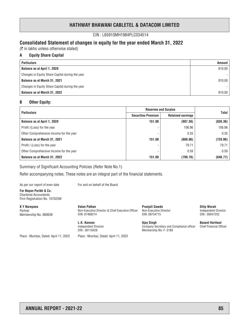#### CIN : L65910MH1984PLC034514

# **Consolidated Statement of changes in equity for the year ended March 31, 2022**

 $(\bar{\tau}$  in lakhs unless otherwise stated)

## **A Equity Share Capital**

| <b>Particulars</b>                              | Amount I |
|-------------------------------------------------|----------|
| Balance as at April 1, 2020                     | 810.00   |
| Changes in Equity Share Capital during the year |          |
| Balance as at March 31, 2021                    | 810.00   |
| Changes in Equity Share Capital during the year |          |
| Balance as at March 31, 2022                    | 810.00   |

#### **B Other Equity:**

| <b>Particulars</b>                      | <b>Reserves and Surplus</b> |                          | <b>Total</b> |
|-----------------------------------------|-----------------------------|--------------------------|--------------|
|                                         | <b>Securities Premium</b>   | <b>Retained earnings</b> |              |
| Balance as at April 1, 2020             | 151.00                      | (987.36)                 | (836.36)     |
| Profit /(Loss) for the year             |                             | 106.96                   | 106.96       |
| Other Comprehensive Income for the year |                             | 0.35                     | 0.35         |
| Balance as at March 31, 2021            | 151.00                      | (880.06)                 | (729.06)     |
| Profit / (Loss) for the year            |                             | 79.71                    | 79.71        |
| Other Comprehensive Income for the year |                             | 0.59                     | 0.59         |
| Balance as at March 31, 2022            | 151.00                      | (799.76)                 | (648.77)     |

Summary of Significant Accounting Policies (Refer Note No.1)

Refer accompanying notes. These notes are an integral part of the financial statements.

As per our report of even date For and on behalf of the Board

**For Nayan Parikh & Co.** Chartered Accountants Firm Registration No. 107023W

**K Y Narayana**  Partner Membership No. 060639 **Vatan Pathan**  Non-Executive Director & Chief Executive Officer DIN: 07468214

**L.K. Kannan**  Independent Director DIN : 00110428

**Pranjali Gawde** Non-Executive Director DIN: 08754715

**Ajay Singh**  Company Secretary and Compliance officer Membership No: F- 5189

**Dilip Worah** Independent Director DIN : 00047252

**Basant Haritwal**  Chief Financial Officer

Place : Mumbai, Dated: April 11, 2022 Place : Mumbai, Dated: April 11, 2022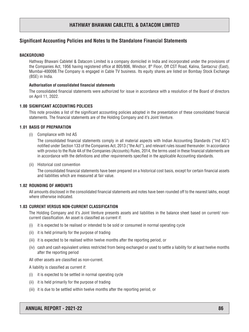# **Significant Accounting Policies and Notes to the Standalone Financial Statements**

## **BACKGROUND**

 Hathway Bhawani Cabletel & Datacom Limited is a company domiciled in India and incorporated under the provisions of the Companies Act, 1956 having registered office at 805/806, Windsor, 8<sup>th</sup> Floor, Off CST Road, Kalina, Santacruz (East), Mumbai-400098.The Company is engaged in Cable TV business. Its equity shares are listed on Bombay Stock Exchange (BSE) in India.

## **Authorisation of consolidated financial statements**

 The consolidated financial statements were authorized for issue in accordance with a resolution of the Board of directors on April 11, 2022.

## **1.00 SIGNIFICANT ACCOUNTING POLICIES**

 This note provides a list of the significant accounting policies adopted in the presentation of these consolidated financial statements. The financial statements are of the Holding Company and it's Joint Venture.

#### **1.01 BASIS OF PREPARATION**

(i) Compliance with Ind AS

 The consolidated financial statements comply in all material aspects with Indian Accounting Standards ("Ind AS") notified under Section 133 of the Companies Act, 2013 ("the Act"), and relevant rules issued thereunder. In accordance with proviso to the Rule 4A of the Companies (Accounts) Rules, 2014, the terms used in these financial statements are in accordance with the definitions and other requirements specified in the applicable Accounting standards.

(ii) Historical cost convention

 The consolidated financial statements have been prepared on a historical cost basis, except for certain financial assets and liabilities which are measured at fair value.

## **1.02 ROUNDING OF AMOUNTS**

 All amounts disclosed in the consolidated financial statements and notes have been rounded off to the nearest lakhs, except where otherwise indicated.

#### **1.03 CURRENT VERSUS NON-CURRENT CLASSIFICATION**

 The Holding Company and it's Joint Venture presents assets and liabilities in the balance sheet based on current/ noncurrent classification. An asset is classified as current if:

- (i) it is expected to be realised or intended to be sold or consumed in normal operating cycle
- (ii) it is held primarily for the purpose of trading
- (iii) it is expected to be realised within twelve months after the reporting period, or
- (iv) cash and cash equivalent unless restricted from being exchanged or used to settle a liability for at least twelve months after the reporting period

All other assets are classified as non-current.

A liability is classified as current if:

- (i) it is expected to be settled in normal operating cycle
- (ii) it is held primarily for the purpose of trading
- (iii) it is due to be settled within twelve months after the reporting period, or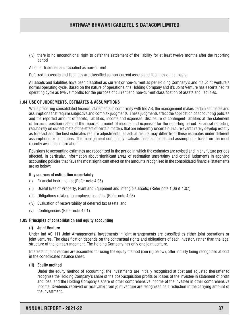(iv) there is no unconditional right to defer the settlement of the liability for at least twelve months after the reporting period

All other liabilities are classified as non-current.

Deferred tax assets and liabilities are classified as non-current assets and liabilities on net basis.

 All assets and liabilities have been classified as current or non-current as per Holding Company's and it's Joint Venture's normal operating cycle. Based on the nature of operations, the Holding Company and it's Joint Venture has ascertained its operating cycle as twelve months for the purpose of current and non-current classification of assets and liabilities.

## **1.04 USE OF JUDGEMENTS, ESTIMATES & ASSUMPTIONS**

 While preparing consolidated financial statements in conformity with Ind AS, the management makes certain estimates and assumptions that require subjective and complex judgments. These judgments affect the application of accounting policies and the reported amount of assets, liabilities, income and expenses, disclosure of contingent liabilities at the statement of financial position date and the reported amount of income and expenses for the reporting period. Financial reporting results rely on our estimate of the effect of certain matters that are inherently uncertain. Future events rarely develop exactly as forecast and the best estimates require adjustments, as actual results may differ from these estimates under different assumptions or conditions. The management continually evaluate these estimates and assumptions based on the most recently available information.

 Revisions to accounting estimates are recognized in the period in which the estimates are revised and in any future periods affected. In particular, information about significant areas of estimation uncertainty and critical judgments in applying accounting policies that have the most significant effect on the amounts recognized in the consolidated financial statements are as below:

#### **Key sources of estimation uncertainty**

- (i) Financial instruments; (Refer note 4.06)
- (ii) Useful lives of Property, Plant and Equipment and intangible assets; (Refer note 1.06 & 1.07)
- (iii) Obligations relating to employee benefits; (Refer note 4.03)
- (iv) Evaluation of recoverability of deferred tax assets; and
- (v) Contingencies (Refer note 4.01).

#### **1.05 Principles of consolidation and equity accounting**

#### **(i) Joint Venture**

 Under Ind AS 111 Joint Arrangements, investments in joint arrangements are classified as either joint operations or joint ventures. The classification depends on the contractual rights and obligations of each investor, rather than the legal structure of the joint arrangement. The Holding Company has only one joint venture.

 Interests in joint venture are accounted for using the equity method (see (ii) below), after initially being recognised at cost in the consolidated balance sheet.

#### **(ii) Equity method**

 Under the equity method of accounting, the investments are initially recognised at cost and adjusted thereafter to recognise the Holding Company's share of the post-acquisition profits or losses of the investee in statement of profit and loss, and the Holding Company's share of other comprehensive income of the investee in other comprehensive income. Dividends received or receivable from joint venture are recognised as a reduction in the carrying amount of the investment.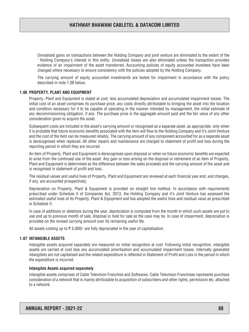Unrealised gains on transactions between the Holding Company and joint venture are eliminated to the extent of the ' Holding Company's interest in this entity. Unrealised losses are also eliminated unless the transaction provides evidence of an impairment of the asset transferred. Accounting policies of equity accounted investees have been changed where necessary to ensure consistency with the policies adopted by the Holding Company.

 The carrying amount of equity accounted investments are tested for impairment in accordance with the policy described in note 1.08 below.

#### **1.06 PROPERTY, PLANT AND EQUIPMENT**

 Property, Plant and Equipment is stated at cost, less accumulated depreciation and accumulated impairment losses. The initial cost of an asset comprises its purchase price, any costs directly attributable to bringing the asset into the location and condition necessary for it to be capable of operating in the manner intended by management, the initial estimate of any decommissioning obligation, if any. The purchase price is the aggregate amount paid and the fair value of any other consideration given to acquire the asset.

 Subsequent costs are included in the asset's carrying amount or recognised as a separate asset, as appropriate, only when it is probable that future economic benefits associated with the item will flow to the Holding Company and it's Joint Venture and the cost of the item can be measured reliably. The carrying amount of any component accounted for as a separate asset is derecognised when replaced. All other repairs and maintenance are charged to statement of profit and loss during the reporting period in which they are incurred.

 An item of Property, Plant and Equipment is derecognised upon disposal or when no future economic benefits are expected to arise from the continued use of the asset. Any gain or loss arising on the disposal or retirement of an item of Property, Plant and Equipment is determined as the difference between the sales proceeds and the carrying amount of the asset and is recognised in statement of profit and loss.

 The residual values and useful lives of Property, Plant and Equipment are reviewed at each financial year end, and changes, if any, are accounted prospectively.

 Depreciation on Property, Plant & Equipment is provided on straight line method. In accordance with requirements prescribed under Schedule II of Companies Act, 2013, the Holding Company and it's Joint Venture has assessed the estimated useful lives of its Property, Plant & Equipment and has adopted the useful lives and residual value as prescribed in Schedule II.

 In case of additions or deletions during the year, depreciation is computed from the month in which such assets are put to use and up to previous month of sale, disposal or held for sale as the case may be. In case of impairment, depreciation is provided on the revised carrying amount over its remaining useful life.

All assets costing up to  $\overline{\tau}$  5,000/- are fully depreciated in the year of capitalisation.

#### **1.07 INTANGIBLE ASSETS**

 Intangible assets acquired separately are measured on initial recognition at cost. Following initial recognition, intangible assets are carried at cost less any accumulated amortisation and accumulated impairment losses. Internally generated intangibles are not capitalised and the related expenditure is reflected in Statement of Profit and Loss in the period in which the expenditure is incurred.

#### **Intangible Assets acquired separately**

 Intangible assets comprises of Cable Television Franchise and Softwares. Cable Television Franchisee represents purchase consideration of a network that is mainly attributable to acquisition of subscribers and other rights, permission etc. attached to a network.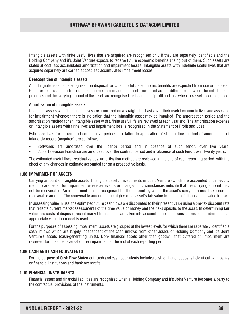Intangible assets with finite useful lives that are acquired are recognized only if they are separately identifiable and the Holding Company and it's Joint Venture expects to receive future economic benefits arising out of them. Such assets are stated at cost less accumulated amortization and impairment losses. Intangible assets with indefinite useful lives that are acquired separately are carried at cost less accumulated impairment losses.

#### **Derecognition of intangible assets**

 An intangible asset is derecognised on disposal, or when no future economic benefits are expected from use or disposal. Gains or losses arising from derecognition of an intangible asset, measured as the difference between the net disposal proceeds and the carrying amount of the asset, are recognised in statement of profit and loss when the asset is derecognised.

#### **Amortisation of intangible assets**

 Intangible assets with finite useful lives are amortized on a straight line basis over their useful economic lives and assessed for impairment whenever there is indication that the intangible asset may be impaired. The amortisation period and the amortisation method for an intangible asset with a finite useful life are reviewed at each year end. The amortisation expense on Intangible assets with finite lives and impairment loss is recognised in the Statement of Profit and Loss.

 Estimated lives for current and comparative periods in relation to application of straight line method of amortisation of intangible assets (acquired) are as follows:

Softwares are amortised over the license period and in absence of such tenor, over five years. Cable Television Franchise are amortised over the contract period and in absence of such tenor, over twenty years.

 The estimated useful lives, residual values, amortisation method are reviewed at the end of each reporting period, with the effect of any changes in estimate accounted for on a prospective basis.

#### **1.08 IMPAIRMENT OF ASSETS**

 Carrying amount of Tangible assets, Intangible assets, Investments in Joint Venture (which are accounted under equity method) are tested for impairment whenever events or changes in circumstances indicate that the carrying amount may not be recoverable. An impairment loss is recognised for the amount by which the asset's carrying amount exceeds its recoverable amount. The recoverable amount is the higher of an asset's fair value less costs of disposal and value in use.

 In assessing value in use, the estimated future cash flows are discounted to their present value using a pre-tax discount rate that reflects current market assessments of the time value of money and the risks specific to the asset. In determining fair value less costs of disposal, recent market transactions are taken into account. If no such transactions can be identified, an appropriate valuation model is used.

 For the purposes of assessing impairment, assets are grouped at the lowest levels for which there are separately identifiable cash inflows which are largely independent of the cash inflows from other assets or Holding Company and it's Joint Venture's assets (cash-generating units). Non- financial assets other than goodwill that suffered an impairment are reviewed for possible reversal of the impairment at the end of each reporting period.

#### **1.09 CASH AND CASH EQUIVALENTS**

 For the purpose of Cash Flow Statement, cash and cash equivalents includes cash on hand, deposits held at call with banks or financial institutions and bank overdrafts.

## **1.10 FINANCIAL INSTRUMENTS**

 Financial assets and financial liabilities are recognised when a Holding Company and it's Joint Venture becomes a party to the contractual provisions of the instruments.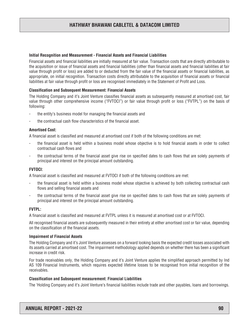## **Initial Recognition and Measurement - Financial Assets and Financial Liabilities**

 Financial assets and financial liabilities are initially measured at fair value. Transaction costs that are directly attributable to the acquisition or issue of financial assets and financial liabilities (other than financial assets and financial liabilities at fair value through profit or loss) are added to or deducted from the fair value of the financial assets or financial liabilities, as appropriate, on initial recognition. Transaction costs directly attributable to the acquisition of financial assets or financial liabilities at fair value through profit or loss are recognised immediately in the Statement of Profit and Loss.

## **Classification and Subsequent Measurement: Financial Assets**

 The Holding Company and it's Joint Venture classifies financial assets as subsequently measured at amortised cost, fair value through other comprehensive income ("FVTOCI") or fair value through profit or loss ("FVTPL") on the basis of following:

- the entity's business model for managing the financial assets and
- the contractual cash flow characteristics of the financial asset.

#### **Amortised Cost:**

A financial asset is classified and measured at amortised cost if both of the following conditions are met:

- the financial asset is held within a business model whose objective is to hold financial assets in order to collect contractual cash flows and
- the contractual terms of the financial asset give rise on specified dates to cash flows that are solely payments of principal and interest on the principal amount outstanding.

## **FVTOCI:**

A financial asset is classified and measured at FVTOCI if both of the following conditions are met:

- the financial asset is held within a business model whose objective is achieved by both collecting contractual cash flows and selling financial assets and
- the contractual terms of the financial asset give rise on specified dates to cash flows that are solely payments of principal and interest on the principal amount outstanding.

#### **FVTPL:**

A financial asset is classified and measured at FVTPL unless it is measured at amortised cost or at FVTOCI.

 All recognised financial assets are subsequently measured in their entirety at either amortised cost or fair value, depending on the classification of the financial assets.

#### **Impairment of Financial Assets**

 The Holding Company and it's Joint Venture assesses on a forward looking basis the expected credit losses associated with its assets carried at amortised cost. The impairment methodology applied depends on whether there has been a significant increase in credit risk.

 For trade receivables only, the Holding Company and it's Joint Venture applies the simplified approach permitted by Ind AS 109 Financial Instruments, which requires expected lifetime losses to be recognised from initial recognition of the receivables.

#### **Classification and Subsequent measurement: Financial Liabilities**

The 'Holding Company and it's Joint Venture's financial liabilities include trade and other payables, loans and borrowings.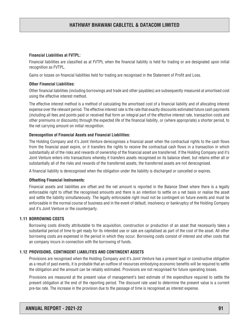## **Financial Liabilities at FVTPL:**

 Financial liabilities are classified as at FVTPL when the financial liability is held for trading or are designated upon initial recognition as FVTPL.

Gains or losses on financial liabilities held for trading are recognised in the Statement of Profit and Loss.

## **Other Financial Liabilities:**

 Other financial liabilities (including borrowings and trade and other payables) are subsequently measured at amortised cost using the effective interest method.

 The effective interest method is a method of calculating the amortised cost of a financial liability and of allocating interest expense over the relevant period. The effective interest rate is the rate that exactly discounts estimated future cash payments (including all fees and points paid or received that form an integral part of the effective interest rate, transaction costs and other premiums or discounts) through the expected life of the financial liability, or (where appropriate) a shorter period, to the net carrying amount on initial recognition.

## **Derecognition of Financial Assets and Financial Liabilities:**

 The Holding Company and it's Joint Venture derecognises a financial asset when the contractual rights to the cash flows from the financial asset expire, or it transfers the rights to receive the contractual cash flows in a transaction in which substantially all of the risks and rewards of ownership of the financial asset are transferred. If the Holding Company and it's Joint Venture enters into transactions whereby it transfers assets recognised on its balance sheet, but retains either all or substantially all of the risks and rewards of the transferred assets, the transferred assets are not derecognised.

A financial liability is derecognised when the obligation under the liability is discharged or cancelled or expires.

## **Offsetting Financial Instruments:**

 Financial assets and liabilities are offset and the net amount is reported in the Balance Sheet where there is a legally enforceable right to offset the recognised amounts and there is an intention to settle on a net basis or realise the asset and settle the liability simultaneously. The legally enforceable right must not be contingent on future events and must be enforceable in the normal course of business and in the event of default, insolvency or bankruptcy of the Holding Company and it's Joint Venture or the counterparty.

## **1.11 BORROWING COSTS**

 Borrowing costs directly attributable to the acquisition, construction or production of an asset that necessarily takes a substantial period of time to get ready for its intended use or sale are capitalised as part of the cost of the asset. All other borrowing costs are expensed in the period in which they occur. Borrowing costs consist of interest and other costs that an company incurs in connection with the borrowing of funds.

## **1.12 PROVISIONS, CONTINGENT LIABILITIES AND CONTINGENT ASSETS**

 Provisions are recognised when the Holding Company and it's Joint Venture has a present legal or constructive obligation as a result of past events, it is probable that an outflow of resources embodying economic benefits will be required to settle the obligation and the amount can be reliably estimated. Provisions are not recognised for future operating losses.

 Provisions are measured at the present value of management's best estimate of the expenditure required to settle the present obligation at the end of the reporting period. The discount rate used to determine the present value is a current pre-tax rate. The increase in the provision due to the passage of time is recognised as interest expense.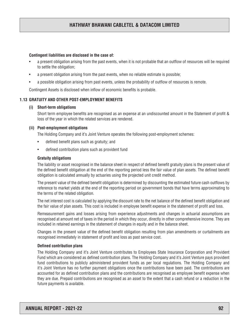#### **Contingent liabilities are disclosed in the case of:**

- ∙ a present obligation arising from the past events, when it is not probable that an outflow of resources will be required to settle the obligation;
- ∙ a present obligation arising from the past events, when no reliable estimate is possible;
- a possible obligation arising from past events, unless the probability of outflow of resources is remote.

Contingent Assets is disclosed when inflow of economic benefits is probable.

## **1.13 GRATUITY AND OTHER POST-EMPLOYMENT BENEFITS**

#### **(i) Short-term obligations**

 Short term employee benefits are recognised as an expense at an undiscounted amount in the Statement of profit & loss of the year in which the related services are rendered.

#### **(ii) Post-employment obligations**

The Holding Company and it's Joint Venture operates the following post-employment schemes:

- ∙ defined benefit plans such as gratuity; and
- ∙ defined contribution plans such as provident fund

#### **Gratuity obligations**

 The liability or asset recognised in the balance sheet in respect of defined benefit gratuity plans is the present value of the defined benefit obligation at the end of the reporting period less the fair value of plan assets. The defined benefit obligation is calculated annually by actuaries using the projected unit credit method.

 The present value of the defined benefit obligation is determined by discounting the estimated future cash outflows by reference to market yields at the end of the reporting period on government bonds that have terms approximating to the terms of the related obligation.

 The net interest cost is calculated by applying the discount rate to the net balance of the defined benefit obligation and the fair value of plan assets. This cost is included in employee benefit expense in the statement of profit and loss.

 Remeasurement gains and losses arising from experience adjustments and changes in actuarial assumptions are recognised at amount net of taxes in the period in which they occur, directly in other comprehensive income. They are included in retained earnings in the statement of changes in equity and in the balance sheet.

 Changes in the present value of the defined benefit obligation resulting from plan amendments or curtailments are recognised immediately in statement of profit and loss as past service cost.

#### **Defined contribution plans**

 The Holding Company and it's Joint Venture contributes to Employees State Insurance Corporation and Provident Fund which are considered as defined contribution plans. The Holding Company and it's Joint Venture pays provident fund contributions to publicly administered provident funds as per local regulations. The Holding Company and it's Joint Venture has no further payment obligations once the contributions have been paid. The contributions are accounted for as defined contribution plans and the contributions are recognised as employee benefit expense when they are due. Prepaid contributions are recognised as an asset to the extent that a cash refund or a reduction in the future payments is available.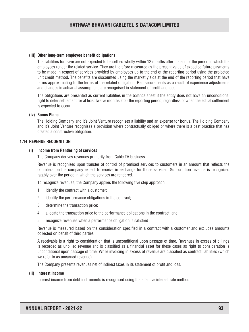## **(iii) Other long-term employee benefit obligations**

 The liabilities for leave are not expected to be settled wholly within 12 months after the end of the period in which the employees render the related service. They are therefore measured as the present value of expected future payments to be made in respect of services provided by employees up to the end of the reporting period using the projected unit credit method. The benefits are discounted using the market yields at the end of the reporting period that have terms approximating to the terms of the related obligation. Remeasurements as a result of experience adjustments and changes in actuarial assumptions are recognised in statement of profit and loss.

 The obligations are presented as current liabilities in the balance sheet if the entity does not have an unconditional right to defer settlement for at least twelve months after the reporting period, regardless of when the actual settlement is expected to occur.

#### **(iv) Bonus Plans**

 The Holding Company and it's Joint Venture recognises a liability and an expense for bonus. The Holding Company and it's Joint Venture recognises a provision where contractually obliged or where there is a past practice that has created a constructive obligation.

#### **1.14 REVENUE RECOGNITION**

#### **(i) Income from Rendering of services**

The Company derives revenues primarily from Cable TV business.

 Revenue is recognized upon transfer of control of promised services to customers in an amount that reflects the consideration the company expect to receive in exchange for those services. Subscription revenue is recognized ratably over the period in which the services are rendered.

To recognize revenues, the Company applies the following five step approach:

- 1. identify the contract with a customer;
- 2. identify the performance obligations in the contract;
- 3. determine the transaction price;
- 4. allocate the transaction price to the performance obligations in the contract; and
- 5. recognize revenues when a performance obligation is satisfied

 Revenue is measured based on the consideration specified in a contract with a customer and excludes amounts collected on behalf of third parties.

 A receivable is a right to consideration that is unconditional upon passage of time. Revenues in excess of billings is recorded as unbilled revenue and is classified as a financial asset for these cases as right to consideration is unconditional upon passage of time. While invoicing in excess of revenue are classified as contract liabilities (which we refer to as unearned revenue).

The Company presents revenues net of indirect taxes in its statement of profit and loss.

#### **(ii) Interest Income**

Interest income from debt instruments is recognised using the effective interest rate method.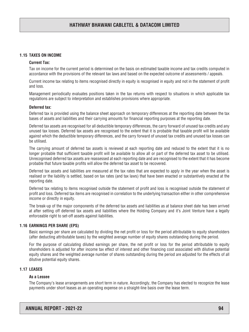## **1.15 TAXES ON INCOME**

#### **Current Tax:**

 Tax on income for the current period is determined on the basis on estimated taxable income and tax credits computed in accordance with the provisions of the relevant tax laws and based on the expected outcome of assessments / appeals.

 Current income tax relating to items recognised directly in equity is recognised in equity and not in the statement of profit and loss.

 Management periodically evaluates positions taken in the tax returns with respect to situations in which applicable tax regulations are subject to interpretation and establishes provisions where appropriate.

#### **Deferred tax:**

 Deferred tax is provided using the balance sheet approach on temporary differences at the reporting date between the tax bases of assets and liabilities and their carrying amounts for financial reporting purposes at the reporting date.

 Deferred tax assets are recognised for all deductible temporary differences, the carry forward of unused tax credits and any unused tax losses. Deferred tax assets are recognised to the extent that it is probable that taxable profit will be available against which the deductible temporary differences, and the carry forward of unused tax credits and unused tax losses can be utilised.

 The carrying amount of deferred tax assets is reviewed at each reporting date and reduced to the extent that it is no longer probable that sufficient taxable profit will be available to allow all or part of the deferred tax asset to be utilised. Unrecognised deferred tax assets are reassessed at each reporting date and are recognised to the extent that it has become probable that future taxable profits will allow the deferred tax asset to be recovered.

 Deferred tax assets and liabilities are measured at the tax rates that are expected to apply in the year when the asset is realised or the liability is settled, based on tax rates (and tax laws) that have been enacted or substantively enacted at the reporting date.

 Deferred tax relating to items recognised outside the statement of profit and loss is recognised outside the statement of profit and loss. Deferred tax items are recognised in correlation to the underlying transaction either in other comprehensive income or directly in equity.

 The break-up of the major components of the deferred tax assets and liabilities as at balance sheet date has been arrived at after setting off deferred tax assets and liabilities where the Holding Company and it's Joint Venture have a legally enforceable right to set-off assets against liabilities.

## **1.16 EARNINGS PER SHARE (EPS)**

 Basic earnings per share are calculated by dividing the net profit or loss for the period attributable to equity shareholders (after deducting attributable taxes) by the weighted average number of equity shares outstanding during the period.

 For the purpose of calculating diluted earnings per share, the net profit or loss for the period attributable to equity shareholders is adjusted for after income tax effect of interest and other financing cost associated with dilutive potential equity shares and the weighted average number of shares outstanding during the period are adjusted for the effects of all dilutive potential equity shares.

## **1.17 LEASES**

## **As a Lessee**

 The Company's lease arrangements are short term in nature. Accordingly, the Company has elected to recognize the lease payments under short leases as an operating expense on a straight-line basis over the lease term.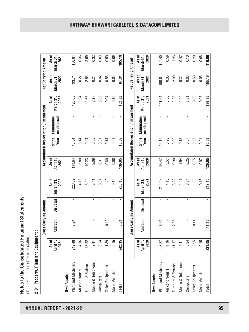| <u>ٗ</u><br>- Einone<br>T,<br>Ē<br>)<br>;<br>;<br>tho <sup>r</sup><br><u>ט</u><br>٦<br>こりりこ | 5<br>notato,<br>ſ<br>$\frac{1}{2}$<br>an ln.<br><b>Callin</b><br>۔<br>جات |
|---------------------------------------------------------------------------------------------|---------------------------------------------------------------------------|
|                                                                                             |                                                                           |

2.01 Property, Plant and Equipment: **2.01 Property, Plant and Equipment :**

|                      |                           | Gross Carrying Amount |                 |                            |                           |                 | <b>Accumulated Depreciation / Impairment</b> |                            |                            | Net Carrying Amount        |
|----------------------|---------------------------|-----------------------|-----------------|----------------------------|---------------------------|-----------------|----------------------------------------------|----------------------------|----------------------------|----------------------------|
|                      | As at<br>April 1,<br>2021 | Addition              | Disposal        | 2022<br>As at<br>March 31, | As at<br>April 1,<br>2021 | For the<br>Year | Elimination<br>on disposal                   | March 31,<br>2022<br>As at | March 31,<br>2022<br>As at | As at<br>March 31,<br>2021 |
| Own Assets:          |                           |                       |                 |                            |                           |                 |                                              |                            |                            |                            |
| Plant and Machinery  | 212.48                    | 7.91                  |                 | 220.39                     | 111.64                    | 5.04            | J.                                           | 126.68                     | 93.71                      | 100.84                     |
| Air conditioners     | 4.16                      |                       |                 | 4.16                       | 3.80                      | 0.14            | $\blacksquare$                               | 3.94                       | 0.22                       | 0.36                       |
| Furniture & Fixtures | 13.22                     | ı                     |                 | 13.22                      | 10.23                     | 0.44            |                                              | 10.67                      | 2.55                       | 2.99                       |
| Mobile & Telephone   | 2.41                      | J.                    |                 | 2.41                       | <b>2.09</b>               | 0.08            |                                              | 2.17                       | 0.24                       | 0.32                       |
| Computers            | 8.34                      | $\blacksquare$        |                 | 8.34                       | 8.31                      | 0.01            |                                              | 8.32                       | 0.02                       | 0.03                       |
| Office Equipments    | 1.39                      | 0.10                  |                 | 1.49                       | 0.80                      | 0.14            |                                              | 0.94                       | 0.55                       | 0.59                       |
| Motor Vehicles       | 0.15                      | ı                     |                 | 0.15                       | 0.08                      | 0.01            | ٠                                            | 0.10                       | 0.05                       | 0.06                       |
| Total                | 242.15                    | 8.01                  |                 | 250.16                     | 136.95                    | 15.86           |                                              | 152.82                     | 97.34                      | 105.19                     |
|                      |                           |                       |                 |                            |                           |                 |                                              |                            |                            |                            |
|                      |                           | Gross Carrying Amount |                 |                            |                           |                 | <b>Accumulated Depreciation / Impairment</b> |                            |                            | Net Carrying Amount        |
|                      | As at<br>April 1,<br>2020 | Addition              | <b>Disposal</b> | As at<br>March 31,<br>2021 | April 1,<br>As at<br>2020 | For the<br>Year | Elimination<br>on disposal                   | March 31,<br>As at<br>2021 | March 31,<br>As at<br>2021 | As at<br>March 31,<br>2020 |
| <b>Own Assets:</b>   |                           |                       |                 |                            |                           |                 |                                              |                            |                            |                            |
| Plant and Machinery  | 203.87                    | 8.61                  | r.              | 212.48                     | 96.47                     | 15.17           | f,                                           | 111.64                     | 100.84                     | 107.40                     |
| Air conditioners     | 4.16                      | I,                    |                 | 4.16                       | 3.57                      | 0.23            | $\blacksquare$                               | 3.80                       | 0.36                       | 0.58                       |
| Furniture & Fixtures | 11.17                     | 2.05                  |                 | 13.22                      | 0.90                      | 0.32            |                                              | 10.23                      | 2.99                       | 1.26                       |
| Mobile & Telephone   | 2.41                      | J,                    |                 | 2.41                       | 1.94                      | 0.15            | f,                                           | 2.09                       | 0.32                       | 0.47                       |
| Computers            | 8.34                      |                       |                 | 8.34                       | 8.25                      | 0.07            |                                              | 8.31                       | 0.03                       | 0.10                       |
| Office Equipments    | 0.95                      | 0.44                  |                 | 1.39                       | 0.75                      | 0.05            |                                              | 0.80                       | 0.59                       | 0.20                       |
| Motor Vehicles       | 0.15                      | $\blacksquare$        |                 | 0.15                       | 0.07                      | 0.01            | f,                                           | 0.08                       | 0.06                       | 0.08                       |
| Total                | 231.05                    | 11.10                 |                 | 242.15                     | 120.95                    | 16.00           |                                              | 136.95                     | 105.19                     | 110.09                     |

# **HATHWAY BHAWANI CABLETEL & DATACOM LIMITED**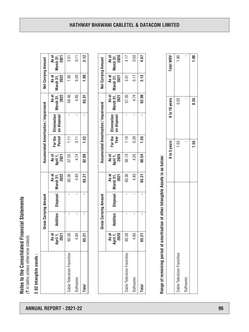| l<br>Ï<br>ä                                                 |  |
|-------------------------------------------------------------|--|
| í.<br>ľ<br>×,<br>֧֧֦֞֓֕֓֕֓֕֓֕֓֕֓֕֓֓֝֓֝׆<br>֝׀֧<br>֚֚֚֬<br>ī |  |
| ं<br>i<br>ı<br>i<br>$\overline{a}$<br>¢                     |  |
| the<br>١<br>$\vdots$<br>₽                                   |  |
| $\frac{1}{2}$<br>֚֚֚֬                                       |  |
| ľ<br>j                                                      |  |

(₹ in lakhs unless otherwise stated)  $(\bar{\bar{\mathbf{x}}}$  in lakhs unless otherwise stated)

# 2.02 Intangible assets: **2.02 Intangible assets :**

|                            |                             | <b>Gross Carrying Amount</b> |                                     |                           |      | <b>Accumulated Amortisation / Impairment</b> |       |                                                               | Net Carrying Amount |
|----------------------------|-----------------------------|------------------------------|-------------------------------------|---------------------------|------|----------------------------------------------|-------|---------------------------------------------------------------|---------------------|
|                            | April 1,  <br>2021<br>As at | Addition                     | Disposal March 31,<br>2022<br>As at | As at<br>April 1,<br>2021 |      | For the Elimination<br>Period on disposal    | As at | March 31, March 31, March 31,<br>2022 2022 2022 2021<br>As at | As at               |
| Cable Television Franchise | 0.36<br>ය                   |                              | 60.36                               | 57.35                     | 1.11 |                                              | 58.46 | 1.90                                                          | 3.01                |
| Softwares                  | 4.85                        |                              | 4.85                                | $4.74-1$                  | 0.11 |                                              | 4.85  | 0.00                                                          | 0.11                |
| <b>Total</b>               | <u>zi</u><br>မ္မ            |                              | 65.21                               | 62.09                     | 1.22 |                                              | 63.31 | 1.90                                                          | 3.12                |
|                            |                             |                              |                                     |                           |      |                                              |       |                                                               |                     |

|                            |                              | Gross Carrying Amount |          |                            |                           |      | Accumulated Amortisation / Impairment                  |                            | <b>Net Carrying Amount</b>                                                                |                              |
|----------------------------|------------------------------|-----------------------|----------|----------------------------|---------------------------|------|--------------------------------------------------------|----------------------------|-------------------------------------------------------------------------------------------|------------------------------|
|                            | As at<br>nil 1,<br>2020<br>₹ | Addition              | Disposal | As at<br>March 31,<br>2021 | As at<br>April 1,<br>2020 |      | Elimination<br>For the Elimination<br>Year on disposal | As at<br>March 31,<br>2021 | March 31, $\left  \begin{array}{c} \mathbf{h} \\ \mathbf{h} \end{array} \right $<br>As at | As at<br>March 31,<br>$2020$ |
| Cable Television Franchise | 60.36                        |                       |          | 60.36                      | 56.19                     | 1.16 |                                                        | 57.35                      | 3.01                                                                                      | 4.17                         |
| Softwares                  | 4.85                         |                       |          | 4.85                       | 4.35                      | 0.39 |                                                        | 4.74                       | 0.11                                                                                      | 0.50                         |
| Total                      | 65.21                        |                       |          | 65.21                      | 60.54                     | 1.55 |                                                        | 62.09                      | 3.12                                                                                      | 4.67                         |

| sets Is as be          |  |
|------------------------|--|
|                        |  |
|                        |  |
| ١                      |  |
|                        |  |
| اس موالی مطابع میں اسٹ |  |
|                        |  |
| 3                      |  |
| こもく                    |  |
|                        |  |
| a at ramaining nario.  |  |
|                        |  |
|                        |  |
| ı                      |  |

|                            | 0 to 5 years | 6 to 10 years | <b>Total WDV</b> |
|----------------------------|--------------|---------------|------------------|
| Cable Television Franchise | 55<br>-      | 0.35          | 1.90             |
| ΚŇ                         | ı            |               |                  |
|                            | 55.          | 0.35          | 1.90             |

# **HATHWAY BHAWANI CABLETEL & DATACOM LIMITED**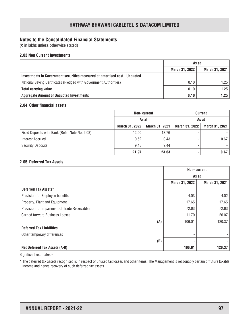# **Notes to the Consolidated Financial Statements**

 $(\bar{\tau}$  in lakhs unless otherwise stated)

#### **2.03 Non Current Investments**

|                                                                            |                | As at          |
|----------------------------------------------------------------------------|----------------|----------------|
|                                                                            | March 31, 2022 | March 31, 2021 |
| Investments in Government securities measured at amortised cost - Unquoted |                |                |
| National Saving Certificates (Pledged with Government Authorities)         | 0.10           | 1.25           |
| <b>Total carrying value</b>                                                | 0.10           | 1.25           |
| <b>Aggregate Amount of Unquoted Investments</b>                            | 0.10           | 1.25           |

#### **2.04 Other financial assets**

|                                                |                | Non-current    | <b>Current</b> |                |  |
|------------------------------------------------|----------------|----------------|----------------|----------------|--|
|                                                |                | As at          | As at          |                |  |
|                                                | March 31, 2022 | March 31, 2021 | March 31, 2022 | March 31, 2021 |  |
| Fixed Deposits with Bank (Refer Note No. 2.08) | 12.00          | 13.76          |                |                |  |
| Interest Accrued                               | 0.52           | 0.43           |                | 0.67           |  |
| <b>Security Deposits</b>                       | 9.45           | 9.44           |                |                |  |
|                                                | 21.97          | 23.63          |                | 0.67           |  |

## **2.05 Deferred Tax Assets**

|                                               | Non-current           |                       |  |
|-----------------------------------------------|-----------------------|-----------------------|--|
|                                               |                       | As at                 |  |
|                                               | <b>March 31, 2022</b> | <b>March 31, 2021</b> |  |
| Deferred Tax Assets*                          |                       |                       |  |
| Provision for Employee benefits               | 4.03                  | 4.02                  |  |
| Property, Plant and Equipment                 | 17.65                 | 17.65                 |  |
| Provision for impairment of Trade Receivables | 72.63                 | 72.63                 |  |
| <b>Carried forward Business Losses</b>        | 11.70                 | 26.07                 |  |
| (A)                                           | 106.01                | 120.37                |  |
| <b>Deferred Tax Liabilities</b>               |                       |                       |  |
| Other temporary differences                   | ۰                     |                       |  |
| (B)                                           | -                     |                       |  |
| <b>Net Deferred Tax Assets (A-B)</b>          | 106.01                | 120.37                |  |

Significant estimates -

\* The deferred tax assets recognised is in respect of unused tax losses and other items. The Management is reasonably certain of future taxable income and hence recovery of such deferred tax assets.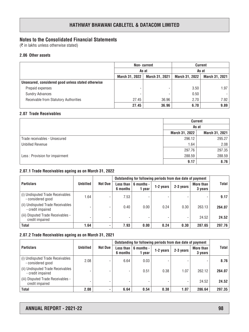# **Notes to the Consolidated Financial Statements**

 $(\bar{\tau}$  in lakhs unless otherwise stated)

## **2.06 Other assets**

|                                                    |                | <b>Non-current</b> | <b>Current</b> |                |  |
|----------------------------------------------------|----------------|--------------------|----------------|----------------|--|
|                                                    |                | As at              | As at          |                |  |
|                                                    | March 31, 2022 | March 31, 2021     | March 31, 2022 | March 31, 2021 |  |
| Unsecured, considered good unless stated otherwise |                |                    |                |                |  |
| Prepaid expenses                                   |                |                    | 3.50           | 1.97           |  |
| <b>Sundry Advances</b>                             |                |                    | 0.50           |                |  |
| Receivable from Statutory Authorities              | 27.45          | 36.96              | 2.70           | 7.92           |  |
|                                                    | 27.45          | 36.96              | 6.70           | 9.89           |  |

## **2.07 Trade Receivables**

|                                |                | <b>Current</b> |
|--------------------------------|----------------|----------------|
|                                |                | As at          |
|                                | March 31, 2022 | March 31, 2021 |
| Trade receivables - Unsecured  | 296.12         | 295.27         |
| <b>Unbilled Revenue</b>        | 1.64           | 2.08           |
|                                | 297.76         | 297.35         |
| Less: Provision for impairment | 288.59         | 288.59         |
|                                | 9.17           | 8.76           |

## **2.07.1 Trade Receivables ageing as on March 31, 2022**

|                                                        |          |                |                         |                      |             | Outstanding for following periods from due date of payment |                      |              |
|--------------------------------------------------------|----------|----------------|-------------------------|----------------------|-------------|------------------------------------------------------------|----------------------|--------------|
| <b>Particlars</b>                                      | Unbilled | <b>Not Due</b> | Less than  <br>6 months | 6 months -<br>1 year | $1-2$ years | 2-3 years                                                  | More than<br>3 years | <b>Total</b> |
| (i) Undisputed Trade Receivables<br>- considered good  | 1.64     | ۰              | 7.53                    |                      |             |                                                            |                      | 9.17         |
| (ii) Undisputed Trade Receivables<br>- credit impaired |          | ٠              | 0.40                    | 0.00                 | 0.24        | 0.30                                                       | 263.13               | 264.07       |
| (iii) Disputed Trade Receivables -<br>credit impaired  |          | ۰              |                         | ۰                    |             |                                                            | 24.52                | 24.52        |
| <b>Total</b>                                           | 1.64     |                | 7.93                    | 0.00                 | 0.24        | 0.30                                                       | 287.65               | 297.76       |

## **2.07.2 Trade Receivables ageing as on March 31, 2021**

|                                                        |                 |                | Outstanding for following periods from due date of payment |                      |           |           |                             |        |
|--------------------------------------------------------|-----------------|----------------|------------------------------------------------------------|----------------------|-----------|-----------|-----------------------------|--------|
| <b>Particlars</b>                                      | <b>Unbilled</b> | <b>Not Due</b> | Less than $\mathsf{l}$<br>6 months                         | 6 months -<br>1 vear | 1-2 years | 2-3 years | <b>More than</b><br>3 years | Total  |
| (i) Undisputed Trade Receivables<br>- considered good  | 2.08            |                | 6.64                                                       | 0.03                 |           |           |                             | 8.76   |
| (ii) Undisputed Trade Receivables<br>- credit impaired |                 | -              |                                                            | 0.51                 | 0.38      | 1.07      | 262.12                      | 264.07 |
| (iii) Disputed Trade Receivables -<br>credit impaired  |                 | ۰              |                                                            | ۰                    |           |           | 24.52                       | 24.52  |
| <b>Total</b>                                           | 2.08            |                | 6.64                                                       | 0.54                 | 0.38      | 1.07      | 286.64                      | 297.35 |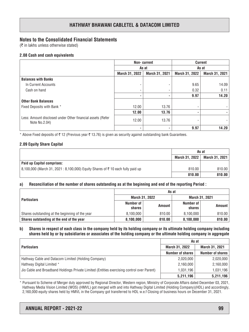# **Notes to the Consolidated Financial Statements**

 $(\bar{\tau}$  in lakhs unless otherwise stated)

## **2.08 Cash and cash equivalents**

|                                                                             |                | <b>Non-current</b>       | <b>Current</b> |                |  |
|-----------------------------------------------------------------------------|----------------|--------------------------|----------------|----------------|--|
|                                                                             |                | As at                    | As at          |                |  |
|                                                                             | March 31, 2022 | March 31, 2021           | March 31, 2022 | March 31, 2021 |  |
| <b>Balances with Banks</b>                                                  |                |                          |                |                |  |
| In Current Accounts                                                         |                |                          | 9.65           | 14.09          |  |
| Cash on hand                                                                | ۰              | $\overline{\phantom{a}}$ | 0.32           | 0.11           |  |
|                                                                             |                | ۰                        | 9.97           | 14.20          |  |
| <b>Other Bank Balances</b>                                                  |                |                          |                |                |  |
| Fixed Deposits with Bank *                                                  | 12.00          | 13.76                    | ۰              |                |  |
|                                                                             | 12.00          | 13.76                    | $\blacksquare$ |                |  |
| Less: Amount disclosed under Other financial assets (Refer<br>Note No.2.04) | 12.00          | 13.76                    |                |                |  |
|                                                                             | ۰              | ۰                        | 9.97           | 14.20          |  |

\* Above Fixed deposits of  $\bar{\tau}$  12 (Previous year  $\bar{\tau}$  13.76) is given as security against outstanding bank Guarantees.

## **2.09 Equity Share Capital**

|                                                                                 |                | As at          |
|---------------------------------------------------------------------------------|----------------|----------------|
|                                                                                 | March 31, 2022 | March 31, 2021 |
| <b>Paid up Capital comprises:</b>                                               |                |                |
| 8,100,000 (March 31, 2021 : 8,100,000) Equity Shares of ₹ 10 each fully paid up | 810.00         | 810.00         |
|                                                                                 | 810.00         | 810.00         |

## **a) Reconciliation of the number of shares outstanding as at the beginning and end of the reporting Period :**

|                                                 |                     | As at                 |                     |        |  |
|-------------------------------------------------|---------------------|-----------------------|---------------------|--------|--|
| <b>Particulars</b>                              |                     | <b>March 31, 2022</b> |                     |        |  |
|                                                 | Number of<br>shares | <b>Amount</b>         | Number of<br>shares | Amount |  |
| Shares outstanding at the beginning of the year | 8.100.000           | 810.00                | 8.100.000           | 810.00 |  |
| Shares outstanding at the end of the year       | 8,100,000           | 810.00                | 8,100,000           | 810.00 |  |

#### **b) Shares in respect of each class in the company held by its holding company or its ultimate holding company including shares held by or by subsidiaries or associates of the holding company or the ultimate holding company in aggregate**

|                                                                                            | As at                 |                  |
|--------------------------------------------------------------------------------------------|-----------------------|------------------|
| <b>Particulars</b>                                                                         | <b>March 31, 2022</b> | March 31, 2021   |
|                                                                                            | Number of shares      | Number of shares |
| Hathway Cable and Datacom Limited (Holding Company)                                        | 2,020,000             | 2,020,000        |
| Hathway Digital Limited *                                                                  | 2,160,000             | 2,160,000        |
| Jio Cable and Broadband Holdings Private Limited (Entities exercising control over Parent) | 1,031,196             | 1,031,196        |
|                                                                                            | 5,211,196             | 5,211,196        |

Pursuant to Scheme of Merger duly approved by Regional Director, Western region, Ministry of Corporate Affairs dated December 03, 2021, Hathway Media Vision Limited (WOS) (HMVL) got merged with and into Hathway Digital Limited (Holding Company)(HDL) and accordingly, 2,160,000 equity shares held by HMVL in the Company got transferred to HDL w.e.f Closing of business hours on December 31, 2021.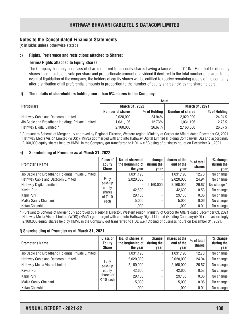# **Notes to the Consolidated Financial Statements**

 $(\bar{\tau})$  in lakhs unless otherwise stated)

## **c) Rights, Preference and restrictions attached to Shares;**

## **Terms/ Rights attached to Equity Shares**

The Company has only one class of shares referred to as equity shares having a face value of  $\bar{\tau}$  10/-. Each holder of equity shares is entitled to one vote per share and proportionate amount of dividend if declared to the total number of shares. In the event of liquidation of the company, the holders of equity shares will be entitled to receive remaining assets of the company, after distribution of all preferential amounts in proportion to the number of equity shares held by the share holders.

## **d) The details of shareholders holding more than 5% shares in the Company:**

|                                                  | As at            |                |                       |                |  |  |  |
|--------------------------------------------------|------------------|----------------|-----------------------|----------------|--|--|--|
| <b>Particulars</b>                               | March 31, 2022   |                | <b>March 31, 2021</b> |                |  |  |  |
|                                                  | Number of shares | $%$ of Holding | Number of shares      | $%$ of Holding |  |  |  |
| Hathway Cable and Datacom Limited                | 2,020,000        | 24.94%         | 2,020,000             | 24.94%         |  |  |  |
| Jio Cable and Broadband Holdings Private Limited | 1.031.196        | 12.73%         | 1.031.196             | 12.73%         |  |  |  |
| Hathway Digital Limited *                        | 2,160,000        | $26.67\%$      | 2.160.000             | 26.67%         |  |  |  |

\* Pursuant to Scheme of Merger duly approved by Regional Director, Western region, Ministry of Corporate Affairs dated December 03, 2021, Hathway Media Vision Limited (WOS) (HMVL) got merged with and into Hathway Digital Limited (Holding Company)(HDL) and accordingly, 2,160,000 equity shares held by HMVL in the Company got transferred to HDL w.e.f Closing of business hours on December 31, 2021.

## **e) Shareholding of Promoter as at March 31, 2022**

| <b>Promoter's Name</b>                           | <b>Class of</b><br><b>Equity</b><br><b>Share</b> | No. of shares at<br>the beginning of<br>the year | change<br>during the<br>vear | shares at the<br>end of the<br>year | $%$ of total<br>shares | $%$ change<br>during the<br>year |
|--------------------------------------------------|--------------------------------------------------|--------------------------------------------------|------------------------------|-------------------------------------|------------------------|----------------------------------|
| Jio Cable and Broadband Holdings Private Limited |                                                  | 1.031.196                                        | $\overline{\phantom{a}}$     | 1.031.196                           | 12.73                  | No change                        |
| Hathway Cable and Datacom Limited                | Fully                                            | 2,020,000                                        | ۰                            | 2,020,000                           | 24.94                  | No change                        |
| Hathway Digital Limited                          | paid-up                                          |                                                  | 2,160,000                    | 2,160,000                           | 26.67                  | No change *                      |
| Kavita Puri                                      | equity<br>shares                                 | 42,600                                           |                              | 42,600                              | 0.53                   | No change                        |
| Kapil Puri                                       | of ₹10                                           | 29,135                                           | $\overline{\phantom{a}}$     | 29.135                              | 0.36                   | No change                        |
| Malka Sanjiv Chainani                            | each                                             | 5.000                                            | $\overline{\phantom{a}}$     | 5.000                               | 0.06                   | No change                        |
| Ketan Chokshi                                    |                                                  | 1.000                                            |                              | 1,000                               | 0.01                   | No change                        |

\* Pursuant to Scheme of Merger duly approved by Regional Director, Western region, Ministry of Corporate Affairs dated December 03, 2021, Hathway Media Vision Limited (WOS) (HMVL) got merged with and into Hathway Digital Limited (Holding Company)(HDL) and accordingly, 2,160,000 equity shares held by HMVL in the Company got transferred to HDL w.e.f Closing of business hours on December 31, 2021.

## **f) Shareholding of Promoter as at March 31, 2021**

| <b>Promoter's Name</b>                           | <b>Class of</b><br><b>Equity</b><br><b>Share</b> | No. of shares at<br>the beginning of<br>the year | change<br>during the<br>vear | shares at the<br>end of the<br>year | $%$ of total<br>shares | $%$ change<br>during the<br>year |
|--------------------------------------------------|--------------------------------------------------|--------------------------------------------------|------------------------------|-------------------------------------|------------------------|----------------------------------|
| Jio Cable and Broadband Holdings Private Limited |                                                  | 1,031,196                                        | $\overline{\phantom{a}}$     | 1.031.196                           | 12.73                  | No change                        |
| Hathway Cable and Datacom Limited                | Fully                                            | 2,020,000                                        | ۰                            | 2,020,000                           | 24.94                  | No change                        |
| Hathway Media Vision Limited                     | paid-up                                          | 2,160,000                                        | ۰                            | 2,160,000                           | 26.67                  | No change                        |
| Kavita Puri                                      | equity<br>shares of                              | 42,600                                           |                              | 42,600                              | 0.53                   | No change                        |
| Kapil Puri                                       |                                                  | 29,135                                           | ۰                            | 29,135                              | 0.36                   | No change                        |
| Malka Sanjiv Chainani                            | $\bar{z}$ 10 each                                | 5.000                                            | ۰                            | 5,000                               | 0.06                   | No change                        |
| Ketan Chokshi                                    |                                                  | 1.000                                            |                              | 1.000                               | 0.01                   | No change                        |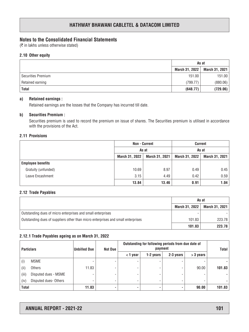# **Notes to the Consolidated Financial Statements**

 $(\bar{\tau}$  in lakhs unless otherwise stated)

## **2.10 Other equity**

|                           |                | As at          |
|---------------------------|----------------|----------------|
|                           | March 31, 2022 | March 31, 2021 |
| <b>Securities Premium</b> | 151.00         | 151.00         |
| Retained earning          | (799.77)       | (880.06)       |
| <b>Total</b>              | (648.77)       | (729.06)       |

#### **a) Retained earnings :**

Retained earnings are the losses that the Company has incurred till date.

## **b) Securities Premium :**

 Securities premium is used to record the premium on issue of shares. The Securities premium is utilised in accordance with the provisions of the Act.

#### **2.11 Provisions**

|                          |                | <b>Non - Current</b> | <b>Current</b> |                |  |
|--------------------------|----------------|----------------------|----------------|----------------|--|
|                          |                | As at                | As at          |                |  |
|                          | March 31, 2022 | March 31, 2021       | March 31, 2022 | March 31, 2021 |  |
| <b>Employee benefits</b> |                |                      |                |                |  |
| Gratuity (unfunded)      | 10.69          | 8.97                 | 0.49           | 0.45           |  |
| Leave Encashment         | 3.15           | 4.49                 | 0.42           | 0.59           |  |
|                          | 13.84          | 13.46                | 0.91           | 1.04           |  |

## **2.12 Trade Payables**

|                                                                                  |                | As at          |
|----------------------------------------------------------------------------------|----------------|----------------|
|                                                                                  | March 31, 2022 | March 31, 2021 |
| Outstanding dues of micro enterprises and small enterprises                      |                |                |
| Outstanding dues of suppliers other than micro enterprises and small enterprises | 101.83         | 223.78         |
|                                                                                  | 101.83         | 223.78         |

## **2.12.1 Trade Payables ageing as on March 31, 2022**

|              | <b>Particlars</b>    | <b>Unbilled Due</b> | <b>Not Due</b> | Outstanding for following periods from due date of<br>payment |             |           | <b>Total</b> |        |
|--------------|----------------------|---------------------|----------------|---------------------------------------------------------------|-------------|-----------|--------------|--------|
|              |                      |                     |                | < 1 year                                                      | $1-2$ years | 2-3 years | $>$ 3 years  |        |
| (i)          | <b>MSME</b>          |                     |                | ۰                                                             | ۰           |           |              |        |
| (ii)         | <b>Others</b>        | 11.83               | ۰              | ۰                                                             | ۰           |           | 90.00        | 101.83 |
| (iii)        | Disputed dues - MSME | ۰                   | ۰              | ۰                                                             | ۰           |           |              |        |
| (iv)         | Disputed dues-Others | -                   | -              | -                                                             | ۰           |           |              |        |
| <b>Total</b> |                      | 11.83               |                |                                                               |             |           | 90.00        | 101.83 |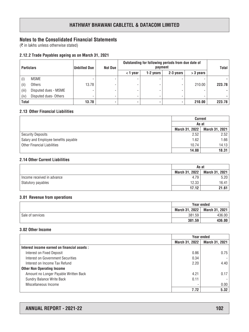# **Notes to the Consolidated Financial Statements**

 $(\bar{\tau}$  in lakhs unless otherwise stated)

# **2.12.2 Trade Payables ageing as on March 31, 2021**

|              | <b>Particlars</b>    | Unbilled Due | <b>Not Due</b> | Outstanding for following periods from due date of<br>payment |             |           | <b>Total</b> |        |
|--------------|----------------------|--------------|----------------|---------------------------------------------------------------|-------------|-----------|--------------|--------|
|              |                      |              |                | < 1 year                                                      | $1-2$ years | 2-3 years | $>$ 3 years  |        |
|              | <b>MSME</b>          |              | ۰              |                                                               |             |           |              |        |
| (i)          | <b>Others</b>        | 13.78        | -              | -                                                             |             |           | 210.00       | 223.78 |
| (iii)        | Disputed dues - MSME | ۰            | ۰              | -                                                             |             |           |              |        |
| (iv)         | Disputed dues-Others | -            | ۰              |                                                               |             |           |              |        |
| <b>Total</b> |                      | 13.78        |                |                                                               |             |           | 210.00       | 223.78 |

# **2.13 Other Financial Liabilities**

|                                      | <b>Current</b> |                |  |
|--------------------------------------|----------------|----------------|--|
|                                      | As at          |                |  |
|                                      | March 31, 2022 | March 31, 2021 |  |
| <b>Security Deposits</b>             | 2.52           | 2.52           |  |
| Salary and Employee benefits payable | 1.62           | 1.66           |  |
| <b>Other Financial Liabilities</b>   | 10.74          | 14.13          |  |
|                                      | 14.88          | 18.31          |  |

## **2.14 Other Current Liabilities**

|                            |                | As at          |
|----------------------------|----------------|----------------|
|                            | March 31, 2022 | March 31, 2021 |
| Income received in advance | 4.79           | 5.20           |
| ' Statutory payables       | 12.33          | 16.41          |
|                            | 17.12          | 21.61          |

## **3.01 Revenue from operations**

|                  |                     | Year ended     |
|------------------|---------------------|----------------|
|                  | . 2022<br>March 31. | March 31, 2021 |
| Sale of services | 381.59              | 436.00         |
|                  | 381.59              | 436.00         |

## **3.02 Other Income**

|                                              | <b>Year ended</b> |                |
|----------------------------------------------|-------------------|----------------|
|                                              | March 31, 2022    | March 31, 2021 |
| Interest income earned on financial assets : |                   |                |
| Interest on Fixed Deposit                    | 0.86              | 0.75           |
| Interest on Government Securities            | 0.34              |                |
| Interest on Income Tax Refund                | 2.20              | 4.40           |
| <b>Other Non Operating Income</b>            |                   |                |
| Amount no Longer Payable Written Back        | 4.21              | 0.17           |
| <b>Sundry Balance Write Back</b>             | 0.11              |                |
| Miscellaneous Income                         |                   | 0.00           |
|                                              | 7.72              | 5.32           |

| ANNUAL REPORT - 2021-22 |  |
|-------------------------|--|
|                         |  |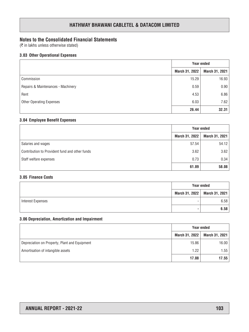# **Notes to the Consolidated Financial Statements**

 $(\bar{\tau}$  in lakhs unless otherwise stated)

# **3.03 Other Operational Expenses**

|                                    | Year ended     |                |
|------------------------------------|----------------|----------------|
|                                    | March 31, 2022 | March 31, 2021 |
| Commission                         | 15.29          | 16.93          |
| Repairs & Maintenances - Machinery | 0.59           | 0.90           |
| Rent                               | 4.53           | 6.86           |
| <b>Other Operating Expenses</b>    | 6.03           | 7.62           |
|                                    | 26.44          | 32.31          |

## **3.04 Employee Benefit Expenses**

|                                                | Year ended     |                |
|------------------------------------------------|----------------|----------------|
|                                                | March 31, 2022 | March 31, 2021 |
| Salaries and wages                             | 57.54          | 54.12          |
| Contribution to Provident fund and other funds | 3.62           | 3.62           |
| Staff welfare expenses                         | 0.73           | 0.34           |
|                                                | 61.89          | 58.08          |

## **3.05 Finance Costs**

|                          | Year ended |                                 |
|--------------------------|------------|---------------------------------|
|                          |            | March 31, 2022   March 31, 2021 |
| <b>Interest Expenses</b> |            | 6.58                            |
|                          |            | 6.58                            |

## **3.06 Depreciation, Amortization and Impairment**

|                                               | Year ended     |                |
|-----------------------------------------------|----------------|----------------|
|                                               | March 31, 2022 | March 31, 2021 |
| Depreciation on Property, Plant and Equipment | 15.86          | 16.00          |
| Amortisation of intangible assets             | 1.22           | 1.55           |
|                                               | 17.08          | 17.55          |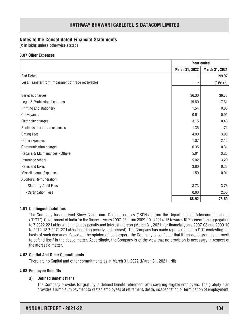# **Notes to the Consolidated Financial Statements**

 $(\bar{\tau})$  in lakhs unless otherwise stated)

## **3.07 Other Expenses**

|                                                     | <b>Year ended</b> |                |
|-----------------------------------------------------|-------------------|----------------|
|                                                     | March 31, 2022    | March 31, 2021 |
| <b>Bad Debts</b>                                    |                   | 199.97         |
| Less: Transfer from Impairment of trade receivables |                   | (199.97)       |
|                                                     |                   |                |
| Services charges                                    | 36.30             | 36.78          |
| Legal & Professional charges                        | 19.80             | 17.61          |
| Printing and stationery                             | 1.54              | 0.86           |
| Conveyance                                          | 0.61              | 0.95           |
| Electricity charges                                 | 3.15              | 0.46           |
| <b>Business promotion expenses</b>                  | 1.35              | 1.71           |
| <b>Sitting Fees</b>                                 | 4.00              | 3.90           |
| Office expenses                                     | 1.07              | 2.12           |
| Communication charges                               | 0.35              | 0.31           |
| Repairs & Maintenances - Others                     | 5.81              | 3.28           |
| Insurance others                                    | 5.02              | 3.20           |
| Rates and taxes                                     | 3.80              | 0.28           |
| Miscellaneous Expenses                              | 1.59              | 0.91           |
| Auditor's Remuneration:                             |                   |                |
| - Statutory Audit Fees                              | 3.73              | 3.73           |
| - Certification Fees                                | 0.80              | 2.50           |
|                                                     | 88.92             | 78.60          |

## **4.01 Contingent Liabilities**

 The Company has received Show Cause cum Demand notices ("SCNs") from the Department of Telecommunications ("DOT"), Government of India for the financial years 2007-08, from 2009-10 to 2014-15 towards ISP license fees aggregating to ₹ 3322.22 Lakhs which includes penalty and interest thereon (March 31, 2021: for financial years 2007-08 and 2009-10 to 2012-13  $\bar{\tau}$  2271.27 Lakhs including penalty and interest). The Company has made representation to DOT contesting the basis of such demands. Based on the opinion of legal expert, the Company is confident that it has good grounds on merit to defend itself in the above matter. Accordingly, the Company is of the view that no provision is necessary in respect of the aforesaid matter.

## **4.02 Capital And Other Commitments**

There are no Capital and other commitments as at March 31, 2022 (March 31, 2021 : Nil)

## **4.03 Employee Benefits**

## **a) Defined Benefit Plans:**

 The Company provides for gratuity, a defined benefit retirement plan covering eligible employees. The gratuity plan provides a lump sum payment to vested employees at retirement, death, incapacitation or termination of employment,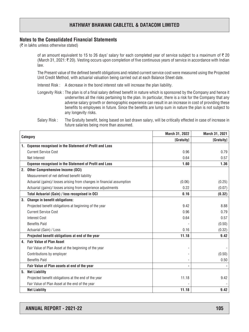# **Notes to the Consolidated Financial Statements**

 $(\bar{\tau}$  in lakhs unless otherwise stated)

of an amount equivalent to 15 to 26 days' salary for each completed year of service subject to a maximum of  $\bar{z}$  20 (March 31, 2021:  $\bar{\tau}$  20). Vesting occurs upon completion of five continuous years of service in accordance with Indian law.

 The Present value of the defined benefit obligations and related current service cost were measured using the Projected Unit Credit Method, with actuarial valuation being carried out at each Balance Sheet date.

Interest Risk : A decrease in the bond interest rate will increase the plan liability.

 Longevity Risk : The plan is of a final salary defined benefit in nature which is sponsored by the Company and hence it underwrites all the risks pertaining to the plan. In particular, there is a risk for the Company that any adverse salary growth or demographic experience can result in an increase in cost of providing these benefits to employees in future. Since the benefits are lump sum in nature the plan is not subject to any longevity risks.

 Salary Risk : The Gratuity benefit, being based on last drawn salary, will be critically effected in case of increase in future salaries being more than assumed.

|    |                                                                        | March 31, 2022 | March 31, 2021 |
|----|------------------------------------------------------------------------|----------------|----------------|
|    | <b>Category</b>                                                        | [Gratuity]     | [Gratuity]     |
|    | 1. Expense recognised in the Statement of Profit and Loss              |                |                |
|    | <b>Current Service Cost</b>                                            | 0.96           | 0.79           |
|    | Net Interest                                                           | 0.64           | 0.57           |
|    | <b>Expense recognised in the Statement of Profit and Loss</b>          | 1.60           | 1.36           |
|    | 2. Other Comprehensive Income (OCI)                                    |                |                |
|    | Measurement of net defined benefit liability                           |                |                |
|    | Actuarial (gains)/ losses arising from changes in financial assumption | (0.06)         | (0.25)         |
|    | Actuarial (gains)/ losses arising from experience adjustments          | 0.22           | (0.07)         |
|    | <b>Total Actuarial (Gain) / loss recognised in OCI</b>                 | 0.16           | (0.32)         |
| 3. | <b>Change in benefit obligations:</b>                                  |                |                |
|    | Projected benefit obligations at beginning of the year                 | 9.42           | 8.88           |
|    | <b>Current Service Cost</b>                                            | 0.96           | 0.79           |
|    | <b>Interest Cost</b>                                                   | 0.64           | 0.57           |
|    | <b>Benefits Paid</b>                                                   |                | (0.50)         |
|    | Actuarial (Gain) / Loss                                                | 0.16           | (0.32)         |
|    | Projected benefit obligations at end of the year                       | 11.18          | 9.42           |
|    | 4. Fair Value of Plan Asset                                            |                |                |
|    | Fair Value of Plan Asset at the beginning of the year                  |                |                |
|    | Contributions by employer                                              |                | (0.50)         |
|    | <b>Benefits Paid</b>                                                   |                | 0.50           |
|    | Fair Value of Plan assets at end of the year                           |                |                |
|    | 5. Net Liability                                                       |                |                |
|    | Projected benefit obligations at the end of the year                   | 11.18          | 9.42           |
|    | Fair Value of Plan Asset at the end of the year                        |                |                |
|    | <b>Net Liability</b>                                                   | 11.18          | 9.42           |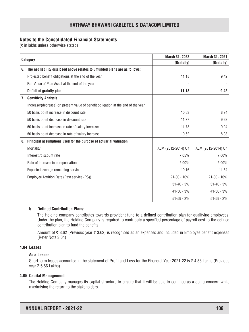# **Notes to the Consolidated Financial Statements**

 $(\bar{\tau})$  in lakhs unless otherwise stated)

| <b>Category</b> |                                                                                   | March 31, 2022       | March 31, 2021       |
|-----------------|-----------------------------------------------------------------------------------|----------------------|----------------------|
|                 |                                                                                   | [Gratuity]           | [Gratuity]           |
| 6.              | The net liability disclosed above relates to unfunded plans are as follows:       |                      |                      |
|                 | Projected benefit obligations at the end of the year                              | 11.18                | 9.42                 |
|                 | Fair Value of Plan Asset at the end of the year                                   |                      |                      |
|                 | Deficit of gratuity plan                                                          | 11.18                | 9.42                 |
| 7.              | <b>Sensitivity Analysis</b>                                                       |                      |                      |
|                 | Increase/(decrease) on present value of benefit obligation at the end of the year |                      |                      |
|                 | 50 basis point increase in discount rate                                          | 10.63                | 8.94                 |
|                 | 50 basis point decrease in discount rate                                          | 11.77                | 9.93                 |
|                 | 50 basis point increase in rate of salary increase                                | 11.78                | 9.94                 |
|                 | 50 basis point decrease in rate of salary increase                                | 10.62                | 8.93                 |
| 8.              | Principal assumptions used for the purpose of actuarial valuation                 |                      |                      |
|                 | Mortality                                                                         | IALM (2012-2014) Ult | IALM (2012-2014) Ult |
|                 | Interest /discount rate                                                           | 7.05%                | 7.00%                |
|                 | Rate of increase in compensation                                                  | 5.00%                | 5.00%                |
|                 | Expected average remaining service                                                | 10.16                | 11.54                |
|                 | Employee Attrition Rate (Past service (PS))                                       | $21 - 30 - 10%$      | $21 - 30 - 10%$      |
|                 |                                                                                   | $31 - 40 - 5%$       | $31 - 40 - 5%$       |
|                 |                                                                                   | $41 - 50 - 3%$       | $41 - 50 - 3%$       |
|                 |                                                                                   | $51 - 59 - 2%$       | $51 - 59 - 2%$       |

#### **b. Defined Contribution Plans:**

 The Holding company contributes towards provident fund to a defined contribution plan for qualifying employees. Under the plan, the Holding Company is required to contribute a specified percentage of payroll cost to the defined contribution plan to fund the benefits.

Amount of  $\bar{\tau}$  3.62 (Previous year  $\bar{\tau}$  3.62) is recognised as an expenses and included in Employee benefit expenses (Refer Note 3.04)

#### **4.04 Leases**

#### **As a Lessee**

Short term leases accounted in the statement of Profit and Loss for the Financial Year 2021-22 is ₹4.53 Lakhs (Previous year  $\overline{\epsilon}$  6.86 Lakhs).

#### **4.05 Capital Management**

 The Holding Company manages its capital structure to ensure that it will be able to continue as a going concern while maximising the return to the stakeholders.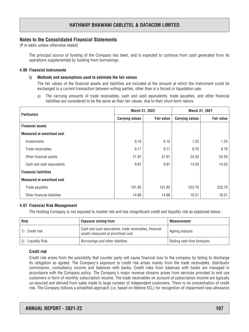# **Notes to the Consolidated Financial Statements**

 $(\bar{\tau})$  in lakhs unless otherwise stated)

 The principal source of funding of the Company has been, and is expected to continue from cash generated from its operations supplemented by funding from borrowings.

## **4.06 Financial Instruments**

#### **i) Methods and assumptions used to estimate the fair values**

 The fair values of the financial assets and liabilities are included at the amount at which the instrument could be exchanged in a current transaction between willing parties, other than in a forced or liquidation sale.

 a) The carrying amounts of trade receivables, cash and cash equivalents, trade payables, and other financial liabilities are considered to be the same as their fair values, due to their short-term nature.

|                                   | March 31, 2022         |                   | March 31, 2021         |                   |
|-----------------------------------|------------------------|-------------------|------------------------|-------------------|
| <b>Particulars</b>                | <b>Carrying values</b> | <b>Fair value</b> | <b>Carrying values</b> | <b>Fair value</b> |
| <b>Financial assets</b>           |                        |                   |                        |                   |
| <b>Measured at amortised cost</b> |                        |                   |                        |                   |
| Investments                       | 0.10                   | 0.10              | 1.25                   | 1.25              |
| Trade receivables                 | 9.17                   | 9.17              | 8.76                   | 8.76              |
| Other financial assets            | 21.97                  | 21.97             | 24.30                  | 24.30             |
| Cash and cash equivalents         | 9.97                   | 9.97              | 14.20                  | 14.20             |
| <b>Financial liabilities</b>      |                        |                   |                        |                   |
| <b>Measured at amortised cost</b> |                        |                   |                        |                   |
| Trade payables                    | 101.83                 | 101.83            | 223.78                 | 223.78            |
| Other financial liabilities       | 14.88                  | 14.88             | 18.31                  | 18.31             |

## **4.07 Financial Risk Management**

The Holding Company is not exposed to market risk and has insignificant credit and liquidity risk as explained below :

| <b>Risk</b>    | <b>Exposure arising from</b>                                                                  | <b>Measurement</b>          |
|----------------|-----------------------------------------------------------------------------------------------|-----------------------------|
| Credit risk    | Cash and cash equivalents, trade receivables, financial<br>assets measured at amortised cost. | Ageing analysis             |
| Liquidity Risk | Borrowings and other liabilities                                                              | Rolling cash flow forecasts |

## **Credit risk**

 Credit risk arises from the possibility that counter party will cause financial loss to the company by failing to discharge its obligation as agreed. The Company's exposure to credit risk arises mainly from the trade receivables, distributor commission, consultancy income and balances with banks. Credit risks from balances with banks are managed in accordance with the Company policy. The Company's major revenue streams arises from services provided to end use customers in form of monthly subscription income. The trade receivables on account of subscription income are typically un-secured and derived from sales made to large number of independent customers. There is no concentration of credit risk. The Company follows a simplified approach (i.e. based on lifetime ECL) for recognition of impairment loss allowance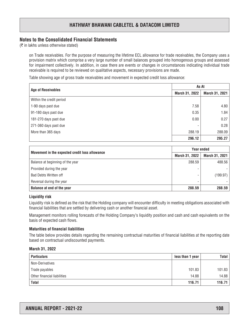# **Notes to the Consolidated Financial Statements**

 $(\bar{\tau}$  in lakhs unless otherwise stated)

on Trade receivables. For the purpose of measuring the lifetime ECL allowance for trade receivables, the Company uses a provision matrix which comprise a very large number of small balances grouped into homogenous groups and assessed for impairment collectively. In addition, in case there are events or changes in circumstances indicating individual trade receivable is required to be reviewed on qualitative aspects, necessary provisions are made.

Table showing age of gross trade receivables and movement in expected credit loss allowance:

|                           | As At          |                       |
|---------------------------|----------------|-----------------------|
| <b>Age of Receivables</b> | March 31, 2022 | <b>March 31, 2021</b> |
| Within the credit period  |                |                       |
| 1-90 days past due        | 7.58           | 4.80                  |
| 91-180 days past due      | 0.35           | 1.84                  |
| 181-270 days past due     | 0.00           | 0.27                  |
| 271-360 days past due     |                | 0.28                  |
| More than 365 days        | 288.19         | 288.09                |
|                           | 296.12         | 295.27                |

|                                                | <b>Year ended</b> |                |
|------------------------------------------------|-------------------|----------------|
| Movement in the expected credit loss allowance | March 31, 2022    | March 31, 2021 |
| Balance at beginning of the year               | 288.59            | 488.56         |
| Provided during the year                       |                   |                |
| <b>Bad Debts Written off</b>                   |                   | (199.97)       |
| Reversal during the year                       | ۰                 |                |
| Balance at end of the year                     | 288.59            | 288.59         |

## **Liquidity risk**

 Liquidity risk is defined as the risk that the Holding company will encounter difficulty in meeting obligations associated with financial liabilities that are settled by delivering cash or another financial asset.

 Management monitors rolling forecasts of the Holding Company's liquidity position and cash and cash equivalents on the basis of expected cash flows.

#### **Maturities of financial liabilities**

 The table below provides details regarding the remaining contractual maturities of financial liabilities at the reporting date based on contractual undiscounted payments.

#### **March 31, 2022**

| <b>Particulars</b>          | less than 1 year | Total  |
|-----------------------------|------------------|--------|
| Non-Derivatives             |                  |        |
| Trade payables              | 101.83           | 101.83 |
| Other financial liabilities | 14.88            | 14.88  |
| <b>Total</b>                | 116.71           | 116.71 |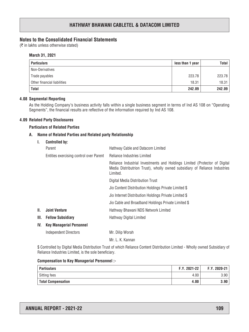# **Notes to the Consolidated Financial Statements**

 $(\bar{\tau}$  in lakhs unless otherwise stated)

#### **March 31, 2021**

| <b>Particulars</b>          | less than 1 year | <b>Total</b> |
|-----------------------------|------------------|--------------|
| Non-Derivatives             |                  |              |
| Trade payables              | 223.78           | 223.78       |
| Other financial liabilities | 18.31            | 18.31        |
| <b>Total</b>                | 242.09           | 242.09       |

## **4.08 Segmental Reporting**

 As the Holding Company's business activity falls within a single business segment in terms of Ind AS 108 on "Operating Segments", the financial results are reflective of the information required by Ind AS 108.

## **4.09 Related Party Disclosures**

## **Particulars of Related Parties**

## **A. Name of Related Parties and Related party Relationship**

| в.  | Controlled by:                          |                                                                                                                                                                      |
|-----|-----------------------------------------|----------------------------------------------------------------------------------------------------------------------------------------------------------------------|
|     | Parent                                  | Hathway Cable and Datacom Limited                                                                                                                                    |
|     | Entities exercising control over Parent | Reliance Industries Limited                                                                                                                                          |
|     |                                         | Reliance Industrial Investments and Holdings Limited (Protector of Digital<br>Media Distributrion Trust), wholly owned subsidiary of Reliance Industries<br>Limited. |
|     |                                         | Digital Media Distribution Trust                                                                                                                                     |
|     |                                         | Jio Content Distribution Holdings Private Limited \$                                                                                                                 |
|     |                                         | Jio Internet Distribution Holdings Private Limited \$                                                                                                                |
|     |                                         | Jio Cable and Broadband Holdings Private Limited \$                                                                                                                  |
| Ш.  | <b>Joint Venture</b>                    | Hathway Bhawani NDS Network Limited                                                                                                                                  |
| Ш.  | <b>Fellow Subsidiary</b>                | Hathway Digital Limited                                                                                                                                              |
| IV. | <b>Key Managerial Personnel</b>         |                                                                                                                                                                      |
|     | Independent Directors                   | Mr. Dilip Worah                                                                                                                                                      |
|     |                                         | Mr. L. K. Kannan                                                                                                                                                     |

 \$ Controlled by Digital Media Distribution Trust of which Reliance Content Distribution Limited - Wholly owned Subsidiary of Reliance Industries Limited, is the sole beneficiary.

#### **Compensation to Key Managerial Personnel :-**

| <b>Particulars</b>              | $F.Y. 2021-22$ | $F.Y. 2020-21$    |
|---------------------------------|----------------|-------------------|
| Sitting fees                    | 4.00           | 3.90              |
| <sup>'</sup> Total Compensation | 4.00           | 3.90 <sup>°</sup> |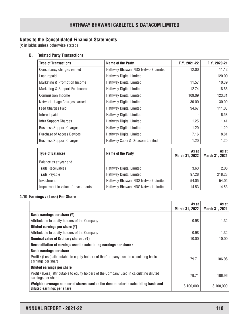## **HATHWAY BHAWANI CABLETEL & DATACOM LIMITED**

## **Notes to the Consolidated Financial Statements**

 $(\bar{\tau}$  in lakhs unless otherwise stated)

## **B. Related Party Transactions**

| <b>Type of Transactions</b>     | Name of the Party                   | F.Y. 2021-22 | F.Y. 2020-21 |
|---------------------------------|-------------------------------------|--------------|--------------|
| Consultancy charges earned      | Hathway Bhawani NDS Network Limited | 12.00        | 11.12        |
| Loan repaid                     | Hathway Digital Limited             |              | 120.00       |
| Marketing & Promotion Income    | Hathway Digital Limited             | 11.57        | 10.39        |
| Marketing & Support Fee Income  | Hathway Digital Limited             | 12.74        | 18.65        |
| <b>Commission Income</b>        | <b>Hathway Digital Limited</b>      | 109.09       | 123.31       |
| Network Usage Charges earned    | <b>Hathway Digital Limited</b>      | 30.00        | 30.00        |
| <b>Feed Charges Paid</b>        | <b>Hathway Digital Limited</b>      | 94.67        | 111.03       |
| Interest paid                   | <b>Hathway Digital Limited</b>      |              | 6.58         |
| Infra Support Charges           | <b>Hathway Digital Limited</b>      | 1.25         | 1.41         |
| <b>Business Support Charges</b> | <b>Hathway Digital Limited</b>      | 1.20         | 1.20         |
| Purchase of Access Devices      | <b>Hathway Digital Limited</b>      | 7.16         | 8.81         |
| <b>Business Support Charges</b> | Hathway Cable & Datacom Limited     | 1.20         | 1.20         |

| <b>Type of Balances</b>            | Name of the Party                   | As at<br>March 31, 2022 | As at<br>March 31, 2021 |
|------------------------------------|-------------------------------------|-------------------------|-------------------------|
| Balance as at year end             |                                     |                         |                         |
| <b>Trade Receivables</b>           | Hathway Digital Limited             | 3.63                    | 2.08                    |
| Trade Payable                      | Hathway Digital Limited             | 97.28                   | 218.23                  |
| Investments                        | Hathway Bhawani NDS Network Limited | 54.05                   | 54.05                   |
| Impairment in value of Investments | Hathway Bhawani NDS Network Limited | 14.53                   | 14.53                   |

## **4.10 Earnings / (Loss) Per Share**

|                                                                                                                  | As at<br>March 31, 2022 | As at<br>March 31, 2021 |
|------------------------------------------------------------------------------------------------------------------|-------------------------|-------------------------|
| <b>Basic earnings per share (<math>\overline{\xi}</math>)</b>                                                    |                         |                         |
| Attributable to equity holders of the Company                                                                    | 0.98                    | 1.32                    |
| Diluted earnings per share $(\bar{z})$                                                                           |                         |                         |
| Attributable to equity holders of the Company                                                                    | 0.98                    | 1.32                    |
| <b>Nominal value of Ordinary shares : (₹)</b>                                                                    | 10.00                   | 10.00                   |
| Reconciliation of earnings used in calculating earnings per share:                                               |                         |                         |
| <b>Basic earnings per share</b>                                                                                  |                         |                         |
| Profit / (Loss) attributable to equity holders of the Company used in calculating basic<br>earnings per share    | 79.71                   | 106.96                  |
| Diluted earnings per share                                                                                       |                         |                         |
| Profit / (Loss) attributable to equity holders of the Company used in calculating diluted<br>earnings per share  | 79.71                   | 106.96                  |
| Weighted average number of shares used as the denominator in calculating basic and<br>diluted earnings per share | 8,100,000               | 8,100,000               |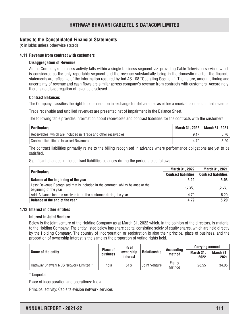## **HATHWAY BHAWANI CABLETEL & DATACOM LIMITED**

## **Notes to the Consolidated Financial Statements**

 $(\bar{\tau})$  in lakhs unless otherwise stated)

#### **4.11 Revenue from contract with customers**

#### **Disaggregation of Revenue**

 As the Company's business activity falls within a single business segment viz. providing Cable Television services which is considered as the only reportable segment and the revenue substantially being in the domestic market, the financial statements are reflective of the information required by Ind AS 108 "Operating Segment". The nature, amount, timing and uncertainty of revenue and cash flows are similar across company's revenue from contracts with customers. Accordingly, there is no disaggregation of revenue disclosed.

#### **Contract Balances**

The Company classifies the right to consideration in exchange for deliverables as either a receivable or as unbilled revenue.

Trade receivable and unbilled revenues are presented net of impairment in the Balance Sheet.

The following table provides information about receivables and contract liabilities for the contracts with the customers.

| ' Particulars                                                    | March 31, 2022 | March 31, 2021 |
|------------------------------------------------------------------|----------------|----------------|
| Receivables, which are included in 'Trade and other receivables' | 9.1            | 8.76           |
| Contract liabilities (Unearned Revenue)                          | 4.79           | 5.20           |

 The contract liabilities primarily relate to the billing recognized in advance where performance obligations are yet to be satisfied.

Significant changes in the contract liabilities balances during the period are as follows.

| <b>Particulars</b>                                                                                          | March 31, 2022              | March 31, 2021              |
|-------------------------------------------------------------------------------------------------------------|-----------------------------|-----------------------------|
|                                                                                                             | <b>Contract liabilities</b> | <b>Contract liabilities</b> |
| Balance at the beginning of the year                                                                        | 5.20                        | 5.03                        |
| Less: Revenue Recognised that is included in the contract liability balance at the<br>beginning of the year | (5.20)                      | (5.03)                      |
| Add: Advance income received from the customer during the year                                              | 4.79                        | 5.20                        |
| Balance at the end of the year                                                                              | 4.79                        | 5.20                        |

#### **4.12 Interest in other entities**

#### **Interest in Joint Venture**

 Below is the joint venture of the Holding Company as at March 31, 2022 which, in the opinion of the directors, is material to the Holding Company. The entity listed below has share capital consisting solely of equity shares, which are held directly by the Holding Company. The country of incorporation or registration is also their principal place of business, and the proportion of ownership interest is the same as the proportion of voting rights held.

|                                       | $%$ of<br><b>Place of</b>         |              |               | Accounting       | <b>Carrying amount</b> |       |
|---------------------------------------|-----------------------------------|--------------|---------------|------------------|------------------------|-------|
| Name of the entity                    | ownership<br>business<br>interest | Relationship | method        | March 31<br>2022 | March 31.<br>2021      |       |
| Hathway Bhawani NDS Network Limited * | India                             | 51%          | Joint Venture | Equity<br>Method | 28.55                  | 34.05 |

\* Unquoted

Place of incorporation and operations: India

Principal activity: Cable television network services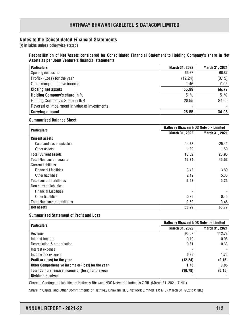## **Notes to the Consolidated Financial Statements**

 $(\bar{\tau}$  in lakhs unless otherwise stated)

 **Reconciliation of Net Assets considered for Consolidated Financial Statement to Holding Company's share in Net Assets as per Joint Venture's financial statements**

| <b>Particulars</b>                             | <b>March 31, 2022</b> | March 31, 2021 |
|------------------------------------------------|-----------------------|----------------|
| Opening net assets                             | 66.77                 | 66.87          |
| Profit / (Loss) for the year                   | (12.24)               | (0.15)         |
| Other comprehensive income                     | 1.46                  | 0.05           |
| <b>Closing net assets</b>                      | 55.99                 | 66.77          |
| Holding Company's share in %                   | 51%                   | 51%            |
| Holding Company's Share in INR                 | 28.55                 | 34.05          |
| Reversal of impairment in value of investments |                       |                |
| <b>Carrying amount</b>                         | 28.55                 | 34.05          |

#### **Summarised Balance Sheet**

| <b>Particulars</b>                   | Hathway Bhawani NDS Network Limited |                |
|--------------------------------------|-------------------------------------|----------------|
|                                      | March 31, 2022                      | March 31, 2021 |
| <b>Current assets</b>                |                                     |                |
| Cash and cash equivalents            | 14.73                               | 25.45          |
| Other assets                         | 1.89                                | 1.50           |
| <b>Total Current assets</b>          | 16.62                               | 26.95          |
| <b>Total Non current assets</b>      | 45.34                               | 49.52          |
| <b>Current liabilities</b>           |                                     |                |
| <b>Financial Liabilities</b>         | 3.46                                | 3.89           |
| Other liabilities                    | 2.12                                | 5.36           |
| <b>Total current liabilities</b>     | 5.58                                | 9.25           |
| Non current liabilities              |                                     |                |
| <b>Financial Liabilities</b>         |                                     |                |
| Other liabilities                    | 0.39                                | 0.45           |
| <b>Total Non current liabilities</b> | 0.39                                | 0.45           |
| Net assets                           | 55.99                               | 66.77          |

#### **Summarised Statement of Profit and Loss**

| <b>Particulars</b>                                | <b>Hathway Bhawani NDS Network Limited</b> |                   |  |  |
|---------------------------------------------------|--------------------------------------------|-------------------|--|--|
|                                                   | March 31, 2022                             | March 31, 2021    |  |  |
| Revenue                                           | 95.57                                      | 112.78            |  |  |
| Interest Income                                   | 0.10                                       | 0.06              |  |  |
| Depreciation & amortisation                       | 0.81                                       | 0.33              |  |  |
| Interest expense                                  |                                            |                   |  |  |
| Income Tax expense                                | 6.89                                       | 1.72 <sub>1</sub> |  |  |
| Profit or (loss) for the year                     | (12.24)                                    | (0.15)            |  |  |
| Other Comprehensive income or (loss) for the year | 1.46                                       | 0.05              |  |  |
| Total Comprehensive income or (loss) for the year | (10.78)                                    | (0.10)            |  |  |
| <b>Dividend received</b>                          |                                            |                   |  |  |

Share in Contingent Liabilities of Hathway Bhawani NDS Network Limited is ₹ NIL (March 31, 2021: ₹ NIL)

Share in Capital and Other Commitments of Hathway Bhawani NDS Network Limited is ₹ NIL (March 31, 2021: ₹ NIL)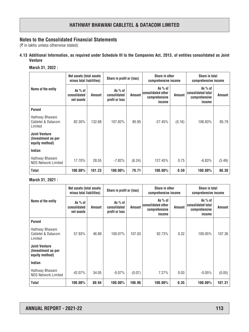## **Notes to the Consolidated Financial Statements**

 $(\bar{\tau}$  in lakhs unless otherwise stated)

**4.13 Additional Information, as required under Schedule III to the Companies Act, 2013, of entities consolidated as Joint Venture**

#### **March 31, 2022 :**

|                                                              | Net assets (total assets<br>minus total liabilities) |        | Share in other<br>Share in total<br>Share in profit or (loss)<br>comprehensive income<br>comprehensive income |        |                                                            |               |                                                            |        |
|--------------------------------------------------------------|------------------------------------------------------|--------|---------------------------------------------------------------------------------------------------------------|--------|------------------------------------------------------------|---------------|------------------------------------------------------------|--------|
| Name of the entity                                           | As $%$ of<br>consolidated<br>net assets              | Amount | As $%$ of<br>consolidated<br>profit or loss                                                                   | Amount | As $%$ of<br>consolidated other<br>comprehensive<br>income | <b>Amount</b> | As $%$ of<br>consolidated total<br>comprehensive<br>income | Amount |
| <b>Parent</b>                                                |                                                      |        |                                                                                                               |        |                                                            |               |                                                            |        |
| Hathway Bhawani<br>Cabletel & Datacom<br>Limited             | 82.30%                                               | 132.68 | 107.82%                                                                                                       | 85.95  | $-27.45%$                                                  | (0.16)        | 106.83%                                                    | 85.79  |
| <b>Joint Venture</b><br>(Investment as per<br>equity method) |                                                      |        |                                                                                                               |        |                                                            |               |                                                            |        |
| Indian                                                       |                                                      |        |                                                                                                               |        |                                                            |               |                                                            |        |
| Hathway Bhawani<br><b>NDS Network Limited</b>                | 17.70%                                               | 28.55  | $-7.82%$                                                                                                      | (6.24) | 127.45%                                                    | 0.75          | $-6.83%$                                                   | (5.49) |
| Total                                                        | 100.00%                                              | 161.23 | 100.00%                                                                                                       | 79.71  | 100.00%                                                    | 0.59          | 100.00%                                                    | 80.30  |

#### **March 31, 2021 :**

|                                                              | Net assets (total assets<br>minus total liabilities) |        | Share in profit or (loss)                 |        | Share in other<br>comprehensive income                     |        | Share in total<br>comprehensive income                     |        |  |
|--------------------------------------------------------------|------------------------------------------------------|--------|-------------------------------------------|--------|------------------------------------------------------------|--------|------------------------------------------------------------|--------|--|
| Name of the entity                                           | As $%$ of<br>consolidated<br>net assets              | Amount | As % of<br>consolidated<br>profit or loss | Amount | As $%$ of<br>consolidated other<br>comprehensive<br>income | Amount | As $%$ of<br>consolidated total<br>comprehensive<br>income | Amount |  |
| <b>Parent</b>                                                |                                                      |        |                                           |        |                                                            |        |                                                            |        |  |
| Hathway Bhawani<br>Cabletel & Datacom<br>Limited             | 57.93%                                               | 46.89  | 100.07%                                   | 107.03 | 92.73%                                                     | 0.32   | 100.05%                                                    | 107.36 |  |
| <b>Joint Venture</b><br>(Investment as per<br>equity method) |                                                      |        |                                           |        |                                                            |        |                                                            |        |  |
| <b>Indian</b>                                                |                                                      |        |                                           |        |                                                            |        |                                                            |        |  |
| Hathway Bhawani<br><b>NDS Network Limited</b>                | 42.07%                                               | 34.05  | $-0.07%$                                  | (0.07) | 7.27%                                                      | 0.03   | $-0.05%$                                                   | (0.05) |  |
| <b>Total</b>                                                 | 100.00%                                              | 80.94  | 100.00%                                   | 106.96 | 100.00%                                                    | 0.35   | 100.00%                                                    | 107.31 |  |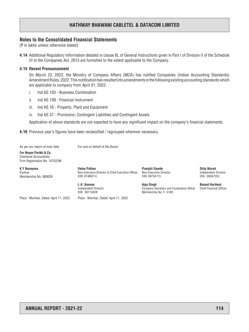## **HATHWAY BHAWANI CABLETEL & DATACOM LIMITED**

#### **Notes to the Consolidated Financial Statements**

 $(\bar{\tau})$  in lakhs unless otherwise stated)

**4.14** Additional Regulatory Information detailed in clause 6L of General Instructions given in Part I of Division II of the Schedule III to the Companies Act, 2013 are furnished to the extent applicable to the Company.

#### **4.15 Recent Pronouncement**

 On March 23, 2022, the Ministry of Company Affairs (MCA) has notified Companies (Indian Accounting Standards) Amendment Rules, 2022. This notification has resulted into amendments in the following existing accounting standards which are applicable to company from April 01, 2022.

- i. Ind AS 103 Business Combination
- ii. Ind AS 109 Financial Instrument
- iii. Ind AS 16 Property, Plant and Equipment
- iv. Ind AS 37 Provisions, Contingent Liabilities and Contingent Assets

Application of above standards are not expected to have any significant impact on the company's financial statements.

**4.16** Previous year's figures have been reclassified / regrouped wherever necessary.

As per our report of even date For and on behalf of the Board

**For Nayan Parikh & Co.** Chartered Accountants Firm Registration No. 107023W

**K Y Narayana**  Partner Membership No. 060639 **Vatan Pathan**  Non-Executive Director & Chief Executive Officer DIN: 07468214

**L.K. Kannan**  Independent Director DIN : 00110428

Place : Mumbai, Dated: April 11, 2022 Place : Mumbai, Dated: April 11, 2022

**Pranjali Gawde** Non-Executive Director DIN: 08754715

Membership No: F- 5189

Company Secretary and Compliance officer

**Ajay Singh** 

**Dilip Worah** Independent Director DIN : 00047252

**Basant Haritwal**  Chief Financial Officer

**ANNUAL REPORT - 2021-22 114**